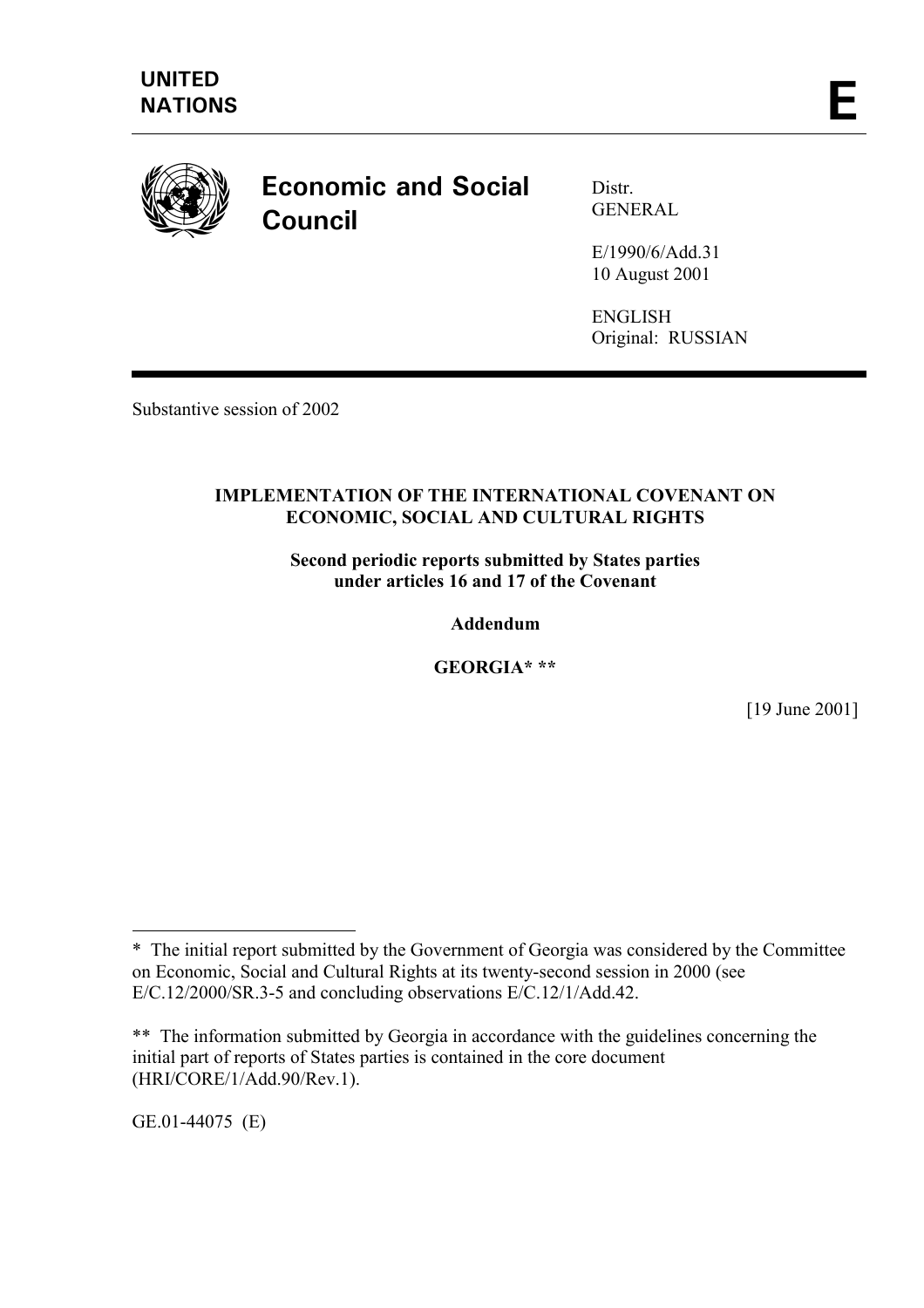

# **Economic and Social Council**

Distr. **GENERAL** 

E/1990/6/Add.31 10 August 2001

ENGLISH Original: RUSSIAN

Substantive session of 2002

### **IMPLEMENTATION OF THE INTERNATIONAL COVENANT ON ECONOMIC, SOCIAL AND CULTURAL RIGHTS**

**Second periodic reports submitted by States parties under articles 16 and 17 of the Covenant** 

**Addendum** 

**GEORGIA\* \*\*** 

[19 June 2001]

GE.01-44075 (E)

 $\overline{a}$ 

<sup>\*</sup> The initial report submitted by the Government of Georgia was considered by the Committee on Economic, Social and Cultural Rights at its twenty-second session in 2000 (see E/C.12/2000/SR.3-5 and concluding observations E/C.12/1/Add.42.

<sup>\*\*</sup> The information submitted by Georgia in accordance with the guidelines concerning the initial part of reports of States parties is contained in the core document (HRI/CORE/1/Add.90/Rev.1).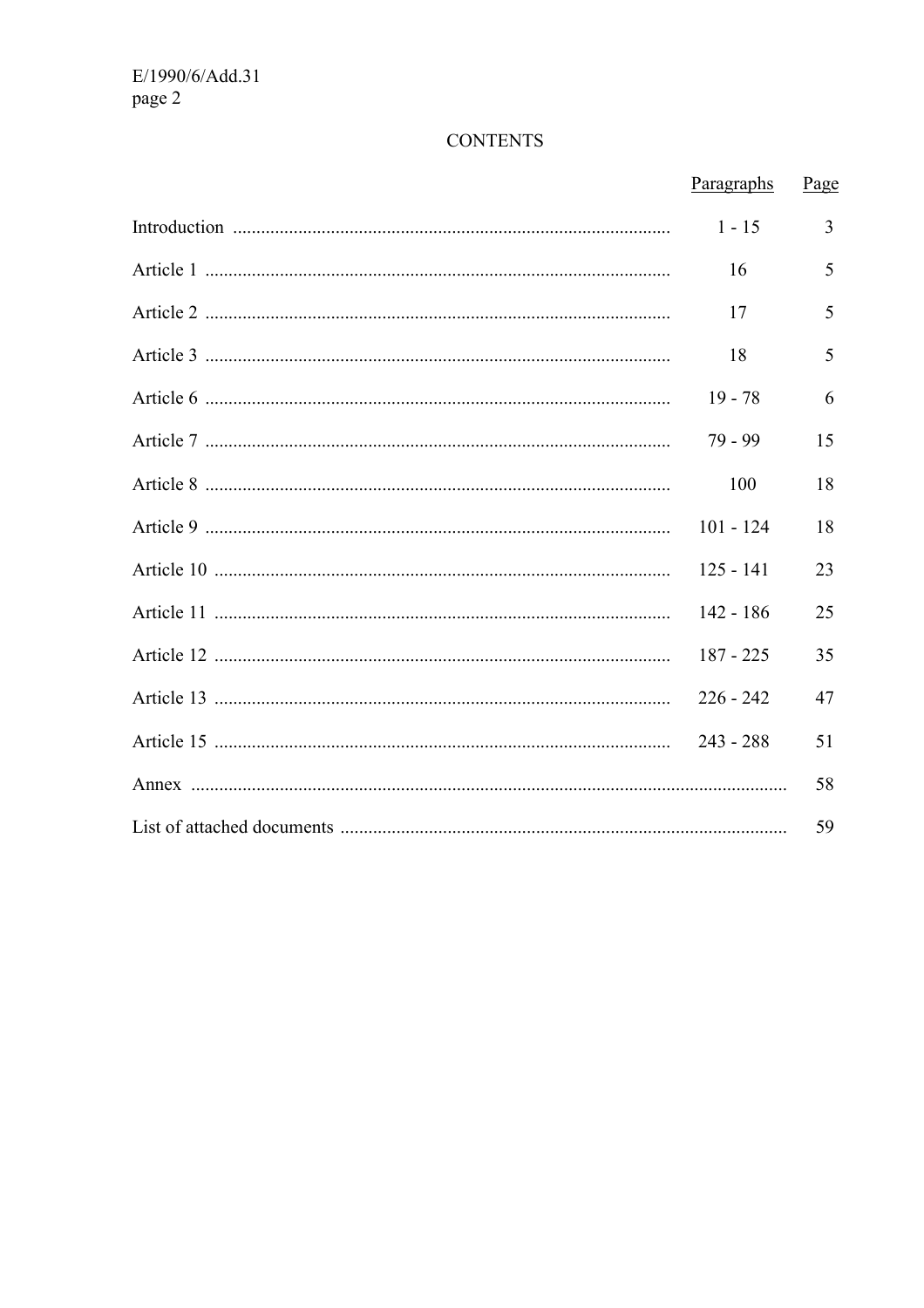# **CONTENTS**

| Paragraphs  | Page |
|-------------|------|
| $1 - 15$    | 3    |
| 16          | 5    |
| 17          | 5    |
| 18          | 5    |
| $19 - 78$   | 6    |
| 79 - 99     | 15   |
| 100         | 18   |
| $101 - 124$ | 18   |
| $125 - 141$ | 23   |
| $142 - 186$ | 25   |
| $187 - 225$ | 35   |
| $226 - 242$ | 47   |
| $243 - 288$ | 51   |
|             | 58   |
|             | 59   |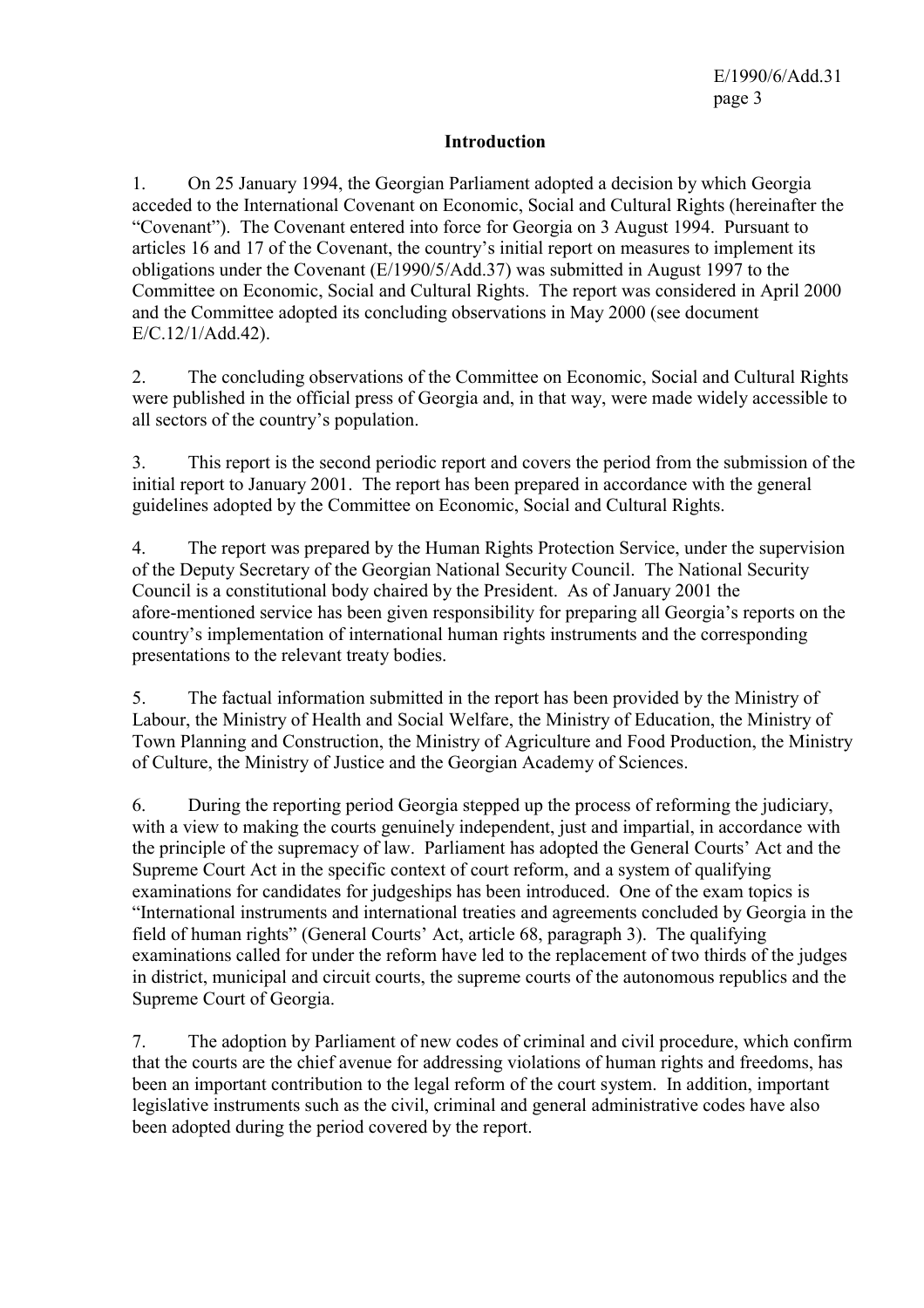### **Introduction**

1. On 25 January 1994, the Georgian Parliament adopted a decision by which Georgia acceded to the International Covenant on Economic, Social and Cultural Rights (hereinafter the "Covenant"). The Covenant entered into force for Georgia on 3 August 1994. Pursuant to articles 16 and 17 of the Covenant, the country's initial report on measures to implement its obligations under the Covenant (E/1990/5/Add.37) was submitted in August 1997 to the Committee on Economic, Social and Cultural Rights. The report was considered in April 2000 and the Committee adopted its concluding observations in May 2000 (see document E/C.12/1/Add.42).

2. The concluding observations of the Committee on Economic, Social and Cultural Rights were published in the official press of Georgia and, in that way, were made widely accessible to all sectors of the country's population.

3. This report is the second periodic report and covers the period from the submission of the initial report to January 2001. The report has been prepared in accordance with the general guidelines adopted by the Committee on Economic, Social and Cultural Rights.

4. The report was prepared by the Human Rights Protection Service, under the supervision of the Deputy Secretary of the Georgian National Security Council. The National Security Council is a constitutional body chaired by the President. As of January 2001 the afore-mentioned service has been given responsibility for preparing all Georgia's reports on the country's implementation of international human rights instruments and the corresponding presentations to the relevant treaty bodies.

5. The factual information submitted in the report has been provided by the Ministry of Labour, the Ministry of Health and Social Welfare, the Ministry of Education, the Ministry of Town Planning and Construction, the Ministry of Agriculture and Food Production, the Ministry of Culture, the Ministry of Justice and the Georgian Academy of Sciences.

6. During the reporting period Georgia stepped up the process of reforming the judiciary, with a view to making the courts genuinely independent, just and impartial, in accordance with the principle of the supremacy of law. Parliament has adopted the General Courts' Act and the Supreme Court Act in the specific context of court reform, and a system of qualifying examinations for candidates for judgeships has been introduced. One of the exam topics is "International instruments and international treaties and agreements concluded by Georgia in the field of human rights" (General Courts' Act, article 68, paragraph 3). The qualifying examinations called for under the reform have led to the replacement of two thirds of the judges in district, municipal and circuit courts, the supreme courts of the autonomous republics and the Supreme Court of Georgia.

7. The adoption by Parliament of new codes of criminal and civil procedure, which confirm that the courts are the chief avenue for addressing violations of human rights and freedoms, has been an important contribution to the legal reform of the court system. In addition, important legislative instruments such as the civil, criminal and general administrative codes have also been adopted during the period covered by the report.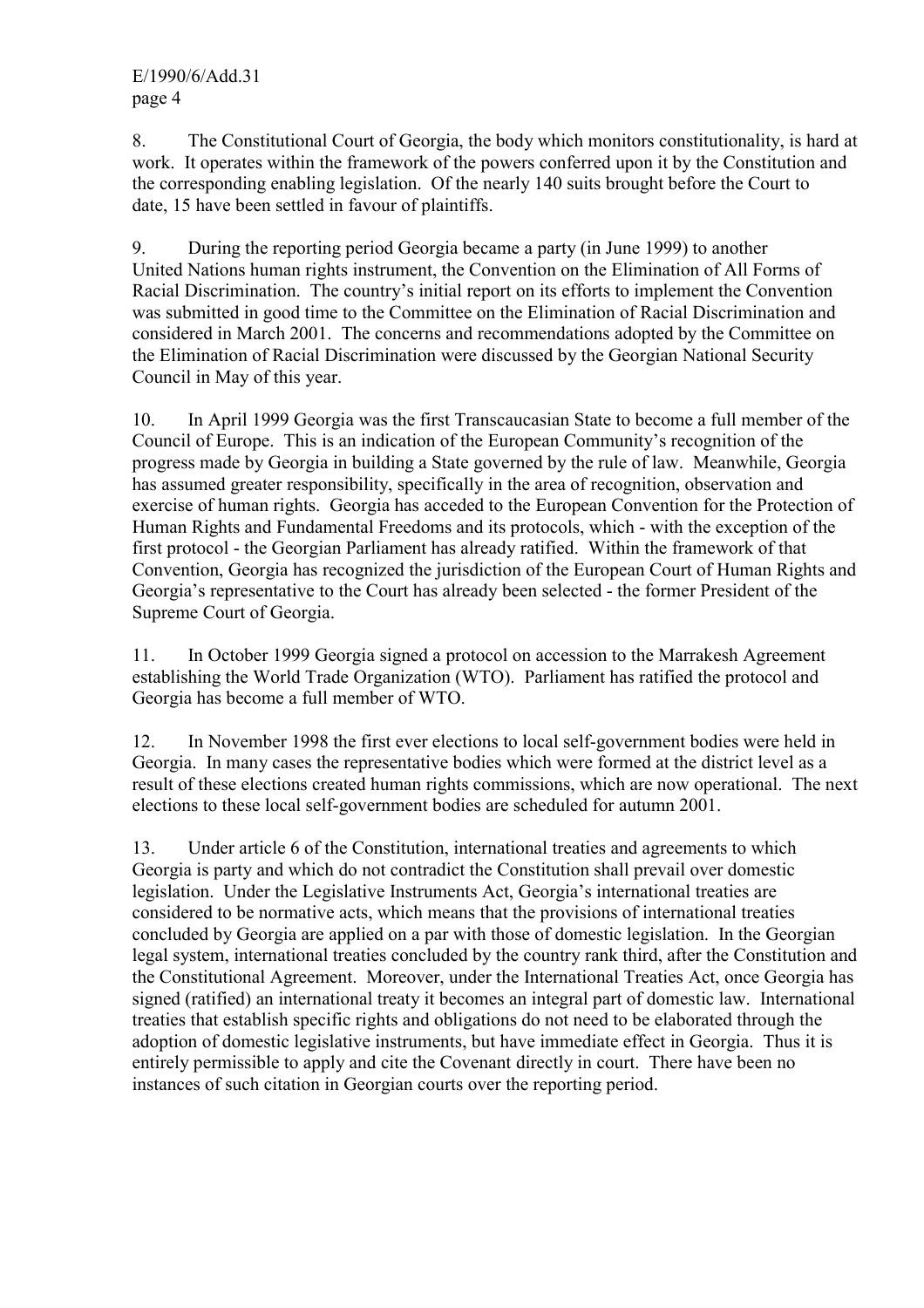8. The Constitutional Court of Georgia, the body which monitors constitutionality, is hard at work. It operates within the framework of the powers conferred upon it by the Constitution and the corresponding enabling legislation. Of the nearly 140 suits brought before the Court to date, 15 have been settled in favour of plaintiffs.

9. During the reporting period Georgia became a party (in June 1999) to another United Nations human rights instrument, the Convention on the Elimination of All Forms of Racial Discrimination. The country's initial report on its efforts to implement the Convention was submitted in good time to the Committee on the Elimination of Racial Discrimination and considered in March 2001. The concerns and recommendations adopted by the Committee on the Elimination of Racial Discrimination were discussed by the Georgian National Security Council in May of this year.

10. In April 1999 Georgia was the first Transcaucasian State to become a full member of the Council of Europe. This is an indication of the European Community's recognition of the progress made by Georgia in building a State governed by the rule of law. Meanwhile, Georgia has assumed greater responsibility, specifically in the area of recognition, observation and exercise of human rights. Georgia has acceded to the European Convention for the Protection of Human Rights and Fundamental Freedoms and its protocols, which - with the exception of the first protocol - the Georgian Parliament has already ratified. Within the framework of that Convention, Georgia has recognized the jurisdiction of the European Court of Human Rights and Georgia's representative to the Court has already been selected - the former President of the Supreme Court of Georgia.

11. In October 1999 Georgia signed a protocol on accession to the Marrakesh Agreement establishing the World Trade Organization (WTO). Parliament has ratified the protocol and Georgia has become a full member of WTO.

12. In November 1998 the first ever elections to local self-government bodies were held in Georgia. In many cases the representative bodies which were formed at the district level as a result of these elections created human rights commissions, which are now operational. The next elections to these local self-government bodies are scheduled for autumn 2001.

13. Under article 6 of the Constitution, international treaties and agreements to which Georgia is party and which do not contradict the Constitution shall prevail over domestic legislation. Under the Legislative Instruments Act, Georgia's international treaties are considered to be normative acts, which means that the provisions of international treaties concluded by Georgia are applied on a par with those of domestic legislation. In the Georgian legal system, international treaties concluded by the country rank third, after the Constitution and the Constitutional Agreement. Moreover, under the International Treaties Act, once Georgia has signed (ratified) an international treaty it becomes an integral part of domestic law. International treaties that establish specific rights and obligations do not need to be elaborated through the adoption of domestic legislative instruments, but have immediate effect in Georgia. Thus it is entirely permissible to apply and cite the Covenant directly in court. There have been no instances of such citation in Georgian courts over the reporting period.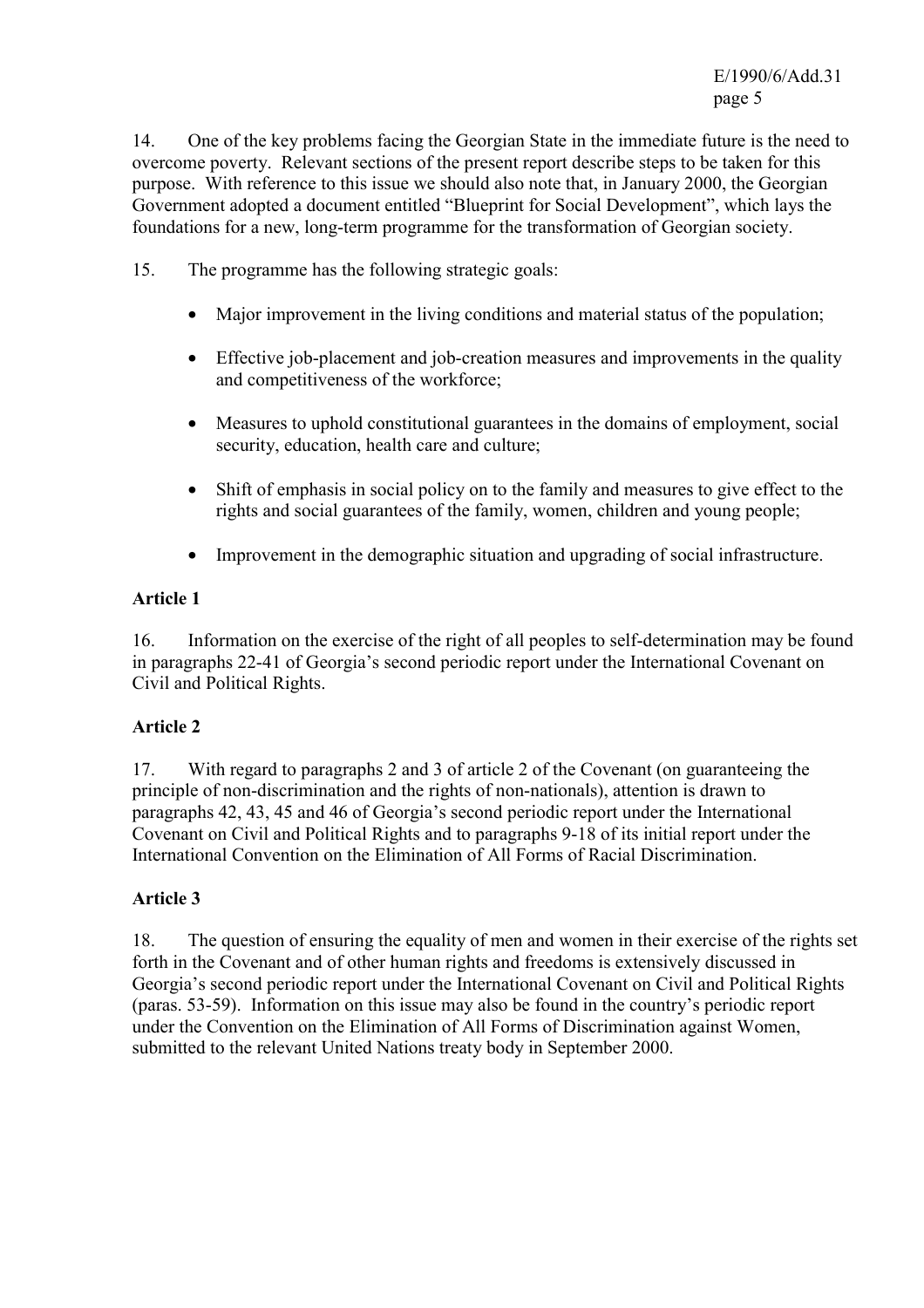14. One of the key problems facing the Georgian State in the immediate future is the need to overcome poverty. Relevant sections of the present report describe steps to be taken for this purpose. With reference to this issue we should also note that, in January 2000, the Georgian Government adopted a document entitled "Blueprint for Social Development", which lays the foundations for a new, long-term programme for the transformation of Georgian society.

- 15. The programme has the following strategic goals:
	- Major improvement in the living conditions and material status of the population;
	- Effective job-placement and job-creation measures and improvements in the quality and competitiveness of the workforce;
	- Measures to uphold constitutional guarantees in the domains of employment, social security, education, health care and culture;
	- Shift of emphasis in social policy on to the family and measures to give effect to the rights and social guarantees of the family, women, children and young people;
	- Improvement in the demographic situation and upgrading of social infrastructure.

### **Article 1**

16. Information on the exercise of the right of all peoples to self-determination may be found in paragraphs 22-41 of Georgia's second periodic report under the International Covenant on Civil and Political Rights.

### **Article 2**

17. With regard to paragraphs 2 and 3 of article 2 of the Covenant (on guaranteeing the principle of non-discrimination and the rights of non-nationals), attention is drawn to paragraphs 42, 43, 45 and 46 of Georgia's second periodic report under the International Covenant on Civil and Political Rights and to paragraphs 9-18 of its initial report under the International Convention on the Elimination of All Forms of Racial Discrimination.

### **Article 3**

18. The question of ensuring the equality of men and women in their exercise of the rights set forth in the Covenant and of other human rights and freedoms is extensively discussed in Georgia's second periodic report under the International Covenant on Civil and Political Rights (paras. 53-59). Information on this issue may also be found in the country's periodic report under the Convention on the Elimination of All Forms of Discrimination against Women, submitted to the relevant United Nations treaty body in September 2000.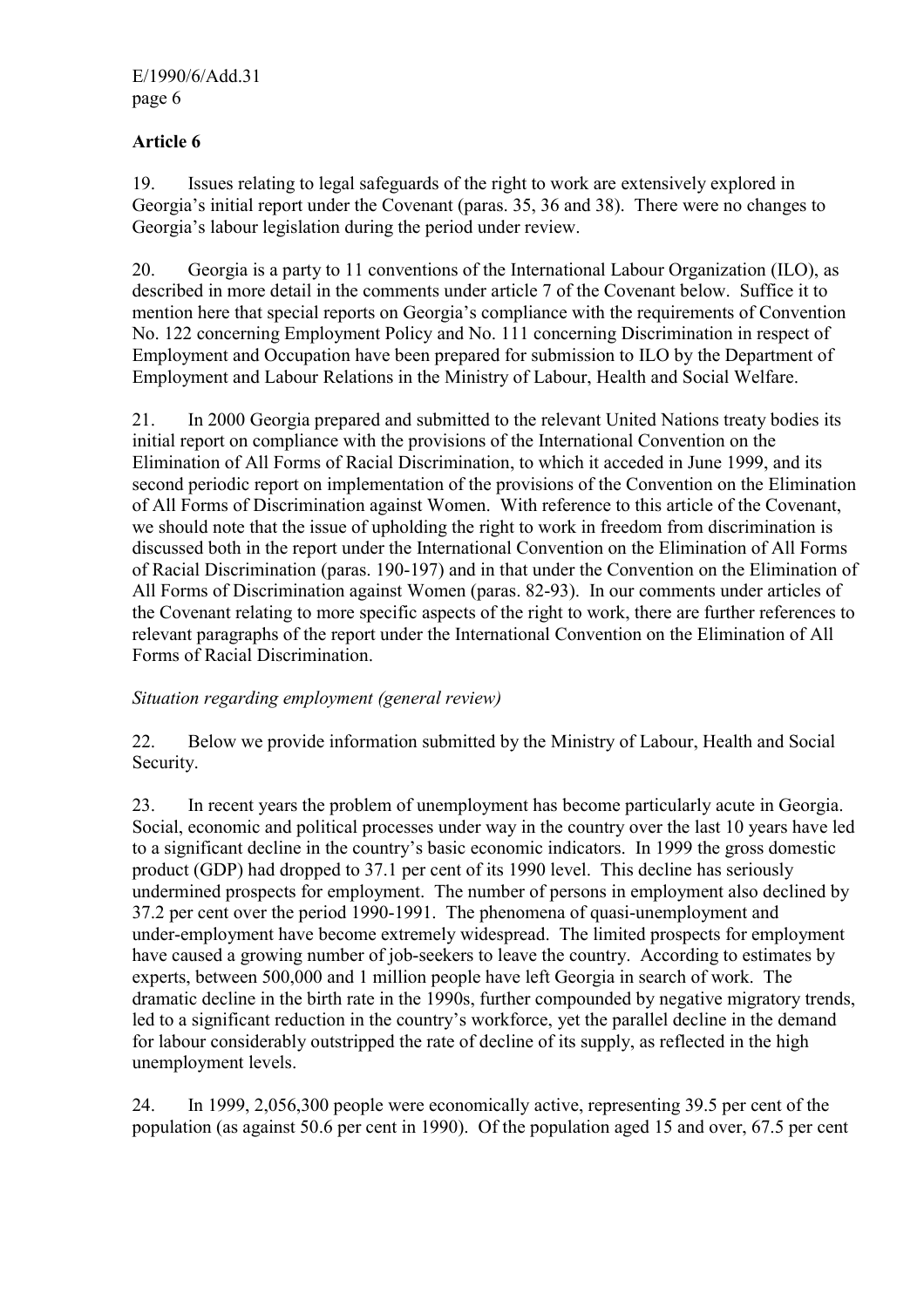# **Article 6**

19. Issues relating to legal safeguards of the right to work are extensively explored in Georgia's initial report under the Covenant (paras. 35, 36 and 38). There were no changes to Georgia's labour legislation during the period under review.

20. Georgia is a party to 11 conventions of the International Labour Organization (ILO), as described in more detail in the comments under article 7 of the Covenant below. Suffice it to mention here that special reports on Georgia's compliance with the requirements of Convention No. 122 concerning Employment Policy and No. 111 concerning Discrimination in respect of Employment and Occupation have been prepared for submission to ILO by the Department of Employment and Labour Relations in the Ministry of Labour, Health and Social Welfare.

21. In 2000 Georgia prepared and submitted to the relevant United Nations treaty bodies its initial report on compliance with the provisions of the International Convention on the Elimination of All Forms of Racial Discrimination, to which it acceded in June 1999, and its second periodic report on implementation of the provisions of the Convention on the Elimination of All Forms of Discrimination against Women. With reference to this article of the Covenant, we should note that the issue of upholding the right to work in freedom from discrimination is discussed both in the report under the International Convention on the Elimination of All Forms of Racial Discrimination (paras. 190-197) and in that under the Convention on the Elimination of All Forms of Discrimination against Women (paras. 82-93). In our comments under articles of the Covenant relating to more specific aspects of the right to work, there are further references to relevant paragraphs of the report under the International Convention on the Elimination of All Forms of Racial Discrimination.

# *Situation regarding employment (general review)*

22. Below we provide information submitted by the Ministry of Labour, Health and Social Security.

23. In recent years the problem of unemployment has become particularly acute in Georgia. Social, economic and political processes under way in the country over the last 10 years have led to a significant decline in the country's basic economic indicators. In 1999 the gross domestic product (GDP) had dropped to 37.1 per cent of its 1990 level. This decline has seriously undermined prospects for employment. The number of persons in employment also declined by 37.2 per cent over the period 1990-1991. The phenomena of quasi-unemployment and under-employment have become extremely widespread. The limited prospects for employment have caused a growing number of job-seekers to leave the country. According to estimates by experts, between 500,000 and 1 million people have left Georgia in search of work. The dramatic decline in the birth rate in the 1990s, further compounded by negative migratory trends, led to a significant reduction in the country's workforce, yet the parallel decline in the demand for labour considerably outstripped the rate of decline of its supply, as reflected in the high unemployment levels.

24. In 1999, 2,056,300 people were economically active, representing 39.5 per cent of the population (as against 50.6 per cent in 1990). Of the population aged 15 and over, 67.5 per cent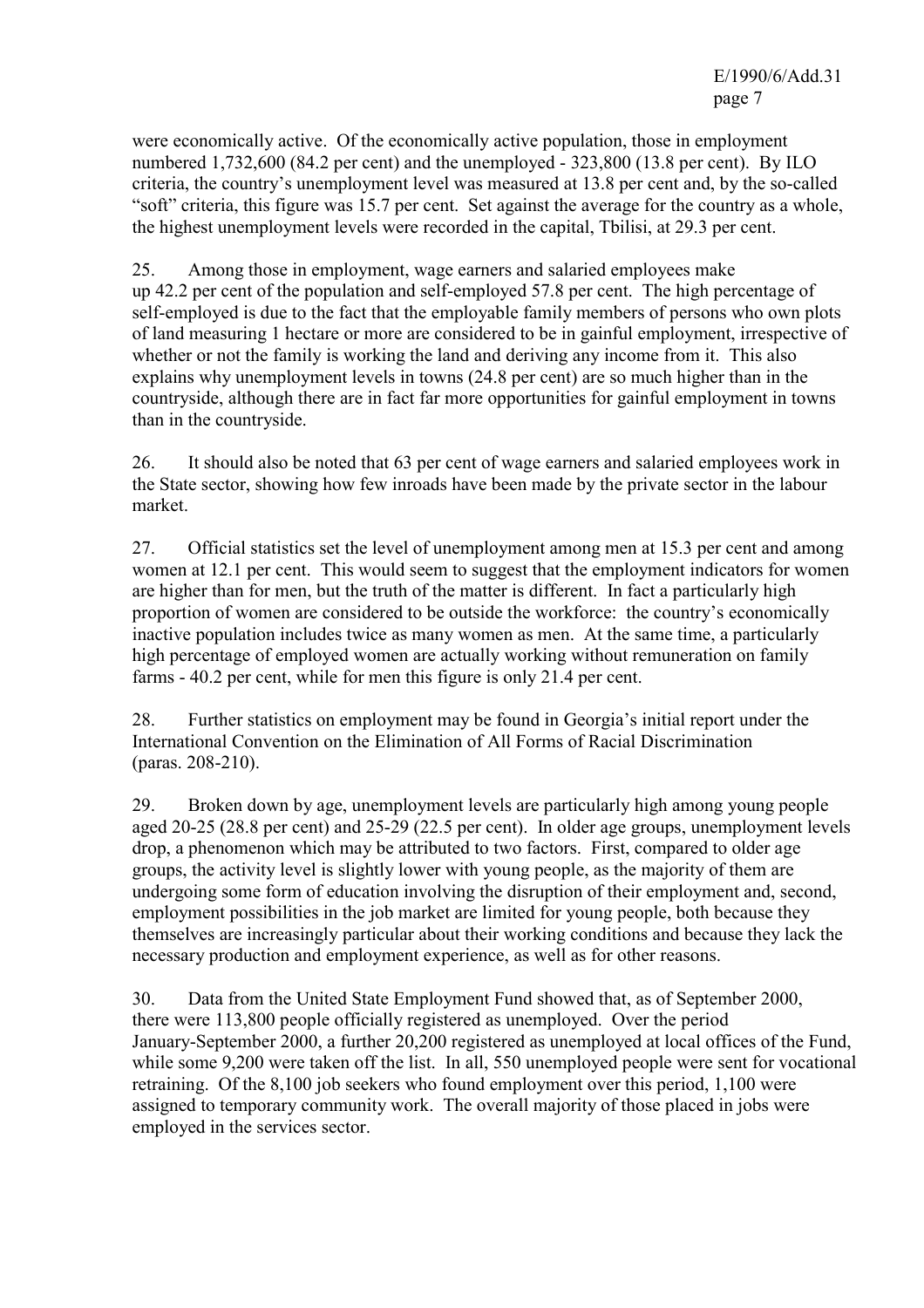were economically active. Of the economically active population, those in employment numbered 1,732,600 (84.2 per cent) and the unemployed - 323,800 (13.8 per cent). By ILO criteria, the country's unemployment level was measured at 13.8 per cent and, by the so-called "soft" criteria, this figure was 15.7 per cent. Set against the average for the country as a whole, the highest unemployment levels were recorded in the capital, Tbilisi, at 29.3 per cent.

25. Among those in employment, wage earners and salaried employees make up 42.2 per cent of the population and self-employed 57.8 per cent. The high percentage of self-employed is due to the fact that the employable family members of persons who own plots of land measuring 1 hectare or more are considered to be in gainful employment, irrespective of whether or not the family is working the land and deriving any income from it. This also explains why unemployment levels in towns (24.8 per cent) are so much higher than in the countryside, although there are in fact far more opportunities for gainful employment in towns than in the countryside.

26. It should also be noted that 63 per cent of wage earners and salaried employees work in the State sector, showing how few inroads have been made by the private sector in the labour market.

27. Official statistics set the level of unemployment among men at 15.3 per cent and among women at 12.1 per cent. This would seem to suggest that the employment indicators for women are higher than for men, but the truth of the matter is different. In fact a particularly high proportion of women are considered to be outside the workforce: the country's economically inactive population includes twice as many women as men. At the same time, a particularly high percentage of employed women are actually working without remuneration on family farms - 40.2 per cent, while for men this figure is only 21.4 per cent.

28. Further statistics on employment may be found in Georgia's initial report under the International Convention on the Elimination of All Forms of Racial Discrimination (paras. 208-210).

29. Broken down by age, unemployment levels are particularly high among young people aged 20-25 (28.8 per cent) and 25-29 (22.5 per cent). In older age groups, unemployment levels drop, a phenomenon which may be attributed to two factors. First, compared to older age groups, the activity level is slightly lower with young people, as the majority of them are undergoing some form of education involving the disruption of their employment and, second, employment possibilities in the job market are limited for young people, both because they themselves are increasingly particular about their working conditions and because they lack the necessary production and employment experience, as well as for other reasons.

30. Data from the United State Employment Fund showed that, as of September 2000, there were 113,800 people officially registered as unemployed. Over the period January-September 2000, a further 20,200 registered as unemployed at local offices of the Fund, while some 9.200 were taken off the list. In all, 550 unemployed people were sent for vocational retraining. Of the 8,100 job seekers who found employment over this period, 1,100 were assigned to temporary community work. The overall majority of those placed in jobs were employed in the services sector.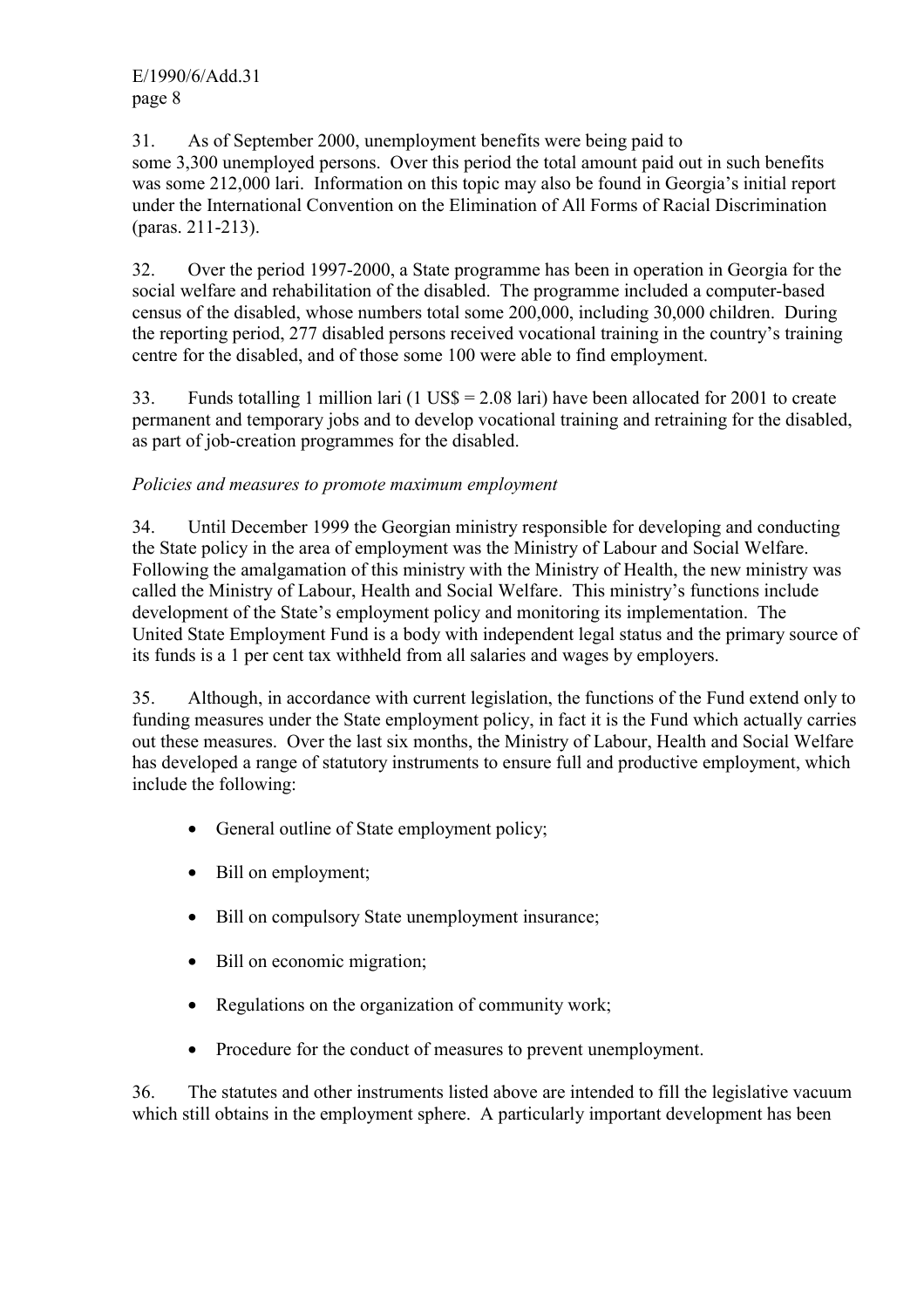31. As of September 2000, unemployment benefits were being paid to some 3,300 unemployed persons. Over this period the total amount paid out in such benefits was some 212,000 lari. Information on this topic may also be found in Georgia's initial report under the International Convention on the Elimination of All Forms of Racial Discrimination (paras. 211-213).

32. Over the period 1997-2000, a State programme has been in operation in Georgia for the social welfare and rehabilitation of the disabled. The programme included a computer-based census of the disabled, whose numbers total some 200,000, including 30,000 children. During the reporting period, 277 disabled persons received vocational training in the country's training centre for the disabled, and of those some 100 were able to find employment.

33. Funds totalling 1 million lari (1 US\$ = 2.08 lari) have been allocated for 2001 to create permanent and temporary jobs and to develop vocational training and retraining for the disabled, as part of job-creation programmes for the disabled.

# *Policies and measures to promote maximum employment*

34. Until December 1999 the Georgian ministry responsible for developing and conducting the State policy in the area of employment was the Ministry of Labour and Social Welfare. Following the amalgamation of this ministry with the Ministry of Health, the new ministry was called the Ministry of Labour, Health and Social Welfare. This ministry's functions include development of the State's employment policy and monitoring its implementation. The United State Employment Fund is a body with independent legal status and the primary source of its funds is a 1 per cent tax withheld from all salaries and wages by employers.

35. Although, in accordance with current legislation, the functions of the Fund extend only to funding measures under the State employment policy, in fact it is the Fund which actually carries out these measures. Over the last six months, the Ministry of Labour, Health and Social Welfare has developed a range of statutory instruments to ensure full and productive employment, which include the following:

- General outline of State employment policy;
- Bill on employment;
- Bill on compulsory State unemployment insurance;
- Bill on economic migration:
- Regulations on the organization of community work;
- Procedure for the conduct of measures to prevent unemployment.

36. The statutes and other instruments listed above are intended to fill the legislative vacuum which still obtains in the employment sphere. A particularly important development has been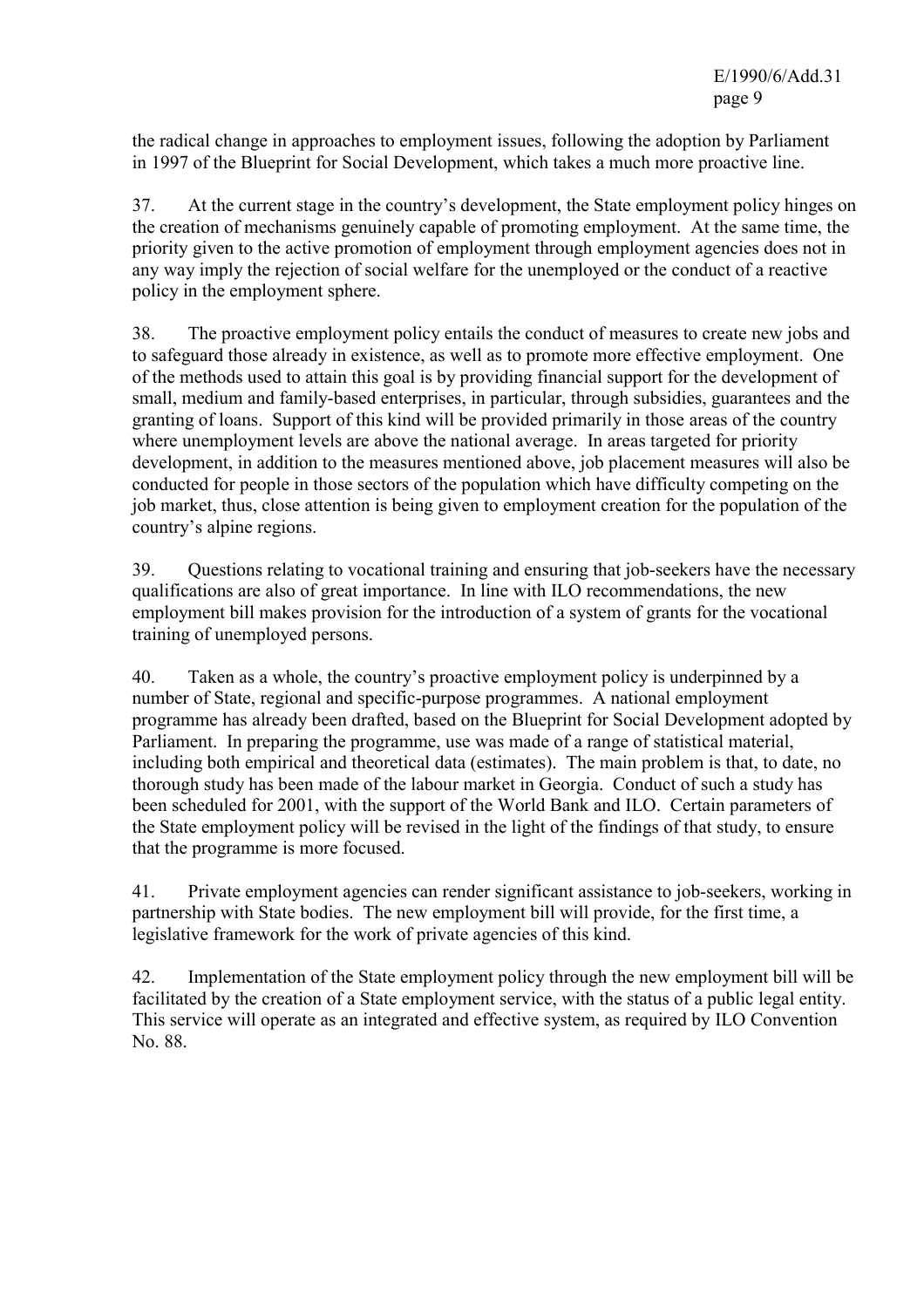the radical change in approaches to employment issues, following the adoption by Parliament in 1997 of the Blueprint for Social Development, which takes a much more proactive line.

37. At the current stage in the country's development, the State employment policy hinges on the creation of mechanisms genuinely capable of promoting employment. At the same time, the priority given to the active promotion of employment through employment agencies does not in any way imply the rejection of social welfare for the unemployed or the conduct of a reactive policy in the employment sphere.

38. The proactive employment policy entails the conduct of measures to create new jobs and to safeguard those already in existence, as well as to promote more effective employment. One of the methods used to attain this goal is by providing financial support for the development of small, medium and family-based enterprises, in particular, through subsidies, guarantees and the granting of loans. Support of this kind will be provided primarily in those areas of the country where unemployment levels are above the national average. In areas targeted for priority development, in addition to the measures mentioned above, job placement measures will also be conducted for people in those sectors of the population which have difficulty competing on the job market, thus, close attention is being given to employment creation for the population of the country's alpine regions.

39. Questions relating to vocational training and ensuring that job-seekers have the necessary qualifications are also of great importance. In line with ILO recommendations, the new employment bill makes provision for the introduction of a system of grants for the vocational training of unemployed persons.

40. Taken as a whole, the country's proactive employment policy is underpinned by a number of State, regional and specific-purpose programmes. A national employment programme has already been drafted, based on the Blueprint for Social Development adopted by Parliament. In preparing the programme, use was made of a range of statistical material, including both empirical and theoretical data (estimates). The main problem is that, to date, no thorough study has been made of the labour market in Georgia. Conduct of such a study has been scheduled for 2001, with the support of the World Bank and ILO. Certain parameters of the State employment policy will be revised in the light of the findings of that study, to ensure that the programme is more focused.

41. Private employment agencies can render significant assistance to job-seekers, working in partnership with State bodies. The new employment bill will provide, for the first time, a legislative framework for the work of private agencies of this kind.

42. Implementation of the State employment policy through the new employment bill will be facilitated by the creation of a State employment service, with the status of a public legal entity. This service will operate as an integrated and effective system, as required by ILO Convention No. 88.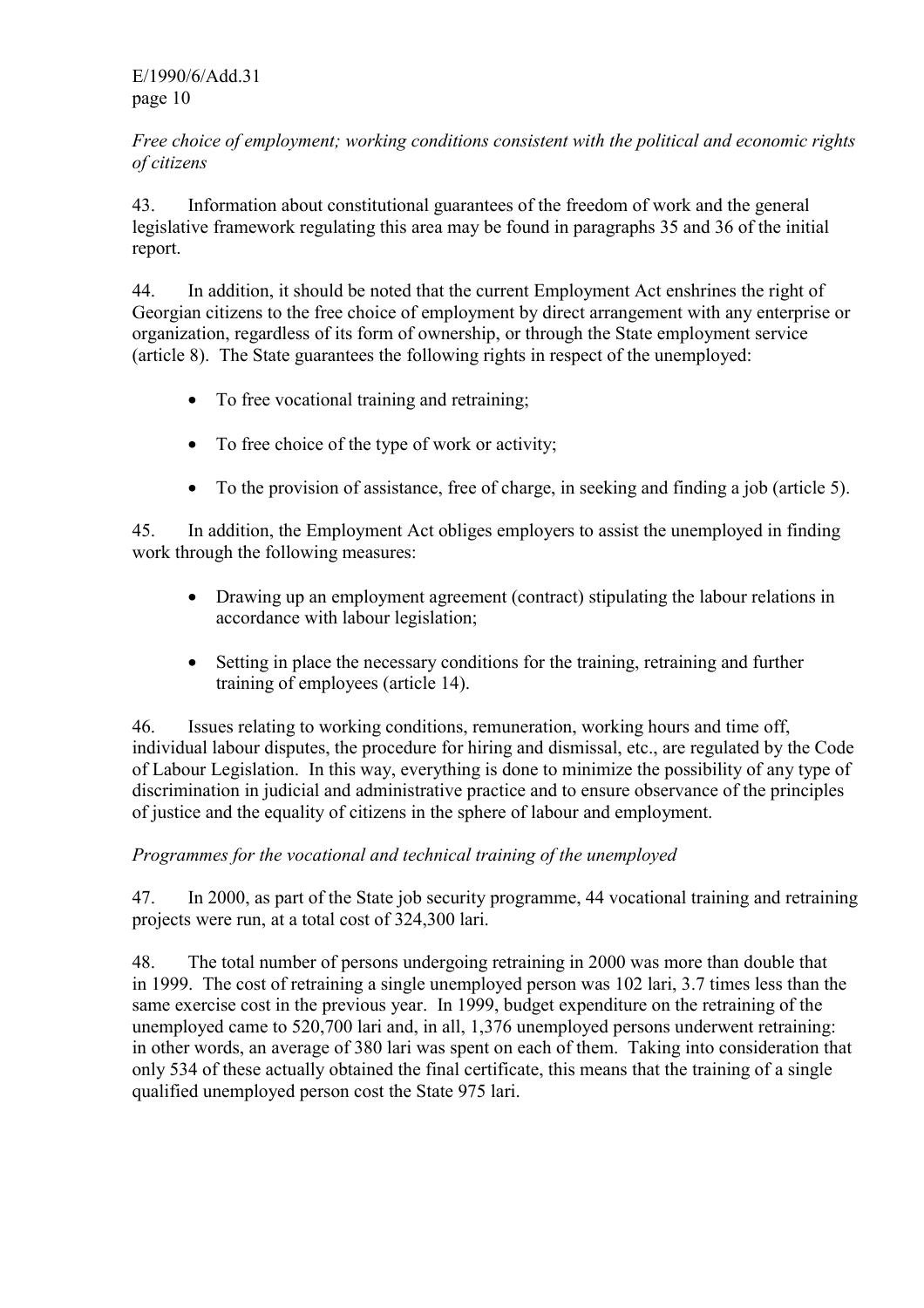### *Free choice of employment; working conditions consistent with the political and economic rights of citizens*

43. Information about constitutional guarantees of the freedom of work and the general legislative framework regulating this area may be found in paragraphs 35 and 36 of the initial report.

44. In addition, it should be noted that the current Employment Act enshrines the right of Georgian citizens to the free choice of employment by direct arrangement with any enterprise or organization, regardless of its form of ownership, or through the State employment service (article 8). The State guarantees the following rights in respect of the unemployed:

- To free vocational training and retraining;
- To free choice of the type of work or activity:
- To the provision of assistance, free of charge, in seeking and finding a job (article 5).

45. In addition, the Employment Act obliges employers to assist the unemployed in finding work through the following measures:

- Drawing up an employment agreement (contract) stipulating the labour relations in accordance with labour legislation;
- Setting in place the necessary conditions for the training, retraining and further training of employees (article 14).

46. Issues relating to working conditions, remuneration, working hours and time off, individual labour disputes, the procedure for hiring and dismissal, etc., are regulated by the Code of Labour Legislation. In this way, everything is done to minimize the possibility of any type of discrimination in judicial and administrative practice and to ensure observance of the principles of justice and the equality of citizens in the sphere of labour and employment.

# *Programmes for the vocational and technical training of the unemployed*

47. In 2000, as part of the State job security programme, 44 vocational training and retraining projects were run, at a total cost of 324,300 lari.

48. The total number of persons undergoing retraining in 2000 was more than double that in 1999. The cost of retraining a single unemployed person was 102 lari, 3.7 times less than the same exercise cost in the previous year. In 1999, budget expenditure on the retraining of the unemployed came to 520,700 lari and, in all, 1,376 unemployed persons underwent retraining: in other words, an average of 380 lari was spent on each of them. Taking into consideration that only 534 of these actually obtained the final certificate, this means that the training of a single qualified unemployed person cost the State 975 lari.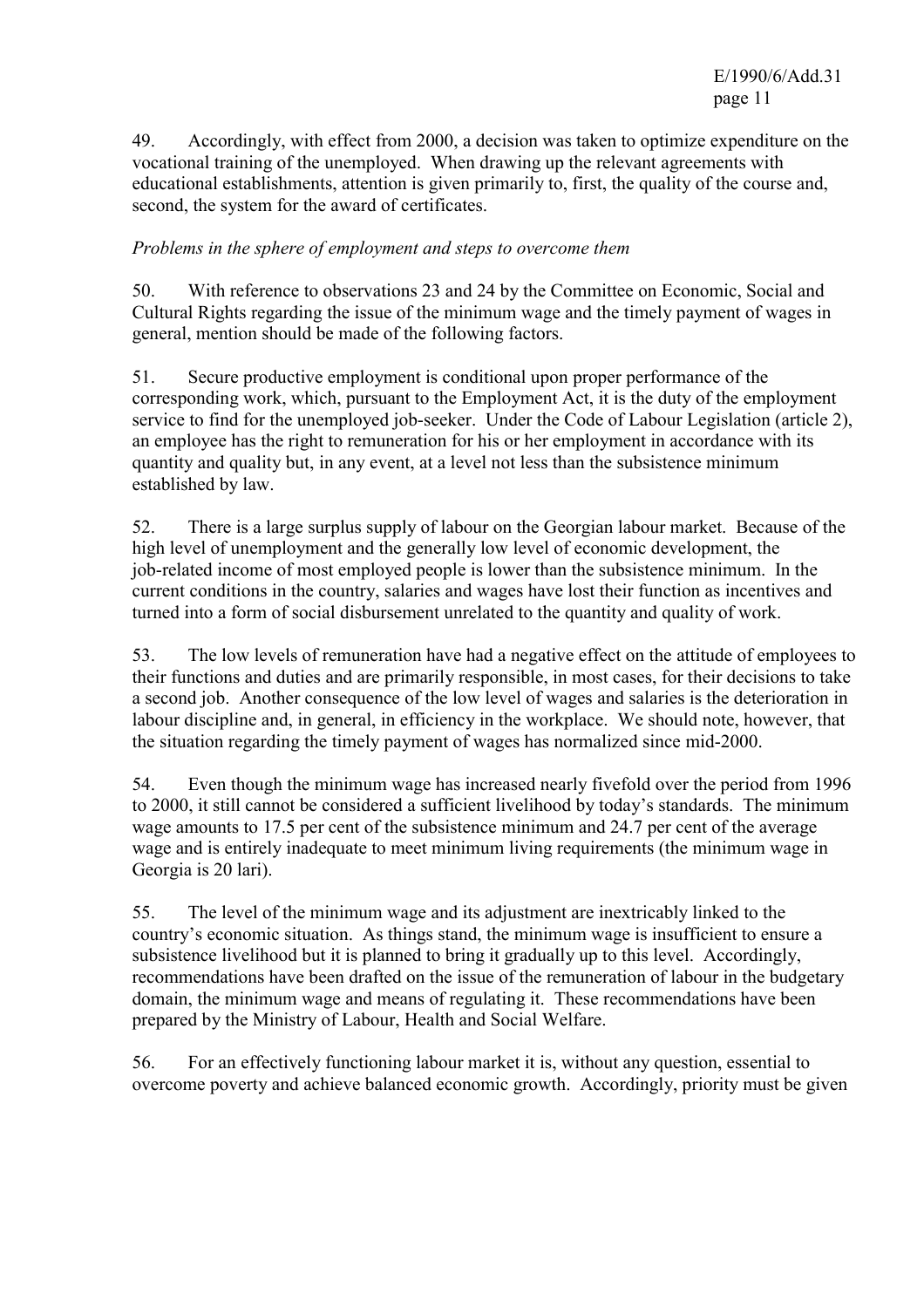49. Accordingly, with effect from 2000, a decision was taken to optimize expenditure on the vocational training of the unemployed. When drawing up the relevant agreements with educational establishments, attention is given primarily to, first, the quality of the course and, second, the system for the award of certificates.

### *Problems in the sphere of employment and steps to overcome them*

50. With reference to observations 23 and 24 by the Committee on Economic, Social and Cultural Rights regarding the issue of the minimum wage and the timely payment of wages in general, mention should be made of the following factors.

51. Secure productive employment is conditional upon proper performance of the corresponding work, which, pursuant to the Employment Act, it is the duty of the employment service to find for the unemployed job-seeker. Under the Code of Labour Legislation (article 2), an employee has the right to remuneration for his or her employment in accordance with its quantity and quality but, in any event, at a level not less than the subsistence minimum established by law.

52. There is a large surplus supply of labour on the Georgian labour market. Because of the high level of unemployment and the generally low level of economic development, the job-related income of most employed people is lower than the subsistence minimum. In the current conditions in the country, salaries and wages have lost their function as incentives and turned into a form of social disbursement unrelated to the quantity and quality of work.

53. The low levels of remuneration have had a negative effect on the attitude of employees to their functions and duties and are primarily responsible, in most cases, for their decisions to take a second job. Another consequence of the low level of wages and salaries is the deterioration in labour discipline and, in general, in efficiency in the workplace. We should note, however, that the situation regarding the timely payment of wages has normalized since mid-2000.

54. Even though the minimum wage has increased nearly fivefold over the period from 1996 to 2000, it still cannot be considered a sufficient livelihood by today's standards. The minimum wage amounts to 17.5 per cent of the subsistence minimum and 24.7 per cent of the average wage and is entirely inadequate to meet minimum living requirements (the minimum wage in Georgia is 20 lari).

55. The level of the minimum wage and its adjustment are inextricably linked to the country's economic situation. As things stand, the minimum wage is insufficient to ensure a subsistence livelihood but it is planned to bring it gradually up to this level. Accordingly, recommendations have been drafted on the issue of the remuneration of labour in the budgetary domain, the minimum wage and means of regulating it. These recommendations have been prepared by the Ministry of Labour, Health and Social Welfare.

56. For an effectively functioning labour market it is, without any question, essential to overcome poverty and achieve balanced economic growth. Accordingly, priority must be given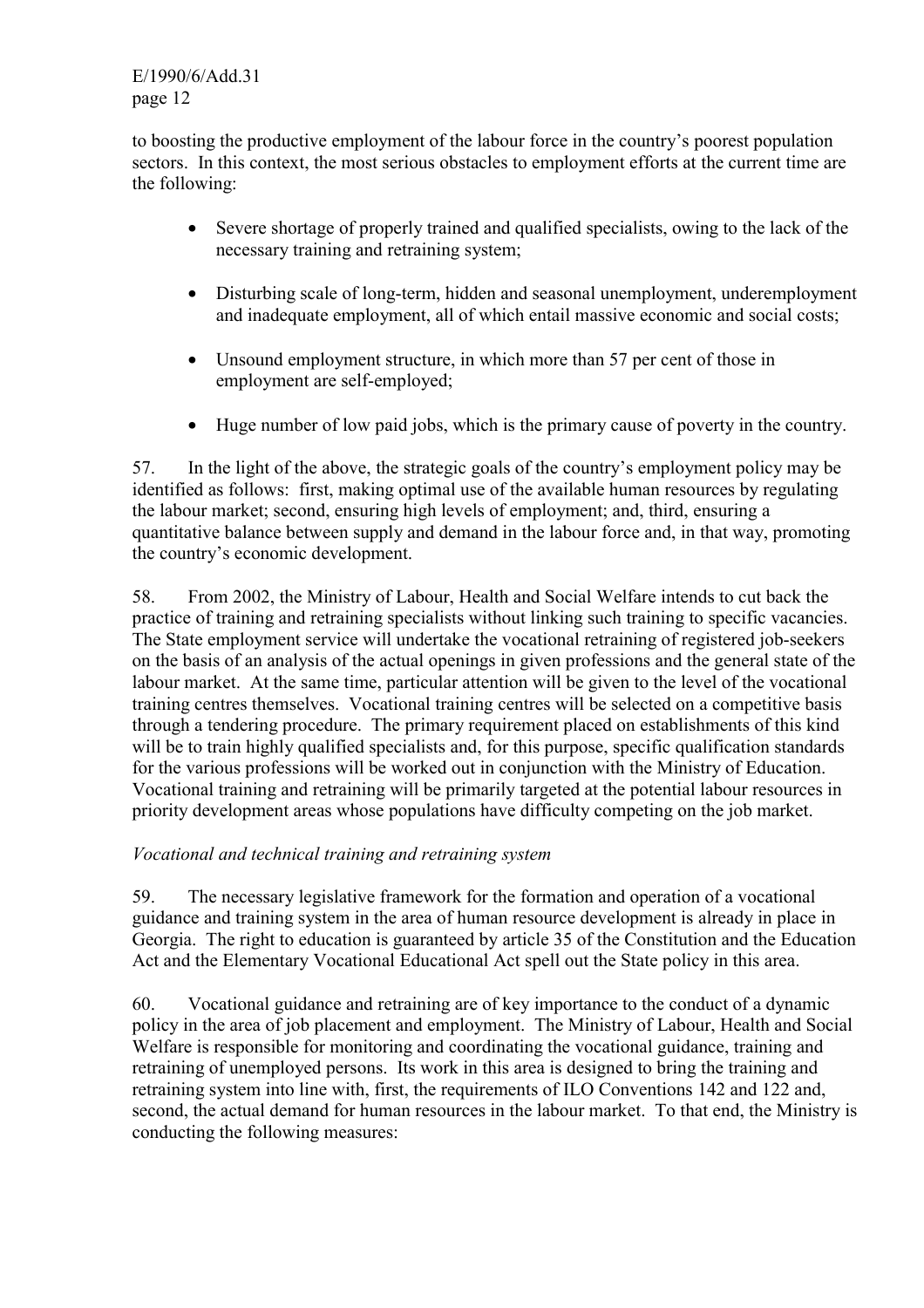E/1990/6/Add.31 page 12

to boosting the productive employment of the labour force in the country's poorest population sectors. In this context, the most serious obstacles to employment efforts at the current time are the following:

- Severe shortage of properly trained and qualified specialists, owing to the lack of the necessary training and retraining system;
- Disturbing scale of long-term, hidden and seasonal unemployment, underemployment and inadequate employment, all of which entail massive economic and social costs;
- Unsound employment structure, in which more than 57 per cent of those in employment are self-employed;
- Huge number of low paid jobs, which is the primary cause of poverty in the country.

57. In the light of the above, the strategic goals of the country's employment policy may be identified as follows: first, making optimal use of the available human resources by regulating the labour market; second, ensuring high levels of employment; and, third, ensuring a quantitative balance between supply and demand in the labour force and, in that way, promoting the country's economic development.

58. From 2002, the Ministry of Labour, Health and Social Welfare intends to cut back the practice of training and retraining specialists without linking such training to specific vacancies. The State employment service will undertake the vocational retraining of registered job-seekers on the basis of an analysis of the actual openings in given professions and the general state of the labour market. At the same time, particular attention will be given to the level of the vocational training centres themselves. Vocational training centres will be selected on a competitive basis through a tendering procedure. The primary requirement placed on establishments of this kind will be to train highly qualified specialists and, for this purpose, specific qualification standards for the various professions will be worked out in conjunction with the Ministry of Education. Vocational training and retraining will be primarily targeted at the potential labour resources in priority development areas whose populations have difficulty competing on the job market.

### *Vocational and technical training and retraining system*

59. The necessary legislative framework for the formation and operation of a vocational guidance and training system in the area of human resource development is already in place in Georgia. The right to education is guaranteed by article 35 of the Constitution and the Education Act and the Elementary Vocational Educational Act spell out the State policy in this area.

60. Vocational guidance and retraining are of key importance to the conduct of a dynamic policy in the area of job placement and employment. The Ministry of Labour, Health and Social Welfare is responsible for monitoring and coordinating the vocational guidance, training and retraining of unemployed persons. Its work in this area is designed to bring the training and retraining system into line with, first, the requirements of ILO Conventions 142 and 122 and, second, the actual demand for human resources in the labour market. To that end, the Ministry is conducting the following measures: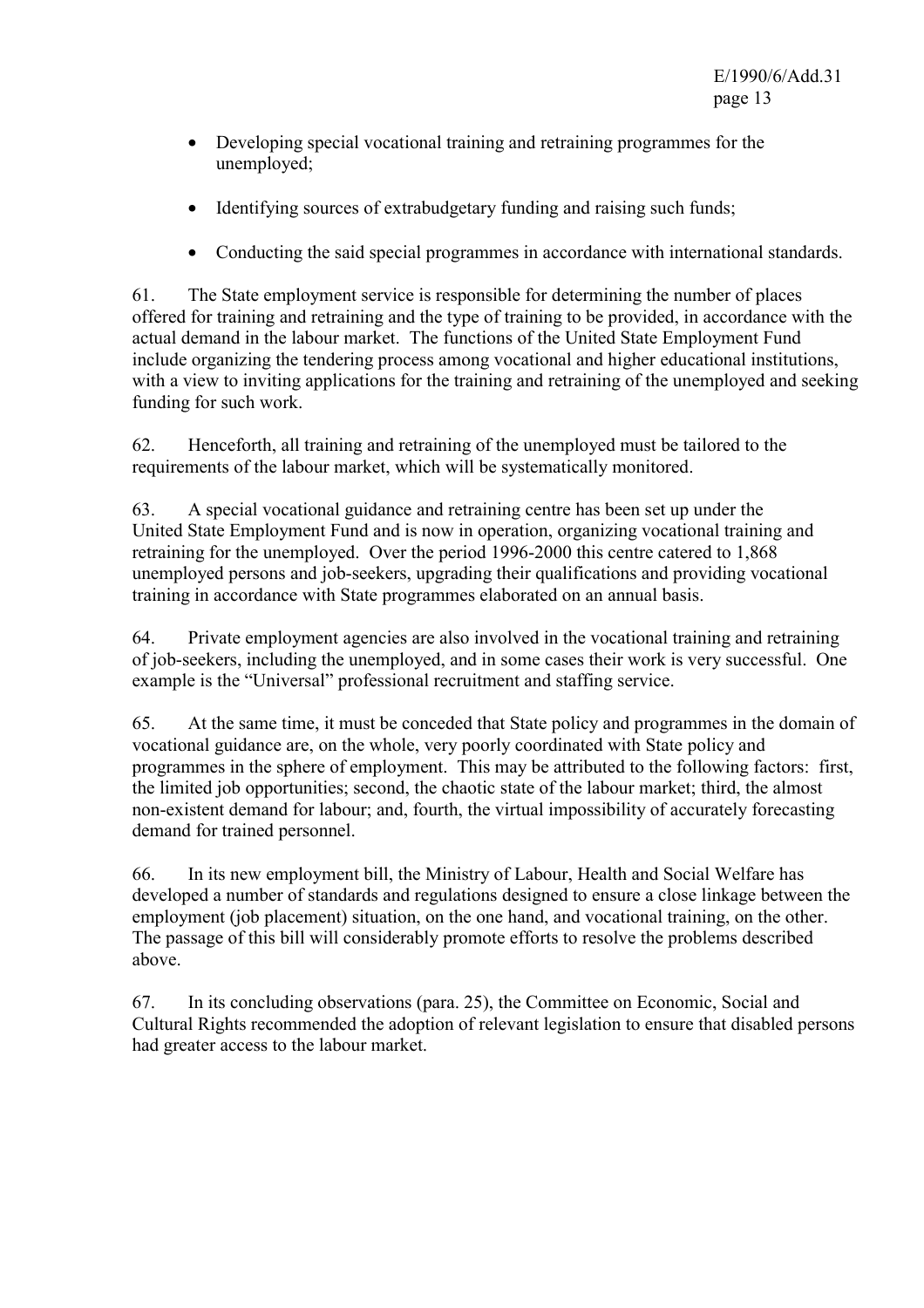- Developing special vocational training and retraining programmes for the unemployed;
- Identifying sources of extrabudgetary funding and raising such funds;
- Conducting the said special programmes in accordance with international standards.

61. The State employment service is responsible for determining the number of places offered for training and retraining and the type of training to be provided, in accordance with the actual demand in the labour market. The functions of the United State Employment Fund include organizing the tendering process among vocational and higher educational institutions, with a view to inviting applications for the training and retraining of the unemployed and seeking funding for such work.

62. Henceforth, all training and retraining of the unemployed must be tailored to the requirements of the labour market, which will be systematically monitored.

63. A special vocational guidance and retraining centre has been set up under the United State Employment Fund and is now in operation, organizing vocational training and retraining for the unemployed. Over the period 1996-2000 this centre catered to 1,868 unemployed persons and job-seekers, upgrading their qualifications and providing vocational training in accordance with State programmes elaborated on an annual basis.

64. Private employment agencies are also involved in the vocational training and retraining of job-seekers, including the unemployed, and in some cases their work is very successful. One example is the "Universal" professional recruitment and staffing service.

65. At the same time, it must be conceded that State policy and programmes in the domain of vocational guidance are, on the whole, very poorly coordinated with State policy and programmes in the sphere of employment. This may be attributed to the following factors: first, the limited job opportunities; second, the chaotic state of the labour market; third, the almost non-existent demand for labour; and, fourth, the virtual impossibility of accurately forecasting demand for trained personnel.

66. In its new employment bill, the Ministry of Labour, Health and Social Welfare has developed a number of standards and regulations designed to ensure a close linkage between the employment (job placement) situation, on the one hand, and vocational training, on the other. The passage of this bill will considerably promote efforts to resolve the problems described above.

67. In its concluding observations (para. 25), the Committee on Economic, Social and Cultural Rights recommended the adoption of relevant legislation to ensure that disabled persons had greater access to the labour market.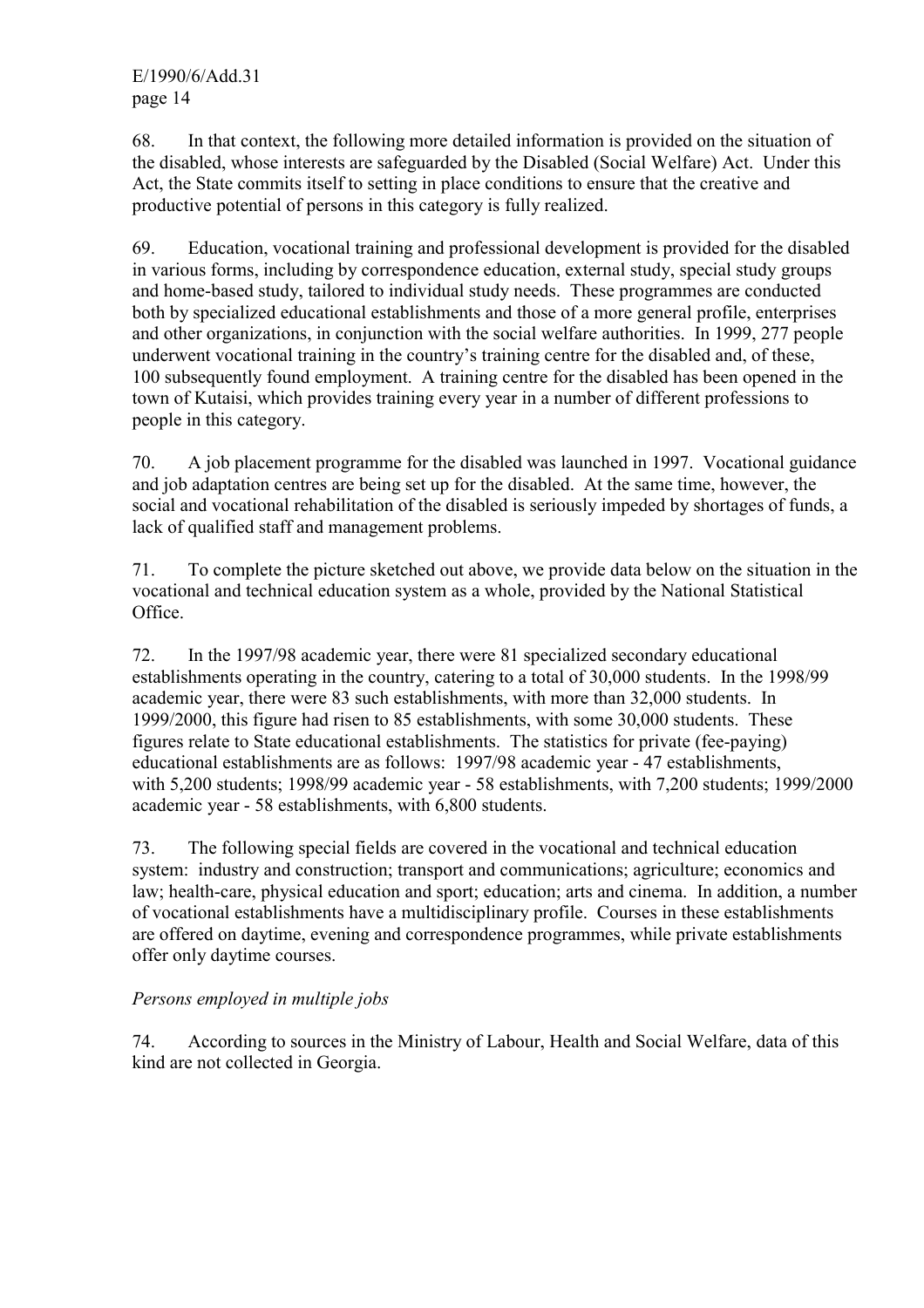68. In that context, the following more detailed information is provided on the situation of the disabled, whose interests are safeguarded by the Disabled (Social Welfare) Act. Under this Act, the State commits itself to setting in place conditions to ensure that the creative and productive potential of persons in this category is fully realized.

69. Education, vocational training and professional development is provided for the disabled in various forms, including by correspondence education, external study, special study groups and home-based study, tailored to individual study needs. These programmes are conducted both by specialized educational establishments and those of a more general profile, enterprises and other organizations, in conjunction with the social welfare authorities. In 1999, 277 people underwent vocational training in the country's training centre for the disabled and, of these, 100 subsequently found employment. A training centre for the disabled has been opened in the town of Kutaisi, which provides training every year in a number of different professions to people in this category.

70. A job placement programme for the disabled was launched in 1997. Vocational guidance and job adaptation centres are being set up for the disabled. At the same time, however, the social and vocational rehabilitation of the disabled is seriously impeded by shortages of funds, a lack of qualified staff and management problems.

71. To complete the picture sketched out above, we provide data below on the situation in the vocational and technical education system as a whole, provided by the National Statistical Office.

72. In the 1997/98 academic year, there were 81 specialized secondary educational establishments operating in the country, catering to a total of 30,000 students. In the 1998/99 academic year, there were 83 such establishments, with more than 32,000 students. In 1999/2000, this figure had risen to 85 establishments, with some 30,000 students. These figures relate to State educational establishments. The statistics for private (fee-paying) educational establishments are as follows: 1997/98 academic year - 47 establishments, with 5,200 students; 1998/99 academic year - 58 establishments, with 7,200 students; 1999/2000 academic year - 58 establishments, with 6,800 students.

73. The following special fields are covered in the vocational and technical education system: industry and construction; transport and communications; agriculture; economics and law; health-care, physical education and sport; education; arts and cinema. In addition, a number of vocational establishments have a multidisciplinary profile. Courses in these establishments are offered on daytime, evening and correspondence programmes, while private establishments offer only daytime courses.

# *Persons employed in multiple jobs*

74. According to sources in the Ministry of Labour, Health and Social Welfare, data of this kind are not collected in Georgia.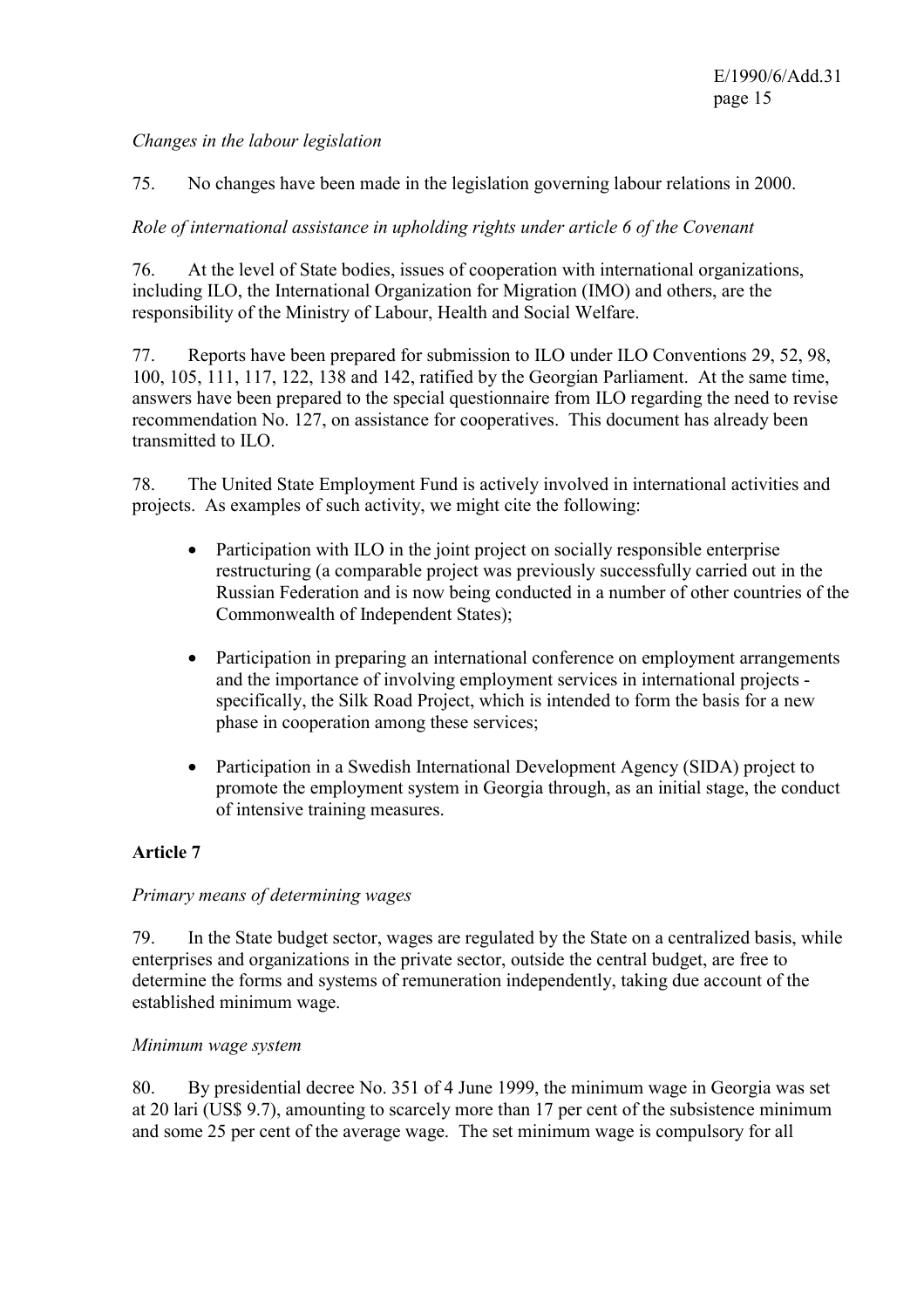### *Changes in the labour legislation*

75. No changes have been made in the legislation governing labour relations in 2000.

### *Role of international assistance in upholding rights under article 6 of the Covenant*

76. At the level of State bodies, issues of cooperation with international organizations, including ILO, the International Organization for Migration (IMO) and others, are the responsibility of the Ministry of Labour, Health and Social Welfare.

77. Reports have been prepared for submission to ILO under ILO Conventions 29, 52, 98, 100, 105, 111, 117, 122, 138 and 142, ratified by the Georgian Parliament. At the same time, answers have been prepared to the special questionnaire from ILO regarding the need to revise recommendation No. 127, on assistance for cooperatives. This document has already been transmitted to ILO.

78. The United State Employment Fund is actively involved in international activities and projects. As examples of such activity, we might cite the following:

- Participation with ILO in the joint project on socially responsible enterprise restructuring (a comparable project was previously successfully carried out in the Russian Federation and is now being conducted in a number of other countries of the Commonwealth of Independent States);
- Participation in preparing an international conference on employment arrangements and the importance of involving employment services in international projects specifically, the Silk Road Project, which is intended to form the basis for a new phase in cooperation among these services;
- Participation in a Swedish International Development Agency (SIDA) project to promote the employment system in Georgia through, as an initial stage, the conduct of intensive training measures.

### **Article 7**

### *Primary means of determining wages*

79. In the State budget sector, wages are regulated by the State on a centralized basis, while enterprises and organizations in the private sector, outside the central budget, are free to determine the forms and systems of remuneration independently, taking due account of the established minimum wage.

#### *Minimum wage system*

80. By presidential decree No. 351 of 4 June 1999, the minimum wage in Georgia was set at 20 lari (US\$ 9.7), amounting to scarcely more than 17 per cent of the subsistence minimum and some 25 per cent of the average wage. The set minimum wage is compulsory for all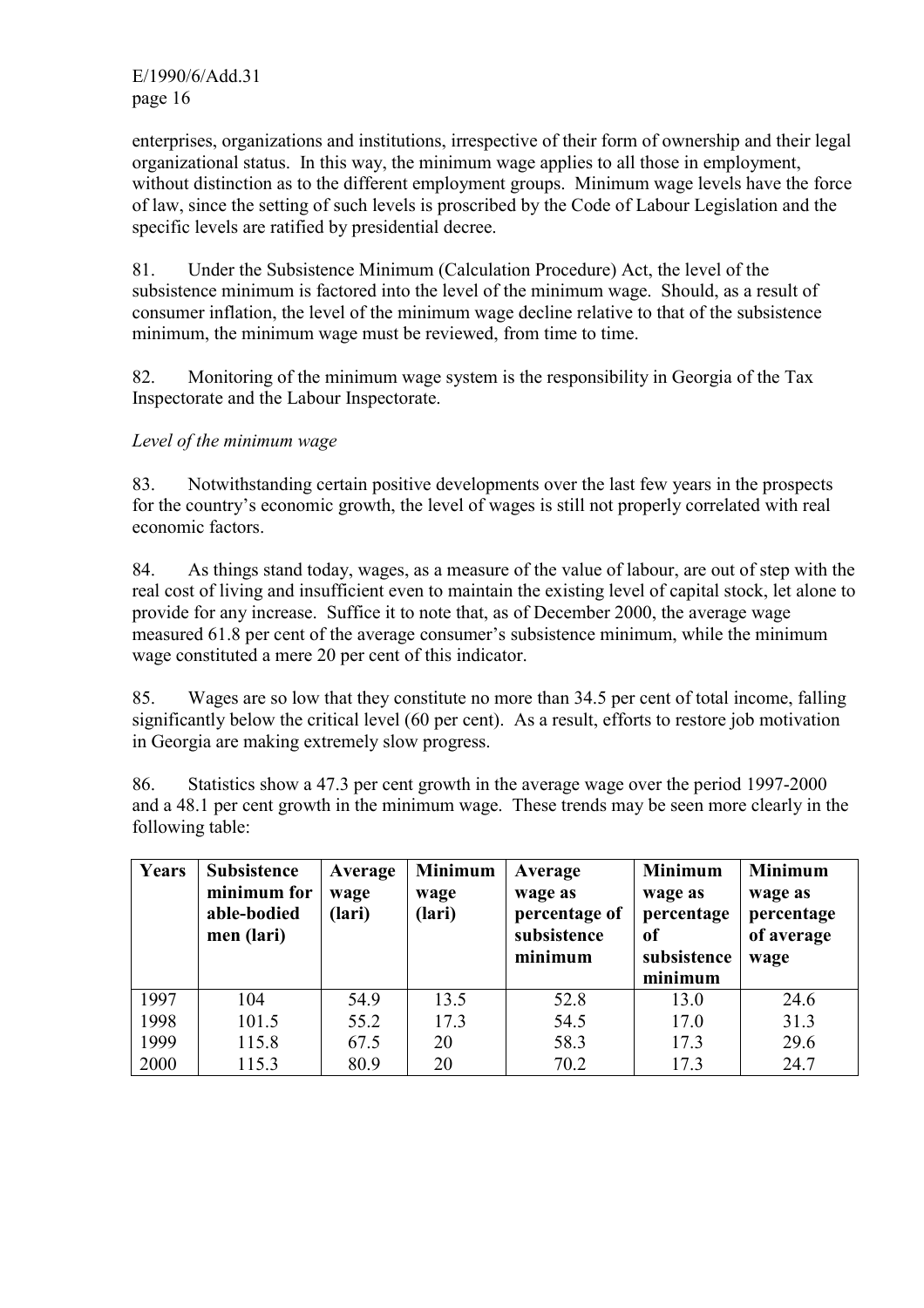enterprises, organizations and institutions, irrespective of their form of ownership and their legal organizational status. In this way, the minimum wage applies to all those in employment, without distinction as to the different employment groups. Minimum wage levels have the force of law, since the setting of such levels is proscribed by the Code of Labour Legislation and the specific levels are ratified by presidential decree.

81. Under the Subsistence Minimum (Calculation Procedure) Act, the level of the subsistence minimum is factored into the level of the minimum wage. Should, as a result of consumer inflation, the level of the minimum wage decline relative to that of the subsistence minimum, the minimum wage must be reviewed, from time to time.

82. Monitoring of the minimum wage system is the responsibility in Georgia of the Tax Inspectorate and the Labour Inspectorate.

### *Level of the minimum wage*

83. Notwithstanding certain positive developments over the last few years in the prospects for the country's economic growth, the level of wages is still not properly correlated with real economic factors.

84. As things stand today, wages, as a measure of the value of labour, are out of step with the real cost of living and insufficient even to maintain the existing level of capital stock, let alone to provide for any increase. Suffice it to note that, as of December 2000, the average wage measured 61.8 per cent of the average consumer's subsistence minimum, while the minimum wage constituted a mere 20 per cent of this indicator.

85. Wages are so low that they constitute no more than 34.5 per cent of total income, falling significantly below the critical level (60 per cent). As a result, efforts to restore job motivation in Georgia are making extremely slow progress.

86. Statistics show a 47.3 per cent growth in the average wage over the period 1997-2000 and a 48.1 per cent growth in the minimum wage. These trends may be seen more clearly in the following table:

| Years | <b>Subsistence</b><br>minimum for<br>able-bodied<br>men (lari) | Average<br>wage<br>(lari) | <b>Minimum</b><br>wage<br>(lari) | Average<br>wage as<br>percentage of<br>subsistence<br>minimum | <b>Minimum</b><br>wage as<br>percentage<br>0f<br>subsistence | <b>Minimum</b><br>wage as<br>percentage<br>of average<br>wage |
|-------|----------------------------------------------------------------|---------------------------|----------------------------------|---------------------------------------------------------------|--------------------------------------------------------------|---------------------------------------------------------------|
|       |                                                                |                           |                                  |                                                               | minimum                                                      |                                                               |
| 1997  | 104                                                            | 54.9                      | 13.5                             | 52.8                                                          | 13.0                                                         | 24.6                                                          |
| 1998  | 101.5                                                          | 55.2                      | 17.3                             | 54.5                                                          | 17.0                                                         | 31.3                                                          |
| 1999  | 115.8                                                          | 67.5                      | 20                               | 58.3                                                          | 17.3                                                         | 29.6                                                          |
| 2000  | 115.3                                                          | 80.9                      | 20                               | 70.2                                                          | 17.3                                                         | 24.7                                                          |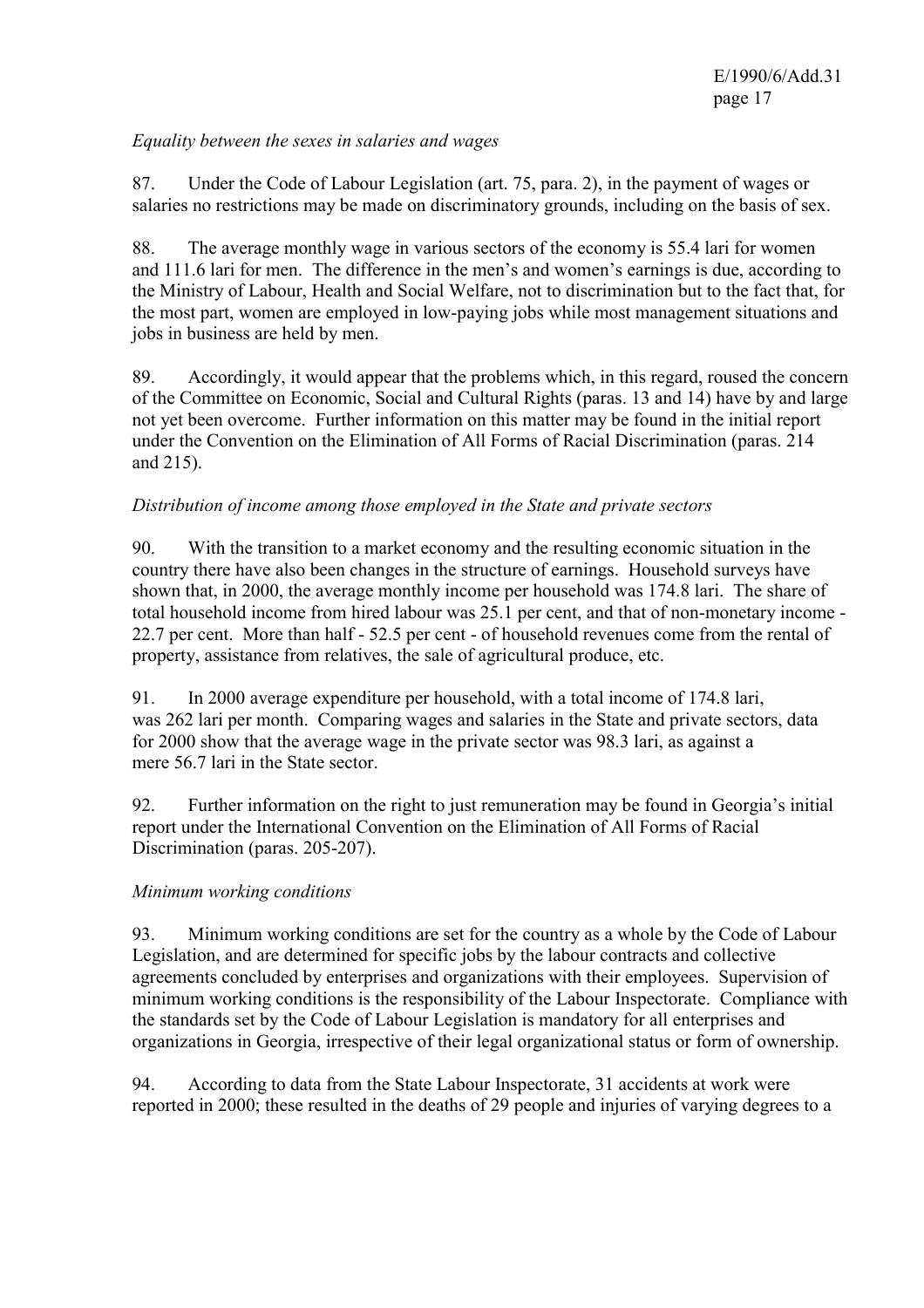### *Equality between the sexes in salaries and wages*

87. Under the Code of Labour Legislation (art. 75, para. 2), in the payment of wages or salaries no restrictions may be made on discriminatory grounds, including on the basis of sex.

88. The average monthly wage in various sectors of the economy is 55.4 lari for women and 111.6 lari for men. The difference in the men's and women's earnings is due, according to the Ministry of Labour, Health and Social Welfare, not to discrimination but to the fact that, for the most part, women are employed in low-paying jobs while most management situations and jobs in business are held by men.

89. Accordingly, it would appear that the problems which, in this regard, roused the concern of the Committee on Economic, Social and Cultural Rights (paras. 13 and 14) have by and large not yet been overcome. Further information on this matter may be found in the initial report under the Convention on the Elimination of All Forms of Racial Discrimination (paras. 214 and 215).

### *Distribution of income among those employed in the State and private sectors*

90. With the transition to a market economy and the resulting economic situation in the country there have also been changes in the structure of earnings. Household surveys have shown that, in 2000, the average monthly income per household was 174.8 lari. The share of total household income from hired labour was 25.1 per cent, and that of non-monetary income - 22.7 per cent. More than half - 52.5 per cent - of household revenues come from the rental of property, assistance from relatives, the sale of agricultural produce, etc.

91. In 2000 average expenditure per household, with a total income of 174.8 lari, was 262 lari per month. Comparing wages and salaries in the State and private sectors, data for 2000 show that the average wage in the private sector was 98.3 lari, as against a mere 56.7 lari in the State sector.

92. Further information on the right to just remuneration may be found in Georgia's initial report under the International Convention on the Elimination of All Forms of Racial Discrimination (paras. 205-207).

### *Minimum working conditions*

93. Minimum working conditions are set for the country as a whole by the Code of Labour Legislation, and are determined for specific jobs by the labour contracts and collective agreements concluded by enterprises and organizations with their employees. Supervision of minimum working conditions is the responsibility of the Labour Inspectorate. Compliance with the standards set by the Code of Labour Legislation is mandatory for all enterprises and organizations in Georgia, irrespective of their legal organizational status or form of ownership.

94. According to data from the State Labour Inspectorate, 31 accidents at work were reported in 2000; these resulted in the deaths of 29 people and injuries of varying degrees to a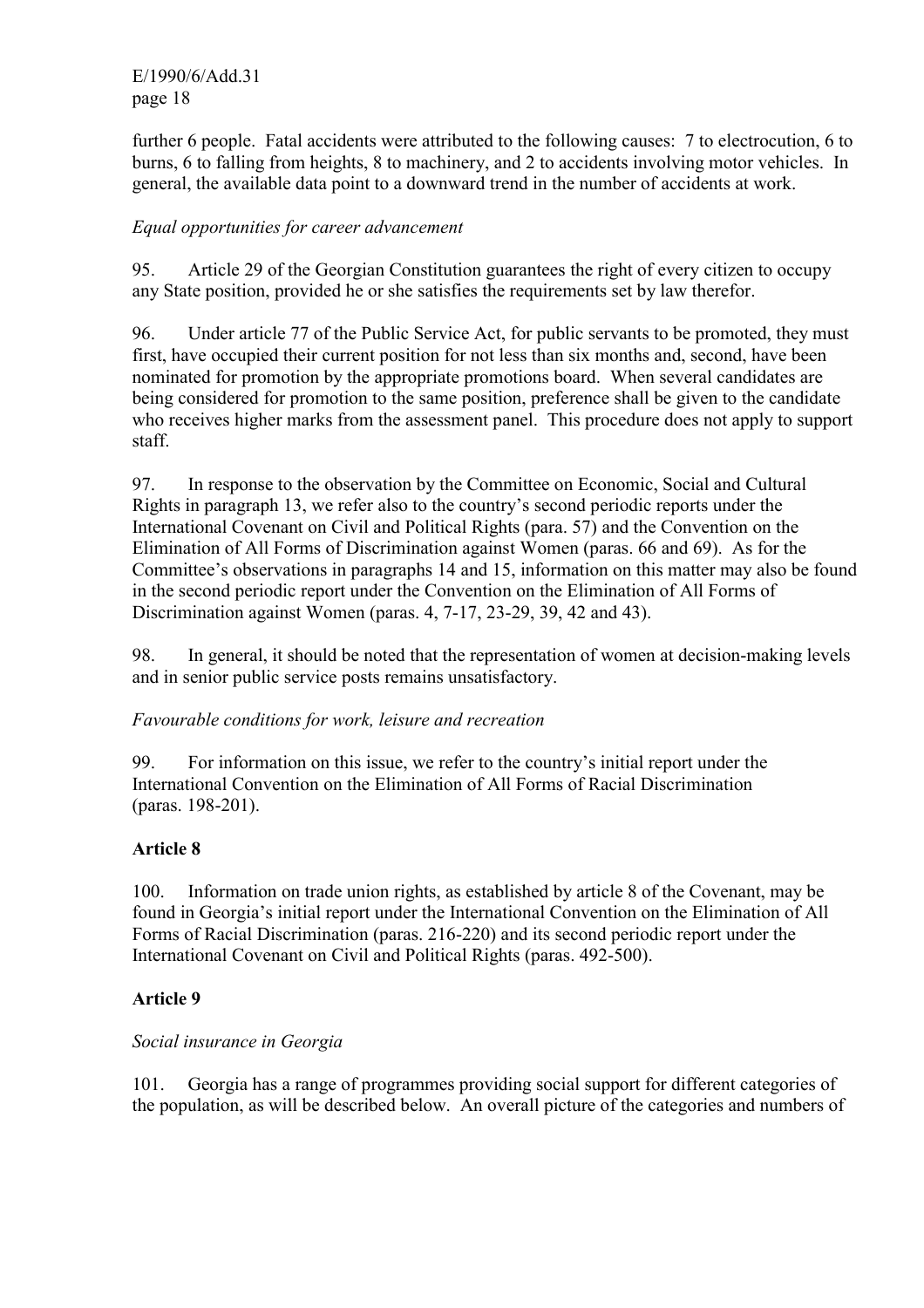E/1990/6/Add.31 page 18

further 6 people. Fatal accidents were attributed to the following causes: 7 to electrocution, 6 to burns, 6 to falling from heights, 8 to machinery, and 2 to accidents involving motor vehicles. In general, the available data point to a downward trend in the number of accidents at work.

### *Equal opportunities for career advancement*

95. Article 29 of the Georgian Constitution guarantees the right of every citizen to occupy any State position, provided he or she satisfies the requirements set by law therefor.

96. Under article 77 of the Public Service Act, for public servants to be promoted, they must first, have occupied their current position for not less than six months and, second, have been nominated for promotion by the appropriate promotions board. When several candidates are being considered for promotion to the same position, preference shall be given to the candidate who receives higher marks from the assessment panel. This procedure does not apply to support staff.

97. In response to the observation by the Committee on Economic, Social and Cultural Rights in paragraph 13, we refer also to the country's second periodic reports under the International Covenant on Civil and Political Rights (para. 57) and the Convention on the Elimination of All Forms of Discrimination against Women (paras. 66 and 69). As for the Committee's observations in paragraphs 14 and 15, information on this matter may also be found in the second periodic report under the Convention on the Elimination of All Forms of Discrimination against Women (paras. 4, 7-17, 23-29, 39, 42 and 43).

98. In general, it should be noted that the representation of women at decision-making levels and in senior public service posts remains unsatisfactory.

### *Favourable conditions for work, leisure and recreation*

99. For information on this issue, we refer to the country's initial report under the International Convention on the Elimination of All Forms of Racial Discrimination (paras. 198-201).

### **Article 8**

100. Information on trade union rights, as established by article 8 of the Covenant, may be found in Georgia's initial report under the International Convention on the Elimination of All Forms of Racial Discrimination (paras. 216-220) and its second periodic report under the International Covenant on Civil and Political Rights (paras. 492-500).

### **Article 9**

### *Social insurance in Georgia*

101. Georgia has a range of programmes providing social support for different categories of the population, as will be described below. An overall picture of the categories and numbers of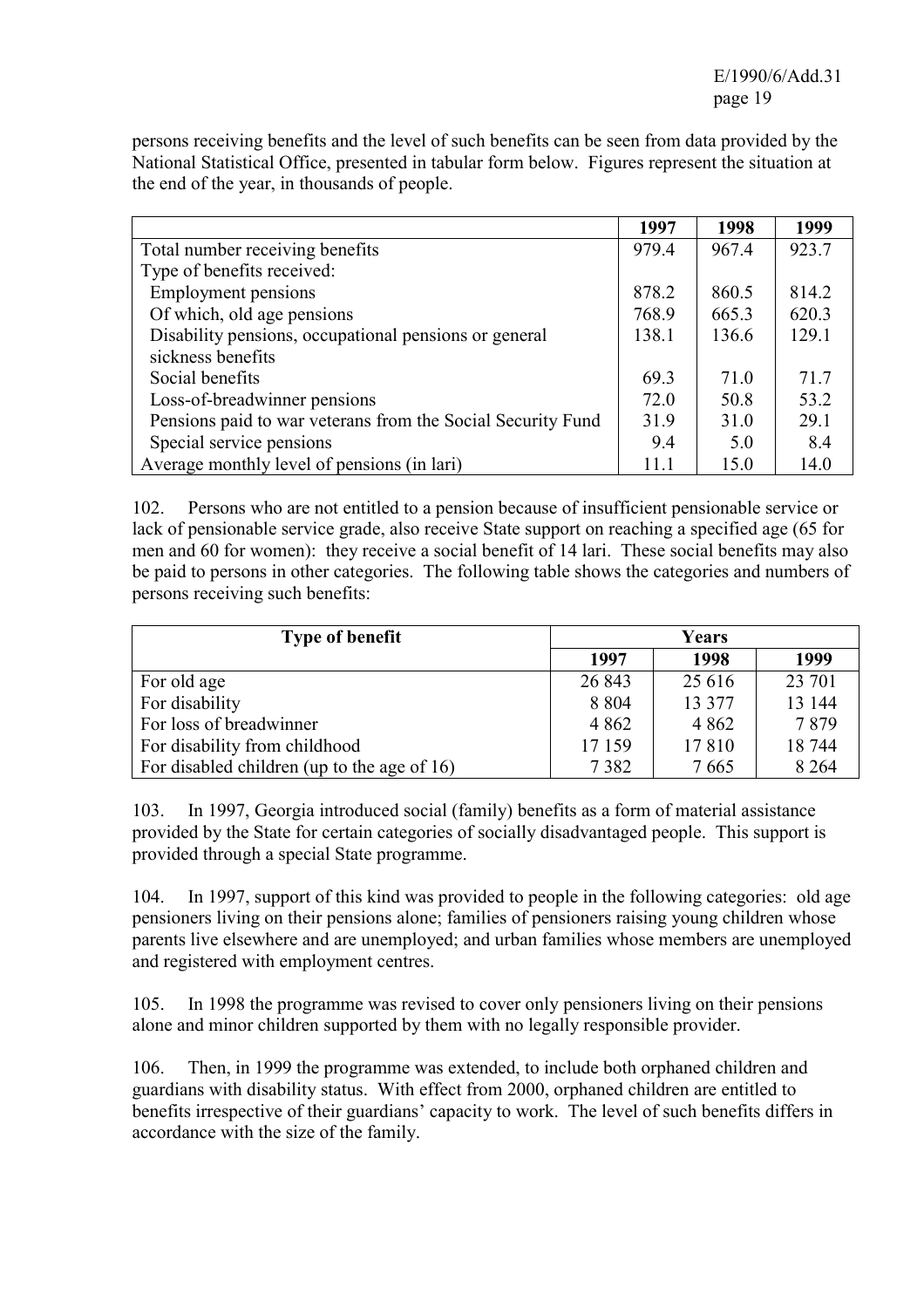persons receiving benefits and the level of such benefits can be seen from data provided by the National Statistical Office, presented in tabular form below. Figures represent the situation at the end of the year, in thousands of people.

|                                                             | 1997  | 1998  | 1999  |
|-------------------------------------------------------------|-------|-------|-------|
| Total number receiving benefits                             | 979.4 | 967.4 | 923.7 |
| Type of benefits received:                                  |       |       |       |
| <b>Employment pensions</b>                                  | 878.2 | 860.5 | 814.2 |
| Of which, old age pensions                                  | 768.9 | 665.3 | 620.3 |
| Disability pensions, occupational pensions or general       | 138.1 | 136.6 | 129.1 |
| sickness benefits                                           |       |       |       |
| Social benefits                                             | 69.3  | 71.0  | 71.7  |
| Loss-of-breadwinner pensions                                | 72.0  | 50.8  | 53.2  |
| Pensions paid to war veterans from the Social Security Fund | 31.9  | 31.0  | 29.1  |
| Special service pensions                                    | 9.4   | 5.0   | 8.4   |
| Average monthly level of pensions (in lari)                 | 11.1  | 15.0  | 14.0  |

102. Persons who are not entitled to a pension because of insufficient pensionable service or lack of pensionable service grade, also receive State support on reaching a specified age (65 for men and 60 for women): they receive a social benefit of 14 lari. These social benefits may also be paid to persons in other categories. The following table shows the categories and numbers of persons receiving such benefits:

| <b>Type of benefit</b>                      |         | Years   |         |  |  |
|---------------------------------------------|---------|---------|---------|--|--|
|                                             | 1997    | 1998    | 1999    |  |  |
| For old age                                 | 26 843  | 25 616  | 23 701  |  |  |
| For disability                              | 8 8 0 4 | 13 377  | 13 144  |  |  |
| For loss of breadwinner                     | 4 8 6 2 | 4 8 6 2 | 7879    |  |  |
| For disability from childhood               | 17 159  | 17810   | 18744   |  |  |
| For disabled children (up to the age of 16) | 7382    | 7665    | 8 2 6 4 |  |  |

103. In 1997, Georgia introduced social (family) benefits as a form of material assistance provided by the State for certain categories of socially disadvantaged people. This support is provided through a special State programme.

104. In 1997, support of this kind was provided to people in the following categories: old age pensioners living on their pensions alone; families of pensioners raising young children whose parents live elsewhere and are unemployed; and urban families whose members are unemployed and registered with employment centres.

105. In 1998 the programme was revised to cover only pensioners living on their pensions alone and minor children supported by them with no legally responsible provider.

106. Then, in 1999 the programme was extended, to include both orphaned children and guardians with disability status. With effect from 2000, orphaned children are entitled to benefits irrespective of their guardians' capacity to work. The level of such benefits differs in accordance with the size of the family.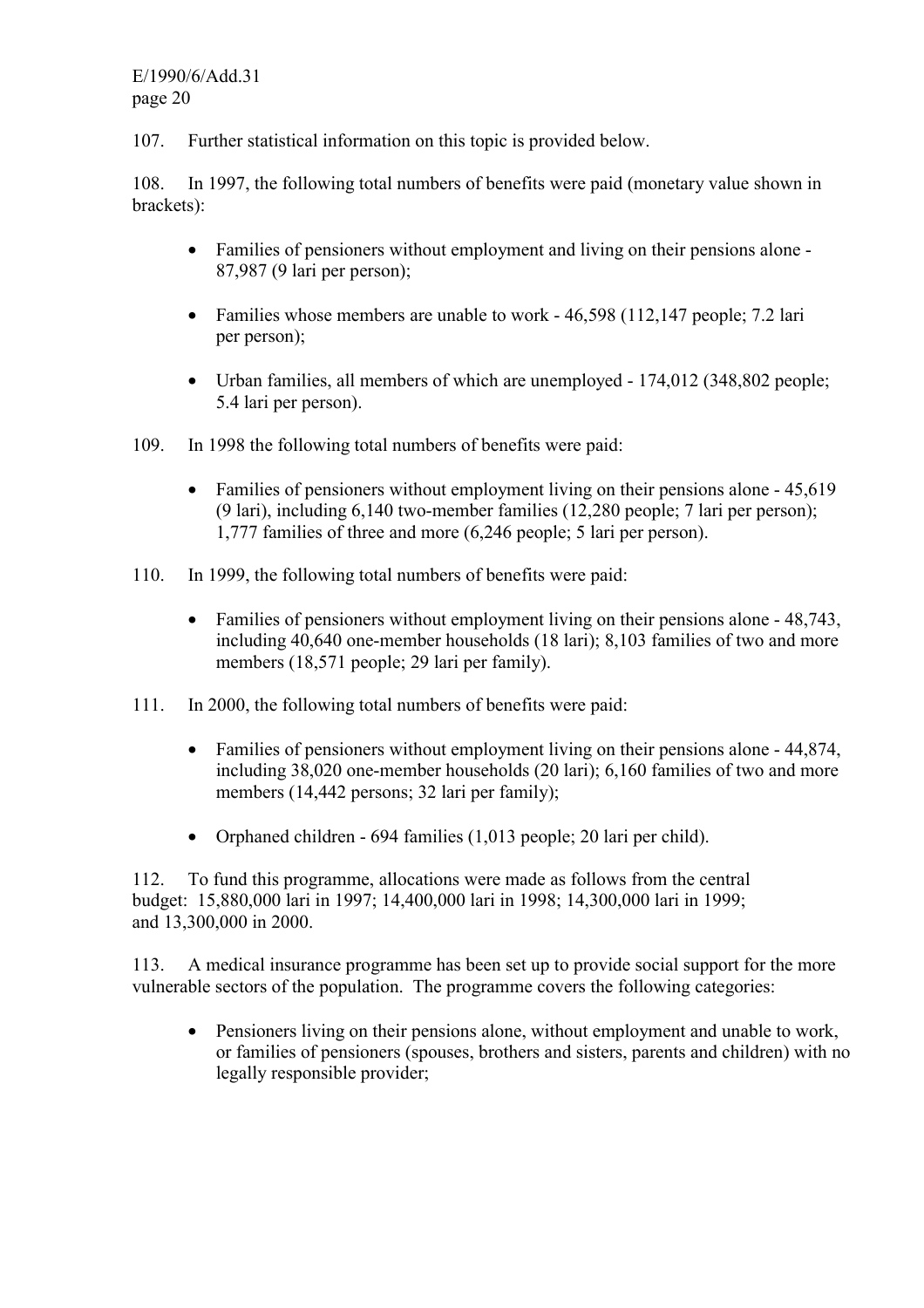107. Further statistical information on this topic is provided below.

108. In 1997, the following total numbers of benefits were paid (monetary value shown in brackets):

- Families of pensioners without employment and living on their pensions alone 87,987 (9 lari per person);
- Families whose members are unable to work 46,598 (112,147 people; 7.2 lari per person);
- Urban families, all members of which are unemployed 174,012 (348,802 people; 5.4 lari per person).
- 109. In 1998 the following total numbers of benefits were paid:
	- Families of pensioners without employment living on their pensions alone 45,619 (9 lari), including 6,140 two-member families (12,280 people; 7 lari per person); 1,777 families of three and more (6,246 people; 5 lari per person).
- 110. In 1999, the following total numbers of benefits were paid:
	- Families of pensioners without employment living on their pensions alone 48,743, including 40,640 one-member households (18 lari); 8,103 families of two and more members (18,571 people; 29 lari per family).
- 111. In 2000, the following total numbers of benefits were paid:
	- Families of pensioners without employment living on their pensions alone 44,874, including 38,020 one-member households (20 lari); 6,160 families of two and more members (14,442 persons; 32 lari per family);
	- Orphaned children 694 families (1,013 people; 20 lari per child).

112. To fund this programme, allocations were made as follows from the central budget: 15,880,000 lari in 1997; 14,400,000 lari in 1998; 14,300,000 lari in 1999; and 13,300,000 in 2000.

113. A medical insurance programme has been set up to provide social support for the more vulnerable sectors of the population. The programme covers the following categories:

• Pensioners living on their pensions alone, without employment and unable to work, or families of pensioners (spouses, brothers and sisters, parents and children) with no legally responsible provider;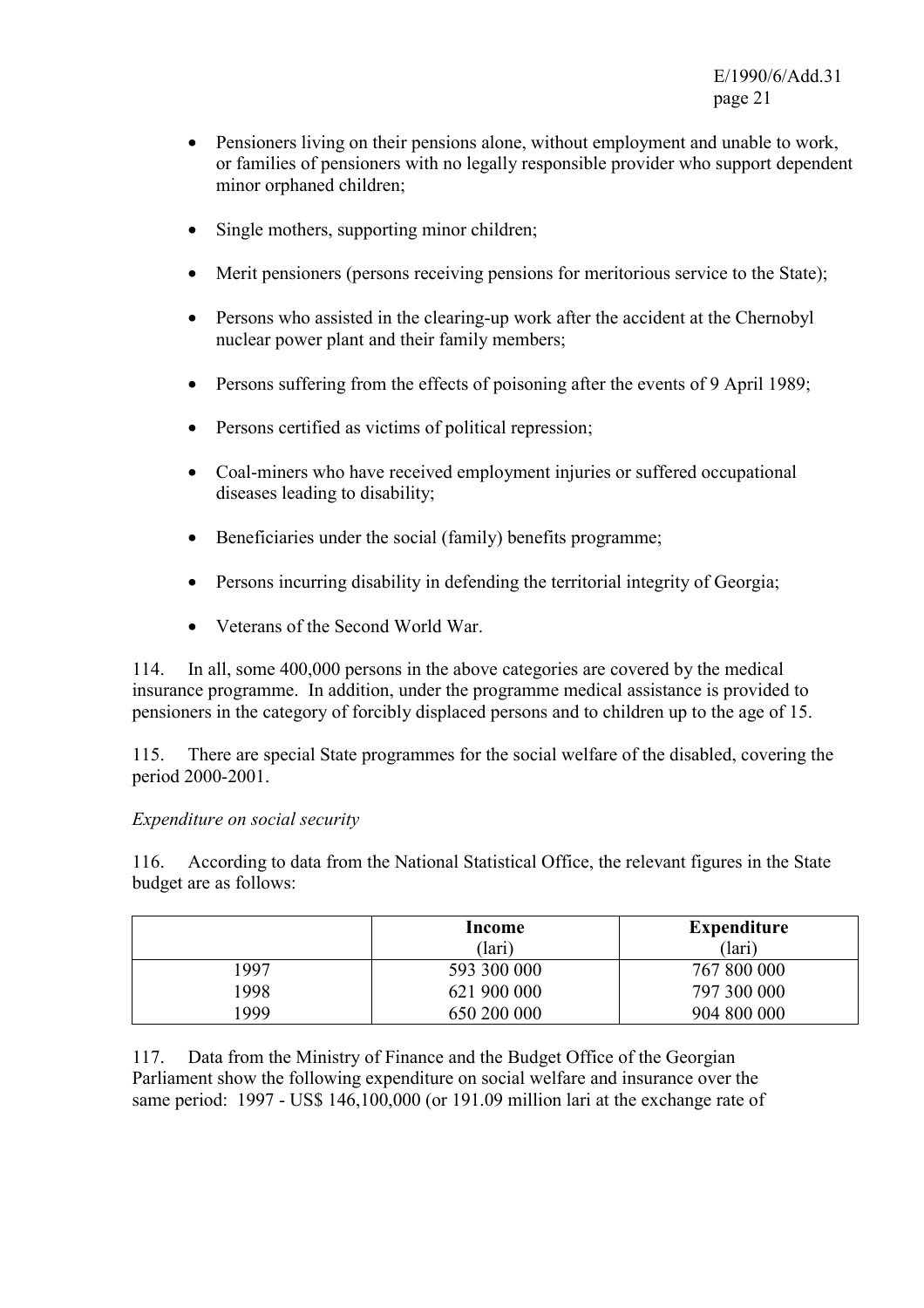- Pensioners living on their pensions alone, without employment and unable to work, or families of pensioners with no legally responsible provider who support dependent minor orphaned children;
- Single mothers, supporting minor children;
- Merit pensioners (persons receiving pensions for meritorious service to the State);
- Persons who assisted in the clearing-up work after the accident at the Chernobyl nuclear power plant and their family members;
- Persons suffering from the effects of poisoning after the events of 9 April 1989;
- Persons certified as victims of political repression;
- Coal-miners who have received employment injuries or suffered occupational diseases leading to disability;
- Beneficiaries under the social (family) benefits programme;
- Persons incurring disability in defending the territorial integrity of Georgia;
- Veterans of the Second World War.

114. In all, some 400,000 persons in the above categories are covered by the medical insurance programme. In addition, under the programme medical assistance is provided to pensioners in the category of forcibly displaced persons and to children up to the age of 15.

115. There are special State programmes for the social welfare of the disabled, covering the period 2000-2001.

#### *Expenditure on social security*

116. According to data from the National Statistical Office, the relevant figures in the State budget are as follows:

|      | Income<br>(lari) | Expenditure<br>(lari) |
|------|------------------|-----------------------|
| 1997 | 593 300 000      | 767 800 000           |
| 1998 | 621 900 000      | 797 300 000           |
| 999  | 650 200 000      | 904 800 000           |

117. Data from the Ministry of Finance and the Budget Office of the Georgian Parliament show the following expenditure on social welfare and insurance over the same period: 1997 - US\$ 146,100,000 (or 191.09 million lari at the exchange rate of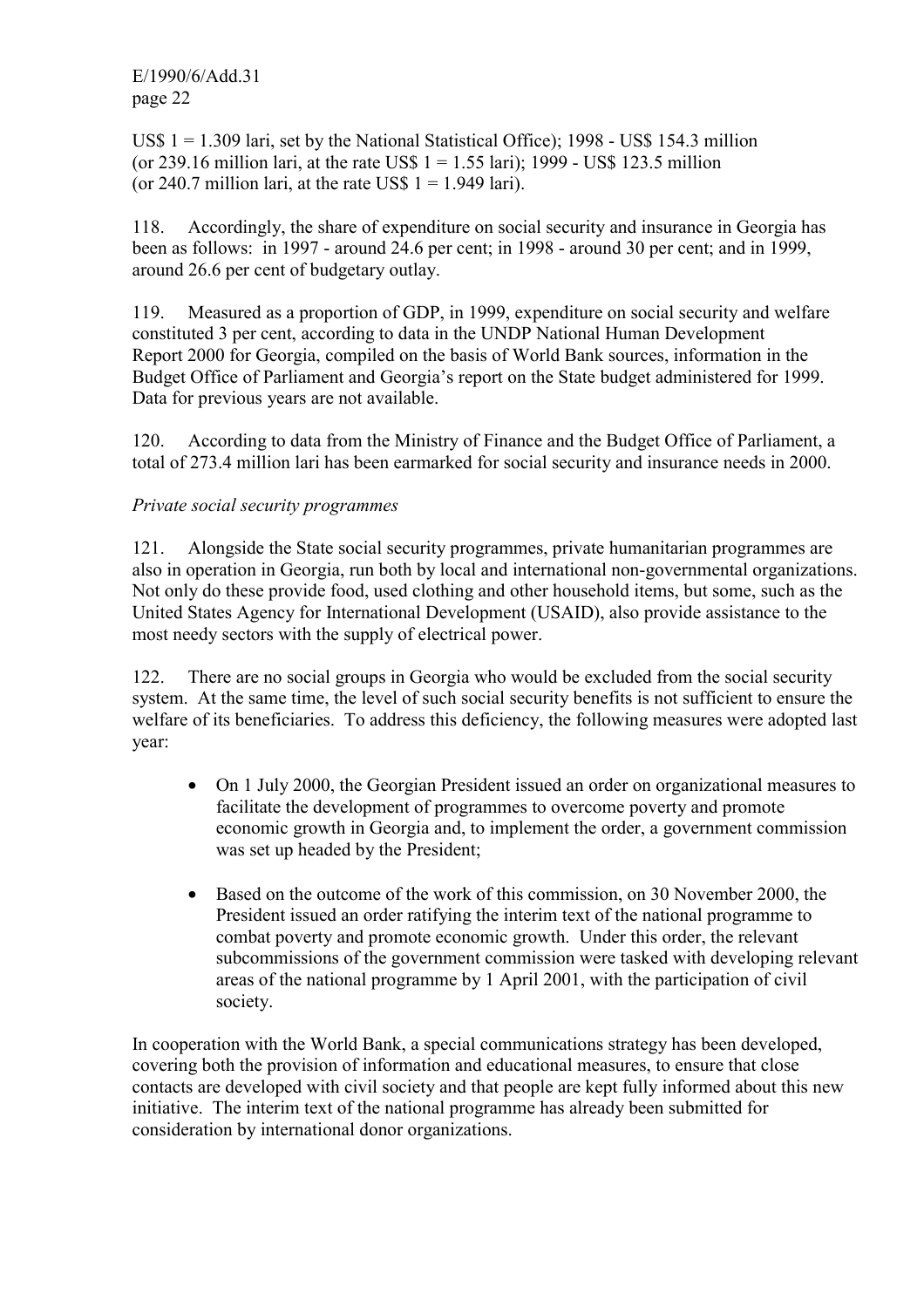US\$  $1 = 1.309$  lari, set by the National Statistical Office); 1998 - US\$ 154.3 million (or 239.16 million lari, at the rate US\$  $1 = 1.55$  lari); 1999 - US\$ 123.5 million (or 240.7 million lari, at the rate US\$  $1 = 1.949$  lari).

118. Accordingly, the share of expenditure on social security and insurance in Georgia has been as follows: in 1997 - around 24.6 per cent; in 1998 - around 30 per cent; and in 1999, around 26.6 per cent of budgetary outlay.

119. Measured as a proportion of GDP, in 1999, expenditure on social security and welfare constituted 3 per cent, according to data in the UNDP National Human Development Report 2000 for Georgia, compiled on the basis of World Bank sources, information in the Budget Office of Parliament and Georgia's report on the State budget administered for 1999. Data for previous years are not available.

120. According to data from the Ministry of Finance and the Budget Office of Parliament, a total of 273.4 million lari has been earmarked for social security and insurance needs in 2000.

### *Private social security programmes*

121. Alongside the State social security programmes, private humanitarian programmes are also in operation in Georgia, run both by local and international non-governmental organizations. Not only do these provide food, used clothing and other household items, but some, such as the United States Agency for International Development (USAID), also provide assistance to the most needy sectors with the supply of electrical power.

122. There are no social groups in Georgia who would be excluded from the social security system. At the same time, the level of such social security benefits is not sufficient to ensure the welfare of its beneficiaries. To address this deficiency, the following measures were adopted last year:

- On 1 July 2000, the Georgian President issued an order on organizational measures to facilitate the development of programmes to overcome poverty and promote economic growth in Georgia and, to implement the order, a government commission was set up headed by the President;
- Based on the outcome of the work of this commission, on 30 November 2000, the President issued an order ratifying the interim text of the national programme to combat poverty and promote economic growth. Under this order, the relevant subcommissions of the government commission were tasked with developing relevant areas of the national programme by 1 April 2001, with the participation of civil society.

In cooperation with the World Bank, a special communications strategy has been developed, covering both the provision of information and educational measures, to ensure that close contacts are developed with civil society and that people are kept fully informed about this new initiative. The interim text of the national programme has already been submitted for consideration by international donor organizations.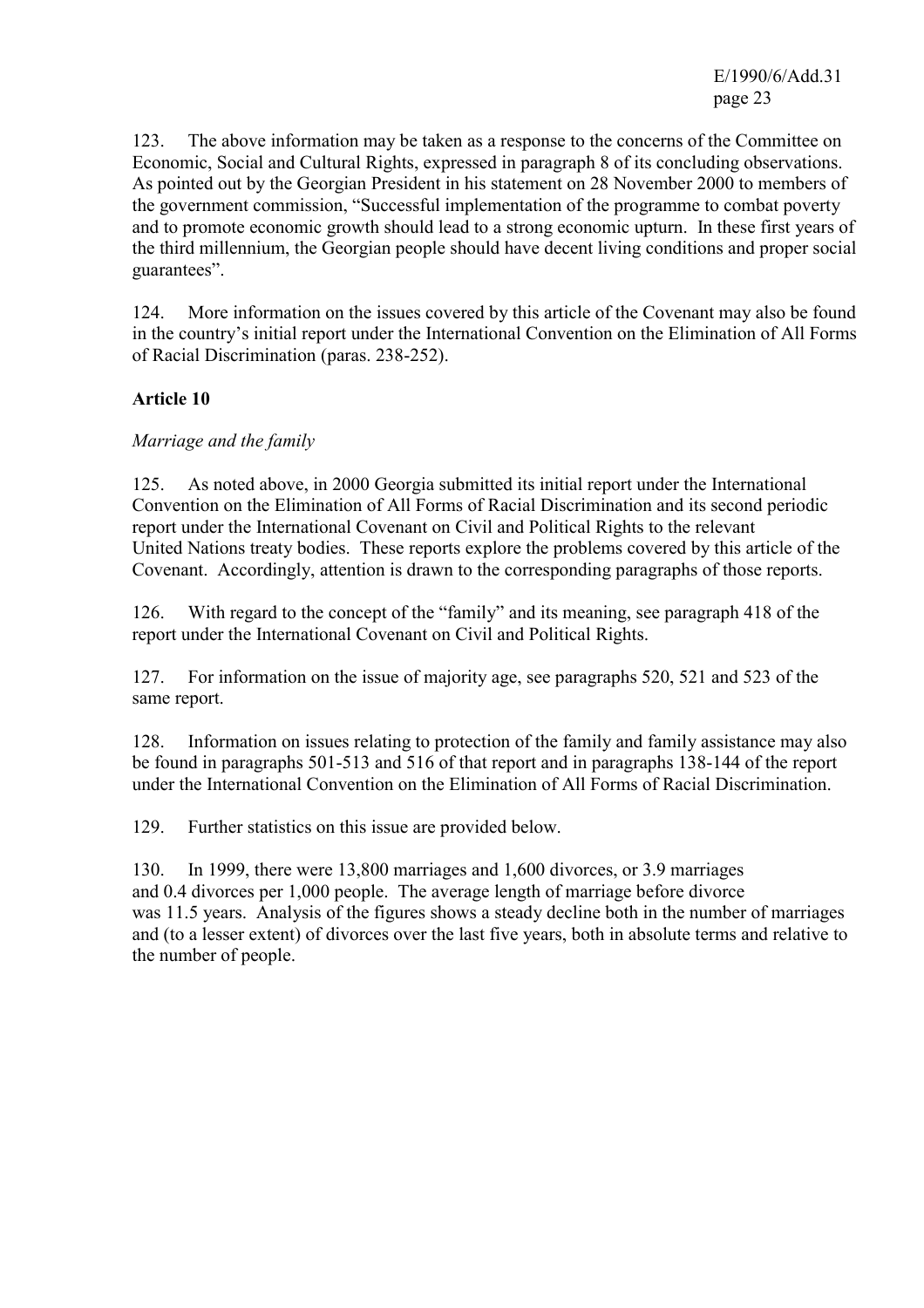E/1990/6/Add.31 page 23

123. The above information may be taken as a response to the concerns of the Committee on Economic, Social and Cultural Rights, expressed in paragraph 8 of its concluding observations. As pointed out by the Georgian President in his statement on 28 November 2000 to members of the government commission, "Successful implementation of the programme to combat poverty and to promote economic growth should lead to a strong economic upturn. In these first years of the third millennium, the Georgian people should have decent living conditions and proper social guarantees".

124. More information on the issues covered by this article of the Covenant may also be found in the country's initial report under the International Convention on the Elimination of All Forms of Racial Discrimination (paras. 238-252).

### **Article 10**

### *Marriage and the family*

125. As noted above, in 2000 Georgia submitted its initial report under the International Convention on the Elimination of All Forms of Racial Discrimination and its second periodic report under the International Covenant on Civil and Political Rights to the relevant United Nations treaty bodies. These reports explore the problems covered by this article of the Covenant. Accordingly, attention is drawn to the corresponding paragraphs of those reports.

126. With regard to the concept of the "family" and its meaning, see paragraph 418 of the report under the International Covenant on Civil and Political Rights.

127. For information on the issue of majority age, see paragraphs 520, 521 and 523 of the same report.

128. Information on issues relating to protection of the family and family assistance may also be found in paragraphs 501-513 and 516 of that report and in paragraphs 138-144 of the report under the International Convention on the Elimination of All Forms of Racial Discrimination.

129. Further statistics on this issue are provided below.

130. In 1999, there were 13,800 marriages and 1,600 divorces, or 3.9 marriages and 0.4 divorces per 1,000 people. The average length of marriage before divorce was 11.5 years. Analysis of the figures shows a steady decline both in the number of marriages and (to a lesser extent) of divorces over the last five years, both in absolute terms and relative to the number of people.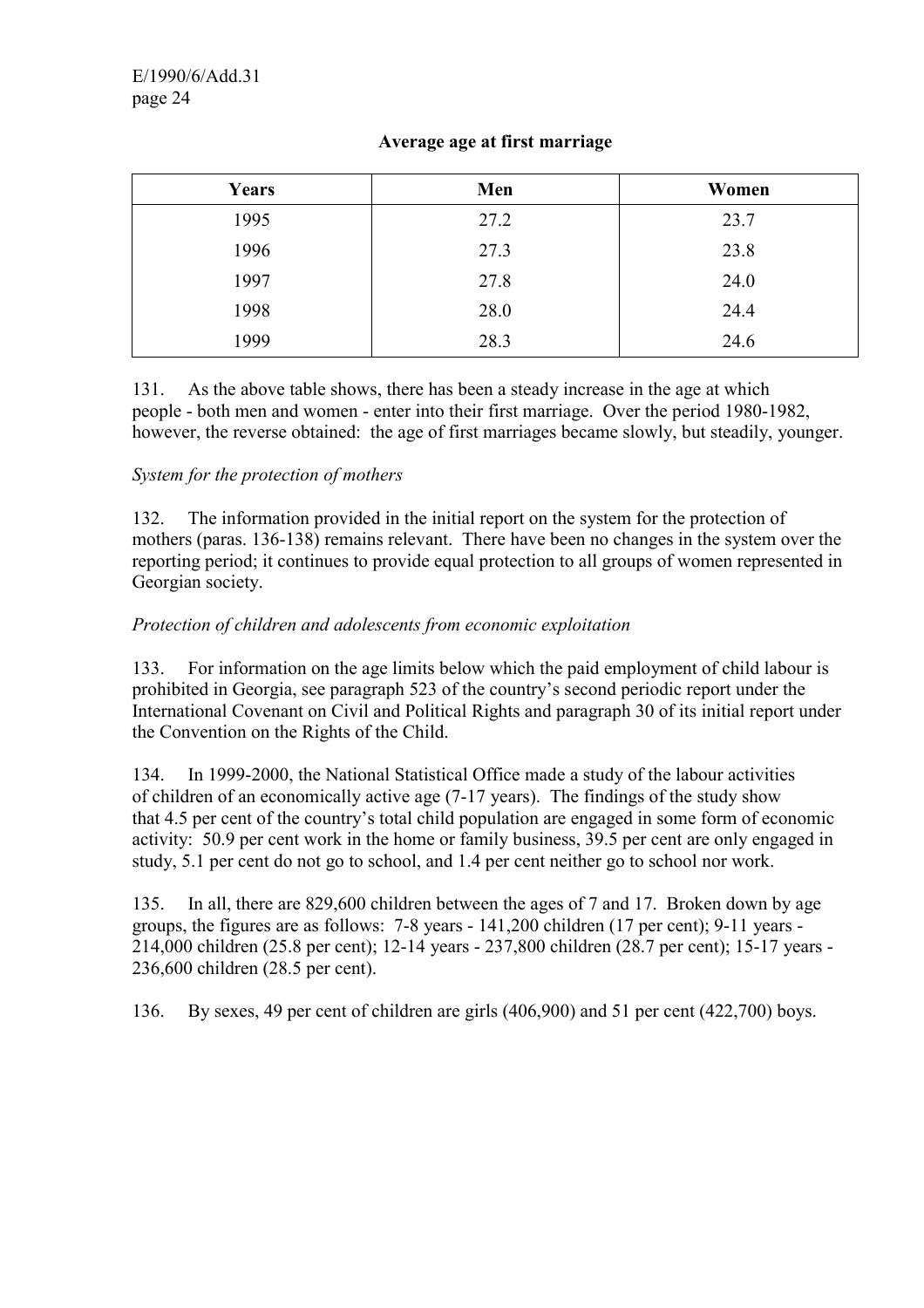### **Average age at first marriage**

| Years | Men  | Women |
|-------|------|-------|
| 1995  | 27.2 | 23.7  |
| 1996  | 27.3 | 23.8  |
| 1997  | 27.8 | 24.0  |
| 1998  | 28.0 | 24.4  |
| 1999  | 28.3 | 24.6  |

131. As the above table shows, there has been a steady increase in the age at which people - both men and women - enter into their first marriage. Over the period 1980-1982, however, the reverse obtained: the age of first marriages became slowly, but steadily, younger.

### *System for the protection of mothers*

132. The information provided in the initial report on the system for the protection of mothers (paras. 136-138) remains relevant. There have been no changes in the system over the reporting period; it continues to provide equal protection to all groups of women represented in Georgian society.

### *Protection of children and adolescents from economic exploitation*

133. For information on the age limits below which the paid employment of child labour is prohibited in Georgia, see paragraph 523 of the country's second periodic report under the International Covenant on Civil and Political Rights and paragraph 30 of its initial report under the Convention on the Rights of the Child.

134. In 1999-2000, the National Statistical Office made a study of the labour activities of children of an economically active age (7-17 years). The findings of the study show that 4.5 per cent of the country's total child population are engaged in some form of economic activity: 50.9 per cent work in the home or family business, 39.5 per cent are only engaged in study, 5.1 per cent do not go to school, and 1.4 per cent neither go to school nor work.

135. In all, there are 829,600 children between the ages of 7 and 17. Broken down by age groups, the figures are as follows: 7-8 years - 141,200 children (17 per cent); 9-11 years - 214,000 children (25.8 per cent); 12-14 years - 237,800 children (28.7 per cent); 15-17 years - 236,600 children (28.5 per cent).

136. By sexes, 49 per cent of children are girls (406,900) and 51 per cent (422,700) boys.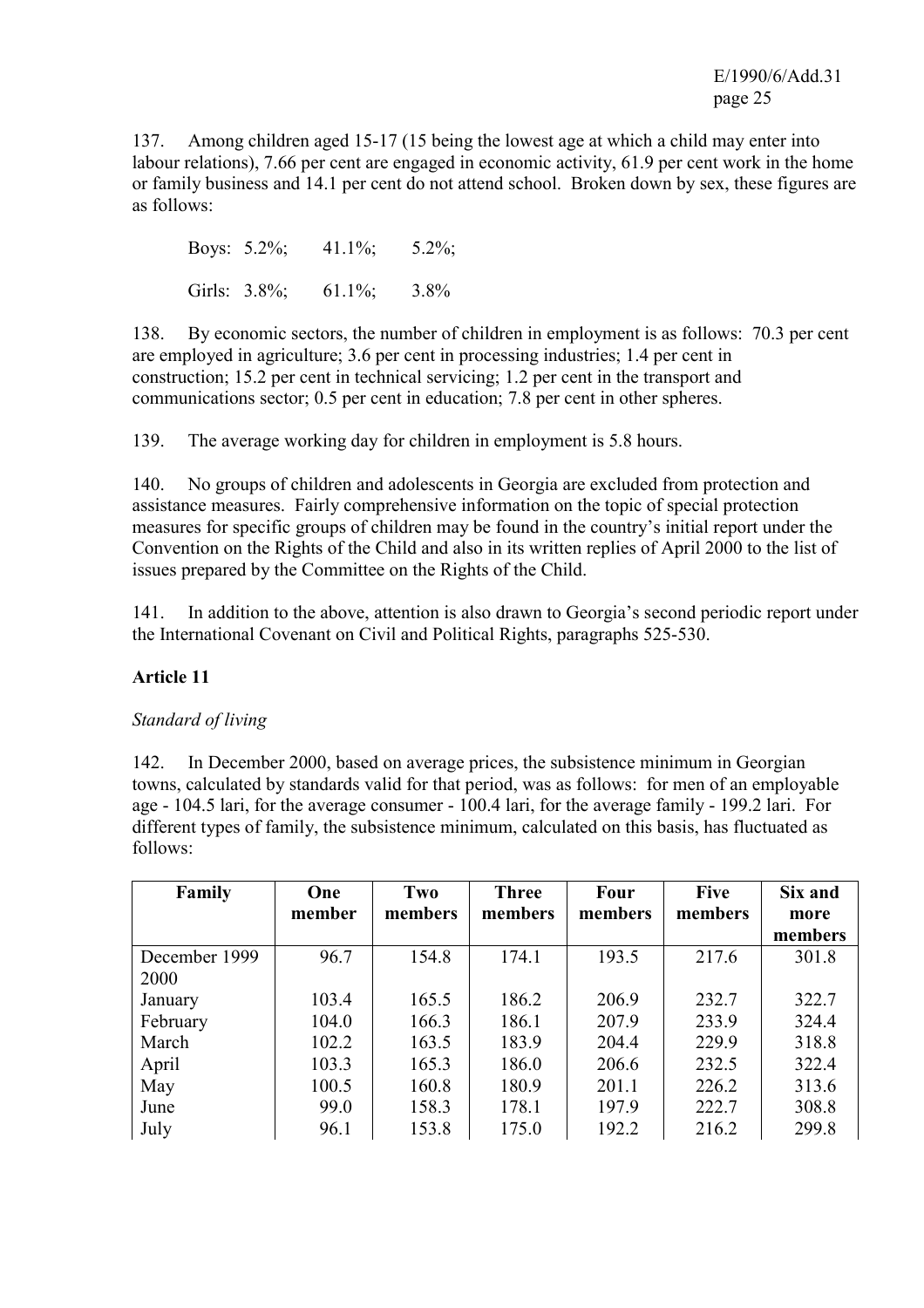137. Among children aged 15-17 (15 being the lowest age at which a child may enter into labour relations), 7.66 per cent are engaged in economic activity, 61.9 per cent work in the home or family business and 14.1 per cent do not attend school. Broken down by sex, these figures are as follows:

Boys:  $5.2\%$ ;  $41.1\%$ ;  $5.2\%$ ; Girls: 3.8%; 61.1%; 3.8%

138. By economic sectors, the number of children in employment is as follows: 70.3 per cent are employed in agriculture; 3.6 per cent in processing industries; 1.4 per cent in construction; 15.2 per cent in technical servicing; 1.2 per cent in the transport and communications sector; 0.5 per cent in education; 7.8 per cent in other spheres.

139. The average working day for children in employment is 5.8 hours.

140. No groups of children and adolescents in Georgia are excluded from protection and assistance measures. Fairly comprehensive information on the topic of special protection measures for specific groups of children may be found in the country's initial report under the Convention on the Rights of the Child and also in its written replies of April 2000 to the list of issues prepared by the Committee on the Rights of the Child.

141. In addition to the above, attention is also drawn to Georgia's second periodic report under the International Covenant on Civil and Political Rights, paragraphs 525-530.

# **Article 11**

### *Standard of living*

142. In December 2000, based on average prices, the subsistence minimum in Georgian towns, calculated by standards valid for that period, was as follows: for men of an employable age - 104.5 lari, for the average consumer - 100.4 lari, for the average family - 199.2 lari. For different types of family, the subsistence minimum, calculated on this basis, has fluctuated as follows:

| Family        | One    | Two     | <b>Three</b> | <b>Four</b> | <b>Five</b> | Six and |
|---------------|--------|---------|--------------|-------------|-------------|---------|
|               | member | members | members      | members     | members     | more    |
|               |        |         |              |             |             | members |
| December 1999 | 96.7   | 154.8   | 174.1        | 193.5       | 217.6       | 301.8   |
| 2000          |        |         |              |             |             |         |
| January       | 103.4  | 165.5   | 186.2        | 206.9       | 232.7       | 322.7   |
| February      | 104.0  | 166.3   | 186.1        | 207.9       | 233.9       | 324.4   |
| March         | 102.2  | 163.5   | 183.9        | 204.4       | 229.9       | 318.8   |
| April         | 103.3  | 165.3   | 186.0        | 206.6       | 232.5       | 322.4   |
| May           | 100.5  | 160.8   | 180.9        | 201.1       | 226.2       | 313.6   |
| June          | 99.0   | 158.3   | 178.1        | 197.9       | 222.7       | 308.8   |
| July          | 96.1   | 153.8   | 175.0        | 192.2       | 216.2       | 299.8   |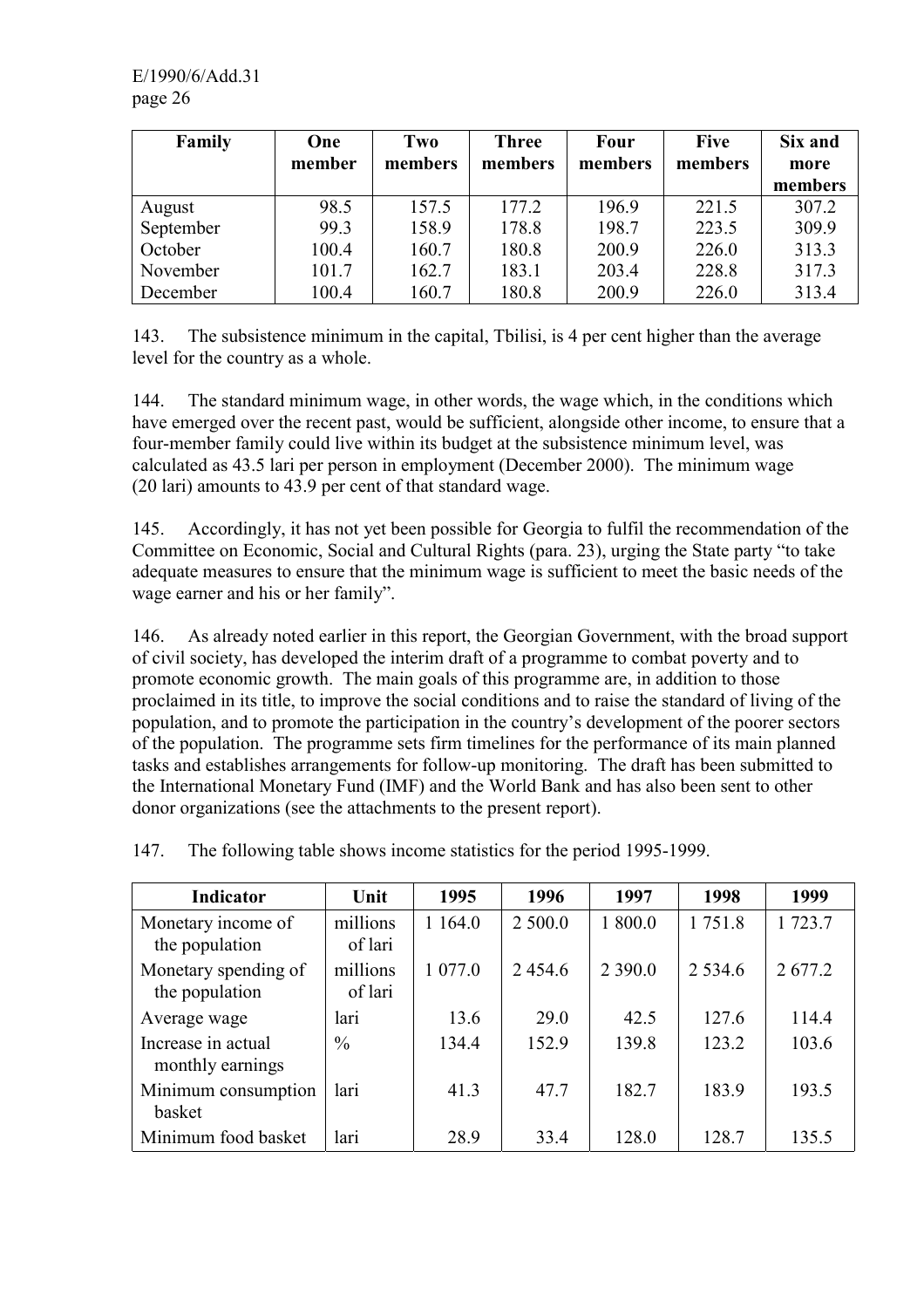| Family    | One    | Two     | <b>Three</b> | Four    | <b>Five</b> | Six and |
|-----------|--------|---------|--------------|---------|-------------|---------|
|           | member | members | members      | members | members     | more    |
|           |        |         |              |         |             | members |
| August    | 98.5   | 157.5   | 177.2        | 196.9   | 221.5       | 307.2   |
| September | 99.3   | 158.9   | 178.8        | 198.7   | 223.5       | 309.9   |
| October   | 100.4  | 160.7   | 180.8        | 200.9   | 226.0       | 313.3   |
| November  | 101.7  | 162.7   | 183.1        | 203.4   | 228.8       | 317.3   |
| December  | 100.4  | 160.7   | 180.8        | 200.9   | 226.0       | 313.4   |

143. The subsistence minimum in the capital, Tbilisi, is 4 per cent higher than the average level for the country as a whole.

144. The standard minimum wage, in other words, the wage which, in the conditions which have emerged over the recent past, would be sufficient, alongside other income, to ensure that a four-member family could live within its budget at the subsistence minimum level, was calculated as 43.5 lari per person in employment (December 2000). The minimum wage (20 lari) amounts to 43.9 per cent of that standard wage.

145. Accordingly, it has not yet been possible for Georgia to fulfil the recommendation of the Committee on Economic, Social and Cultural Rights (para. 23), urging the State party "to take adequate measures to ensure that the minimum wage is sufficient to meet the basic needs of the wage earner and his or her family".

146. As already noted earlier in this report, the Georgian Government, with the broad support of civil society, has developed the interim draft of a programme to combat poverty and to promote economic growth. The main goals of this programme are, in addition to those proclaimed in its title, to improve the social conditions and to raise the standard of living of the population, and to promote the participation in the country's development of the poorer sectors of the population. The programme sets firm timelines for the performance of its main planned tasks and establishes arrangements for follow-up monitoring. The draft has been submitted to the International Monetary Fund (IMF) and the World Bank and has also been sent to other donor organizations (see the attachments to the present report).

| Indicator                              | Unit                | 1995     | 1996    | 1997      | 1998       | 1999    |
|----------------------------------------|---------------------|----------|---------|-----------|------------|---------|
| Monetary income of<br>the population   | millions<br>of lari | 1 1 64.0 | 2 500.0 | 1 800.0   | 1751.8     | 1 723.7 |
| Monetary spending of<br>the population | millions<br>of lari | 1 077.0  | 2454.6  | 2 3 9 0.0 | 2 5 3 4 .6 | 2677.2  |
| Average wage                           | lari                | 13.6     | 29.0    | 42.5      | 127.6      | 114.4   |
| Increase in actual<br>monthly earnings | $\frac{0}{0}$       | 134.4    | 152.9   | 139.8     | 123.2      | 103.6   |
| Minimum consumption<br>basket          | lari                | 41.3     | 47.7    | 182.7     | 183.9      | 193.5   |
| Minimum food basket                    | lari                | 28.9     | 33.4    | 128.0     | 128.7      | 135.5   |

147. The following table shows income statistics for the period 1995-1999.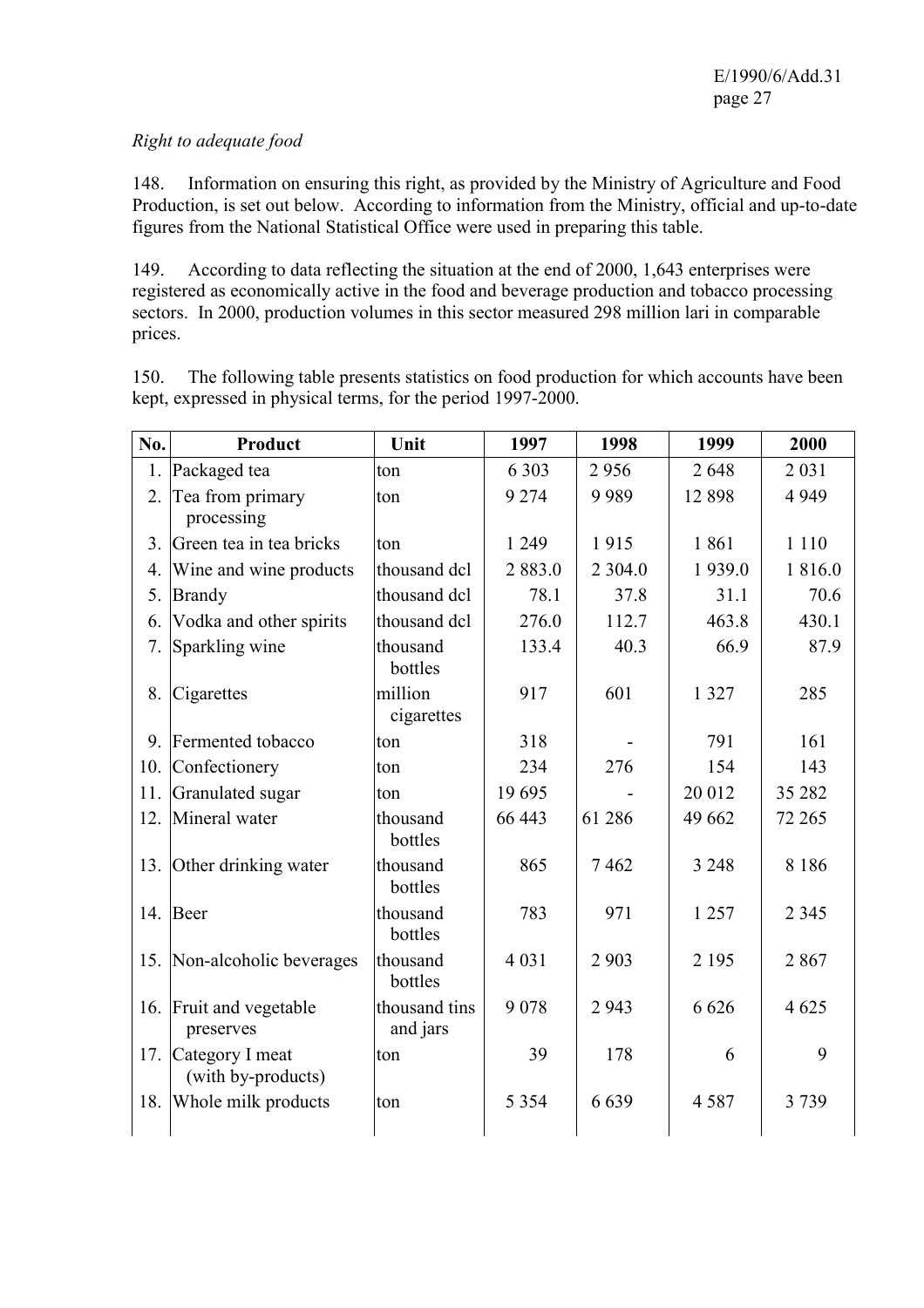### *Right to adequate food*

148. Information on ensuring this right, as provided by the Ministry of Agriculture and Food Production, is set out below. According to information from the Ministry, official and up-to-date figures from the National Statistical Office were used in preparing this table.

149. According to data reflecting the situation at the end of 2000, 1,643 enterprises were registered as economically active in the food and beverage production and tobacco processing sectors. In 2000, production volumes in this sector measured 298 million lari in comparable prices.

150. The following table presents statistics on food production for which accounts have been kept, expressed in physical terms, for the period 1997-2000.

| No.            | Product                                   | Unit                      | 1997    | 1998       | 1999    | 2000    |
|----------------|-------------------------------------------|---------------------------|---------|------------|---------|---------|
| 1.             | Packaged tea                              | ton                       | 6 3 0 3 | 2956       | 2648    | 2 0 3 1 |
| 2.             | Tea from primary                          | ton                       | 9 2 7 4 | 9989       | 12898   | 4 9 4 9 |
|                | processing                                |                           |         |            |         |         |
| 3 <sub>1</sub> | Green tea in tea bricks                   | ton                       | 1 2 4 9 | 1915       | 1861    | 1 1 1 0 |
| 4.             | Wine and wine products                    | thousand dcl              | 2883.0  | 2 3 0 4 .0 | 1939.0  | 1816.0  |
| 5.             | <b>Brandy</b>                             | thousand dcl              | 78.1    | 37.8       | 31.1    | 70.6    |
| 6.             | Vodka and other spirits                   | thousand dcl              | 276.0   | 112.7      | 463.8   | 430.1   |
| 7.             | Sparkling wine                            | thousand<br>bottles       | 133.4   | 40.3       | 66.9    | 87.9    |
| 8.             | Cigarettes                                | million<br>cigarettes     | 917     | 601        | 1 3 2 7 | 285     |
|                | 9. Fermented tobacco                      | ton                       | 318     |            | 791     | 161     |
|                | 10. Confectionery                         | ton                       | 234     | 276        | 154     | 143     |
| 11.            | Granulated sugar                          | ton                       | 19695   |            | 20 012  | 35 28 2 |
| 12.            | Mineral water                             | thousand<br>bottles       | 66 443  | 61 28 6    | 49 662  | 72 265  |
| 13.            | Other drinking water                      | thousand<br>bottles       | 865     | 7462       | 3 2 4 8 | 8 1 8 6 |
|                | 14. Beer                                  | thousand<br>bottles       | 783     | 971        | 1 2 5 7 | 2 3 4 5 |
| 15.            | Non-alcoholic beverages                   | thousand<br>bottles       | 4 0 3 1 | 2 9 0 3    | 2 1 9 5 | 2867    |
|                | 16. Fruit and vegetable<br>preserves      | thousand tins<br>and jars | 9078    | 2943       | 6 6 2 6 | 4 6 25  |
|                | 17. Category I meat<br>(with by-products) | ton                       | 39      | 178        | 6       | 9       |
| 18.            | Whole milk products                       | ton                       | 5 3 5 4 | 6639       | 4587    | 3739    |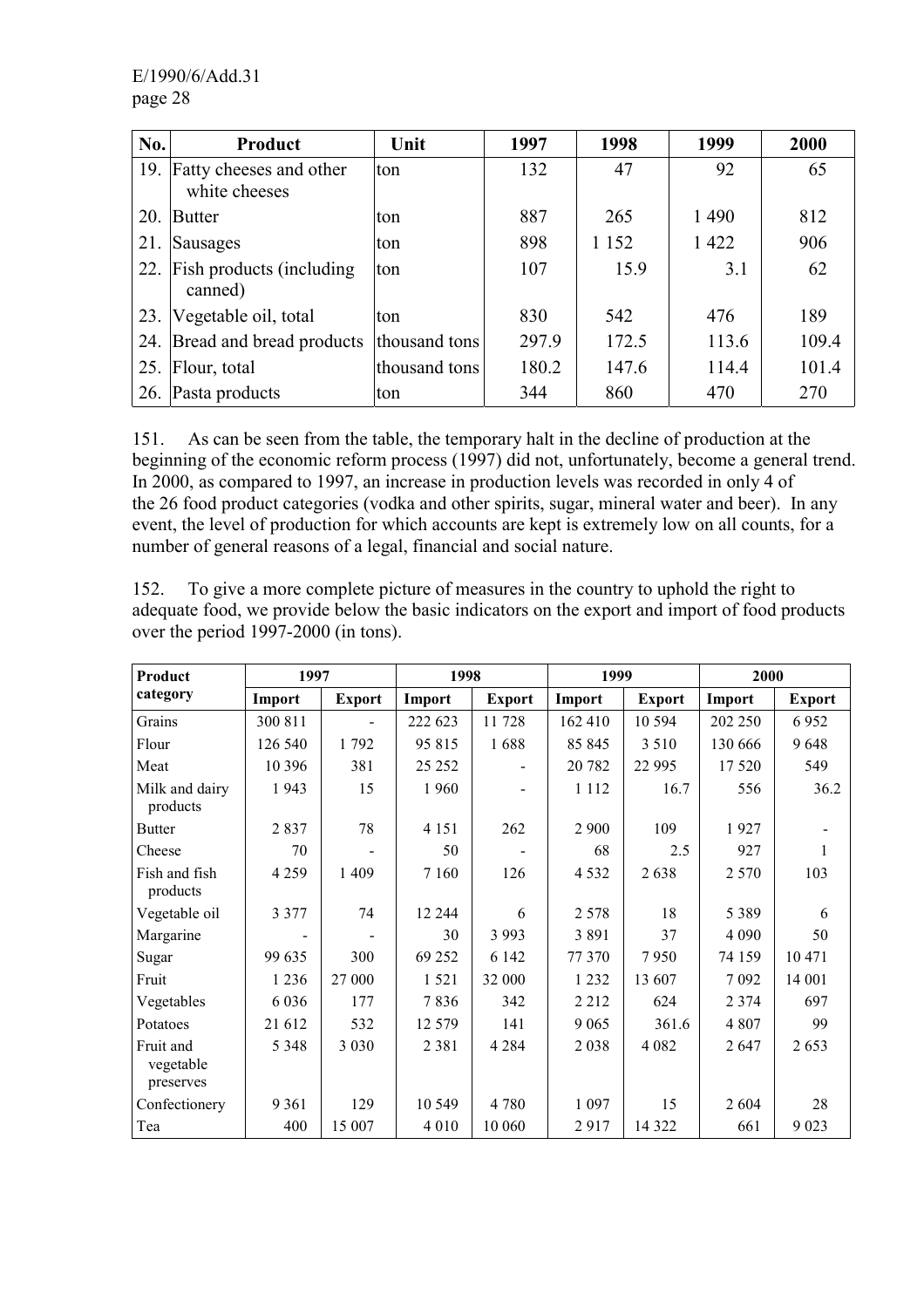| No. | <b>Product</b>                           | Unit          | 1997  | 1998    | 1999    | 2000  |
|-----|------------------------------------------|---------------|-------|---------|---------|-------|
| 19. | Fatty cheeses and other<br>white cheeses | ton           | 132   | 47      | 92      | 65    |
| 20. | Butter                                   | ton           | 887   | 265     | 1490    | 812   |
| 21. | Sausages                                 | ton           | 898   | 1 1 5 2 | 1 4 2 2 | 906   |
| 22. | Fish products (including<br>canned)      | ton           | 107   | 15.9    | 3.1     | 62    |
| 23. | Vegetable oil, total                     | ton           | 830   | 542     | 476     | 189   |
|     | 24. Bread and bread products             | thousand tons | 297.9 | 172.5   | 113.6   | 109.4 |
| 25. | Flour, total                             | thousand tons | 180.2 | 147.6   | 114.4   | 101.4 |
| 26. | Pasta products                           | ton           | 344   | 860     | 470     | 270   |

151. As can be seen from the table, the temporary halt in the decline of production at the beginning of the economic reform process (1997) did not, unfortunately, become a general trend. In 2000, as compared to 1997, an increase in production levels was recorded in only 4 of the 26 food product categories (vodka and other spirits, sugar, mineral water and beer). In any event, the level of production for which accounts are kept is extremely low on all counts, for a number of general reasons of a legal, financial and social nature.

152. To give a more complete picture of measures in the country to uphold the right to adequate food, we provide below the basic indicators on the export and import of food products over the period 1997-2000 (in tons).

| Product                             | 1997    |               | 1998     |               | 1999    |               | 2000    |               |
|-------------------------------------|---------|---------------|----------|---------------|---------|---------------|---------|---------------|
| category                            | Import  | <b>Export</b> | Import   | <b>Export</b> | Import  | <b>Export</b> | Import  | <b>Export</b> |
| Grains                              | 300 811 |               | 222 623  | 11728         | 162 410 | 10 5 94       | 202 250 | 6952          |
| Flour                               | 126 540 | 1792          | 95 815   | 1688          | 85 845  | 3 5 1 0       | 130 666 | 9648          |
| Meat                                | 10 396  | 381           | 25 25 2  |               | 20 782  | 22 9 95       | 17520   | 549           |
| Milk and dairy<br>products          | 1943    | 15            | 1960     |               | 1 1 1 2 | 16.7          | 556     | 36.2          |
| <b>Butter</b>                       | 2837    | 78            | 4 1 5 1  | 262           | 2 9 0 0 | 109           | 1927    |               |
| Cheese                              | 70      |               | 50       |               | 68      | 2.5           | 927     | 1             |
| Fish and fish<br>products           | 4 2 5 9 | 1 4 0 9       | 7 1 6 0  | 126           | 4 5 3 2 | 2638          | 2 5 7 0 | 103           |
| Vegetable oil                       | 3 3 7 7 | 74            | 12 244   | 6             | 2 5 7 8 | 18            | 5 3 8 9 | 6             |
| Margarine                           |         |               | 30       | 3 9 9 3       | 3891    | 37            | 4 0 9 0 | 50            |
| Sugar                               | 99 635  | 300           | 69 25 2  | 6 1 4 2       | 77 370  | 7950          | 74 159  | 10 471        |
| Fruit                               | 1 2 3 6 | 27 000        | 1521     | 32 000        | 1 2 3 2 | 13 607        | 7 0 9 2 | 14 001        |
| Vegetables                          | 6 0 3 6 | 177           | 7836     | 342           | 2 2 1 2 | 624           | 2 3 7 4 | 697           |
| Potatoes                            | 21 612  | 532           | 12 5 7 9 | 141           | 9 0 6 5 | 361.6         | 4 807   | 99            |
| Fruit and<br>vegetable<br>preserves | 5 3 4 8 | 3 0 3 0       | 2 3 8 1  | 4 2 8 4       | 2038    | 4 0 8 2       | 2647    | 2653          |
| Confectionery                       | 9 3 6 1 | 129           | 10 549   | 4 7 8 0       | 1 0 9 7 | 15            | 2604    | 28            |
| Tea                                 | 400     | 15 007        | 4 0 1 0  | 10 060        | 2917    | 14 3 22       | 661     | 9 0 23        |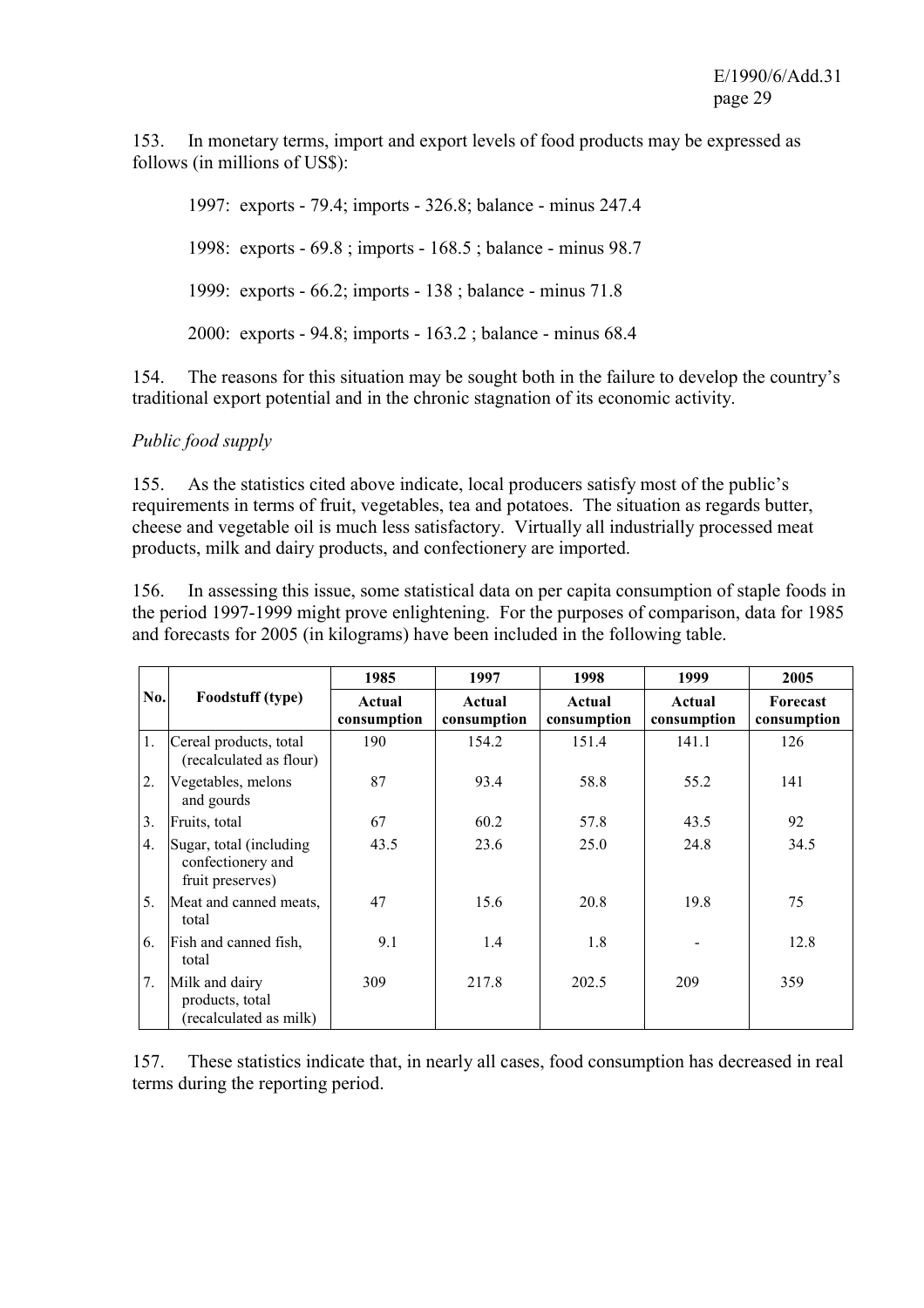153. In monetary terms, import and export levels of food products may be expressed as follows (in millions of US\$):

 1997: exports - 79.4; imports - 326.8; balance - minus 247.4 1998: exports - 69.8 ; imports - 168.5 ; balance - minus 98.7 1999: exports - 66.2; imports - 138 ; balance - minus 71.8 2000: exports - 94.8; imports - 163.2 ; balance - minus 68.4

154. The reasons for this situation may be sought both in the failure to develop the country's traditional export potential and in the chronic stagnation of its economic activity.

### *Public food supply*

155. As the statistics cited above indicate, local producers satisfy most of the public's requirements in terms of fruit, vegetables, tea and potatoes. The situation as regards butter, cheese and vegetable oil is much less satisfactory. Virtually all industrially processed meat products, milk and dairy products, and confectionery are imported.

156. In assessing this issue, some statistical data on per capita consumption of staple foods in the period 1997-1999 might prove enlightening. For the purposes of comparison, data for 1985 and forecasts for 2005 (in kilograms) have been included in the following table.

|     |                                                                   | 1985                  | 1997                  | 1998                  | 1999                  | 2005                    |
|-----|-------------------------------------------------------------------|-----------------------|-----------------------|-----------------------|-----------------------|-------------------------|
| No. | Foodstuff (type)                                                  | Actual<br>consumption | Actual<br>consumption | Actual<br>consumption | Actual<br>consumption | Forecast<br>consumption |
| 1.  | Cereal products, total<br>(recalculated as flour)                 | 190                   | 154.2                 | 151.4                 | 141.1                 | 126                     |
| 2.  | Vegetables, melons<br>and gourds                                  | 87                    | 93.4                  | 58.8                  | 55.2                  | 141                     |
| 3.  | Fruits, total                                                     | 67                    | 60.2                  | 57.8                  | 43.5                  | 92                      |
| 4.  | Sugar, total (including)<br>confectionery and<br>fruit preserves) | 43.5                  | 23.6                  | 25.0                  | 24.8                  | 34.5                    |
| 5.  | Meat and canned meats,<br>total                                   | 47                    | 15.6                  | 20.8                  | 19.8                  | 75                      |
| 6.  | Fish and canned fish,<br>total                                    | 9.1                   | 1.4                   | 1.8                   |                       | 12.8                    |
| 7.  | Milk and dairy<br>products, total<br>(recalculated as milk)       | 309                   | 217.8                 | 202.5                 | 209                   | 359                     |

157. These statistics indicate that, in nearly all cases, food consumption has decreased in real terms during the reporting period.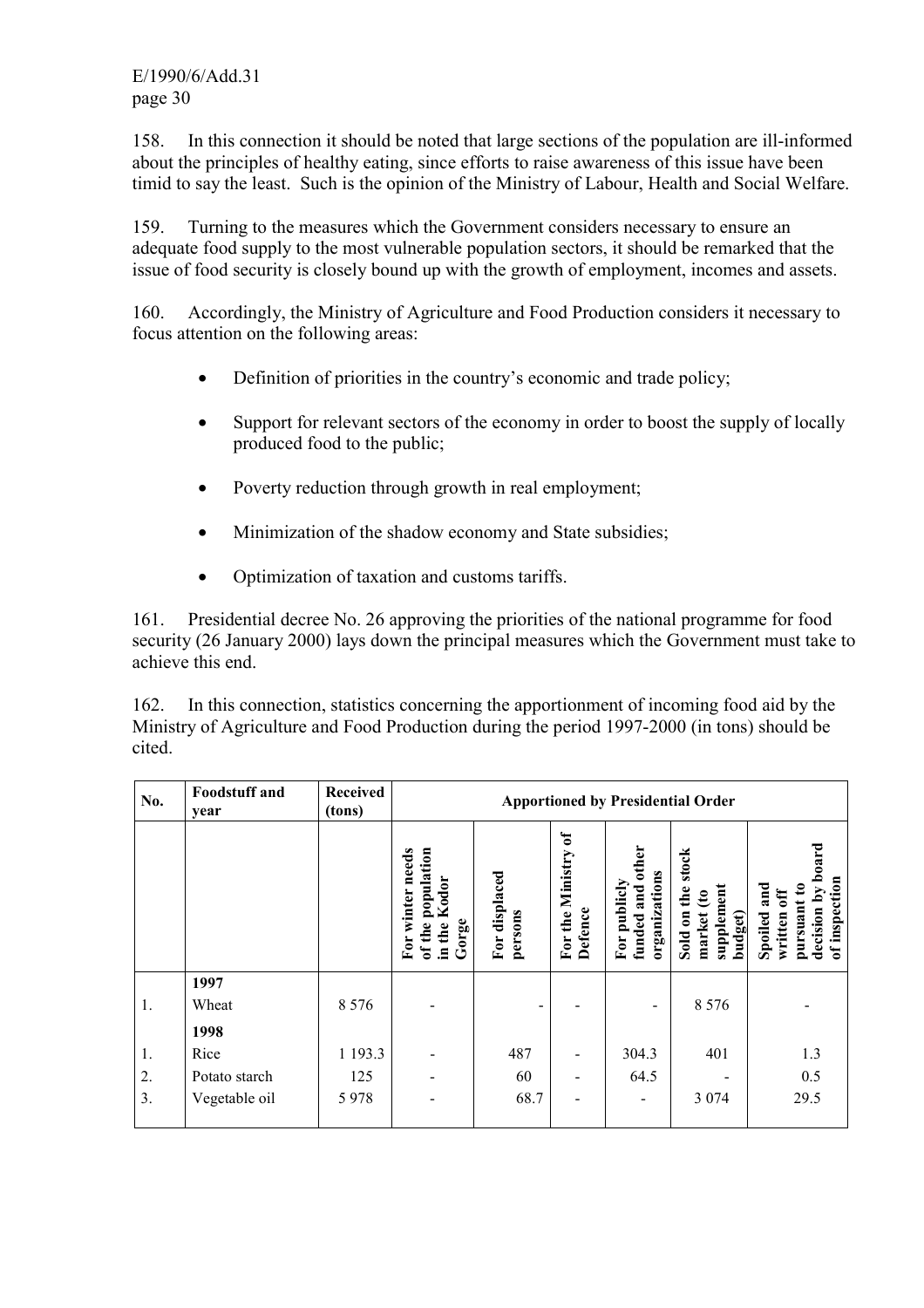E/1990/6/Add.31 page 30

158. In this connection it should be noted that large sections of the population are ill-informed about the principles of healthy eating, since efforts to raise awareness of this issue have been timid to say the least. Such is the opinion of the Ministry of Labour, Health and Social Welfare.

159. Turning to the measures which the Government considers necessary to ensure an adequate food supply to the most vulnerable population sectors, it should be remarked that the issue of food security is closely bound up with the growth of employment, incomes and assets.

160. Accordingly, the Ministry of Agriculture and Food Production considers it necessary to focus attention on the following areas:

- Definition of priorities in the country's economic and trade policy;
- Support for relevant sectors of the economy in order to boost the supply of locally produced food to the public;
- Poverty reduction through growth in real employment:
- Minimization of the shadow economy and State subsidies;
- Optimization of taxation and customs tariffs.

161. Presidential decree No. 26 approving the priorities of the national programme for food security (26 January 2000) lays down the principal measures which the Government must take to achieve this end.

162. In this connection, statistics concerning the apportionment of incoming food aid by the Ministry of Agriculture and Food Production during the period 1997-2000 (in tons) should be cited.

| No.            | <b>Foodstuff</b> and<br>year | <b>Received</b><br>(tons) |                                                                                                    | <b>Apportioned by Presidential Order</b> |                                             |                                                                |                                                                                  |                                                                                            |  |
|----------------|------------------------------|---------------------------|----------------------------------------------------------------------------------------------------|------------------------------------------|---------------------------------------------|----------------------------------------------------------------|----------------------------------------------------------------------------------|--------------------------------------------------------------------------------------------|--|
|                |                              |                           | population<br>needs<br>Kodor<br>winter<br>Gorge<br>the<br>of the<br>Ĕor<br>$\overline{\mathbf{a}}$ | For displaced<br>persons                 | $\mathbf{P}$<br>For the Ministry<br>Defence | other<br>organizations<br>funded and<br>publich<br>${\bf For}$ | stock<br>supplement<br>the<br>$\mathbf{\hat{e}}$<br>market<br>Sold on<br>budget) | board<br>of inspection<br>and<br>ឧ<br>decision by<br>ម្ល<br>pursuant<br>Spoiled<br>written |  |
| 1.             | 1997<br>Wheat                | 8 5 7 6                   |                                                                                                    |                                          |                                             | $\qquad \qquad$                                                | 8 5 7 6                                                                          |                                                                                            |  |
|                | 1998                         |                           |                                                                                                    |                                          |                                             |                                                                |                                                                                  |                                                                                            |  |
| $\mathbf{1}$ . | Rice                         | 1 193.3                   |                                                                                                    | 487                                      | $\overline{\phantom{a}}$                    | 304.3                                                          | 401                                                                              | 1.3                                                                                        |  |
| 2.             | Potato starch                | 125                       |                                                                                                    | 60                                       | $\overline{\phantom{a}}$                    | 64.5                                                           |                                                                                  | 0.5                                                                                        |  |
| 3.             | Vegetable oil                | 5978                      |                                                                                                    | 68.7                                     |                                             |                                                                | 3 0 7 4                                                                          | 29.5                                                                                       |  |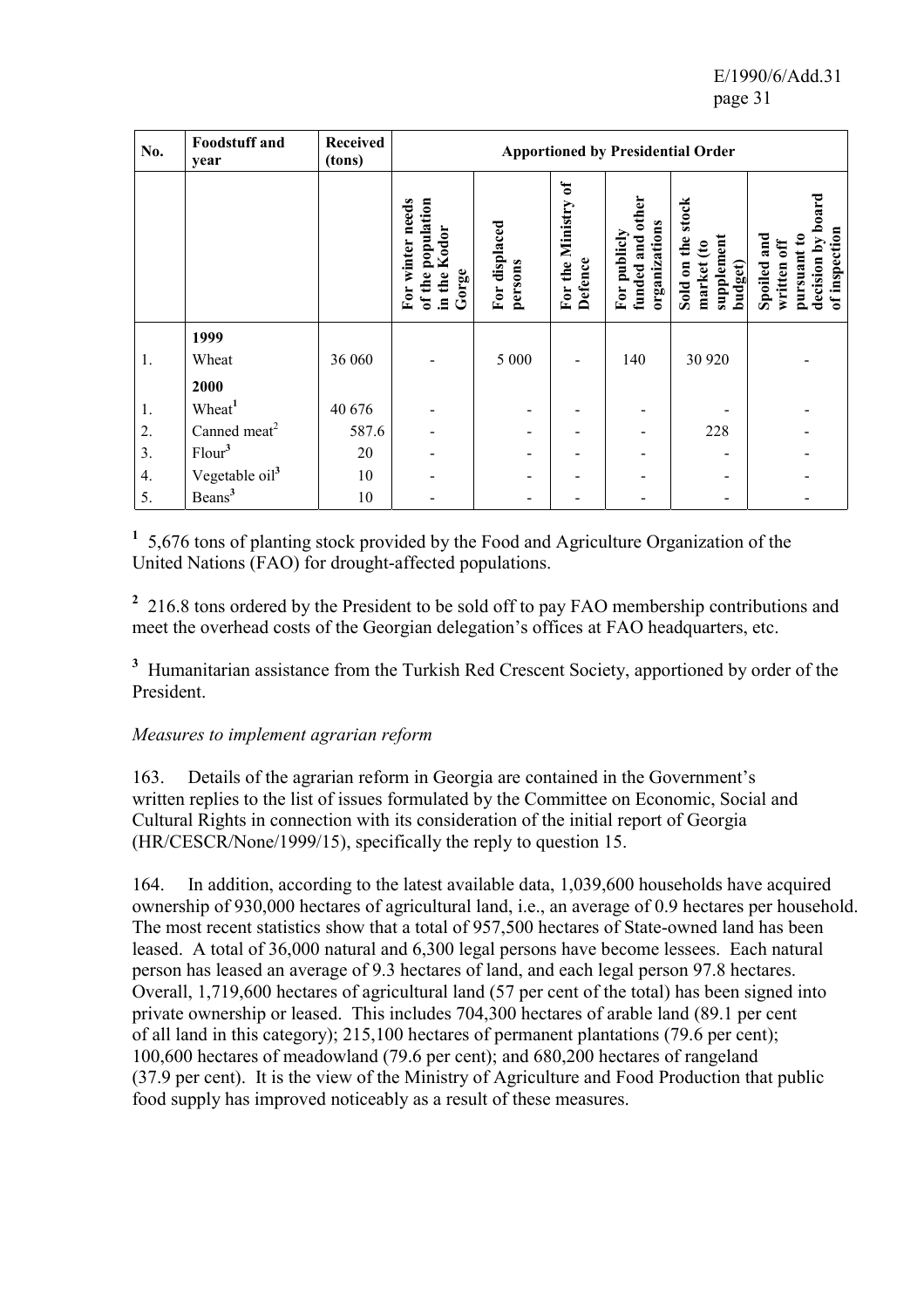E/1990/6/Add.31 page 31

| No. | <b>Foodstuff</b> and<br>year | <b>Received</b><br>(tons) | <b>Apportioned by Presidential Order</b>                                                         |                          |                                                      |                                                         |                                                                                  |                                                                                                                           |
|-----|------------------------------|---------------------------|--------------------------------------------------------------------------------------------------|--------------------------|------------------------------------------------------|---------------------------------------------------------|----------------------------------------------------------------------------------|---------------------------------------------------------------------------------------------------------------------------|
|     |                              |                           | population<br>needs<br>Kodor<br>winter<br>Gorge<br>the <sup>1</sup><br>the<br>io<br>E<br>ಕ<br>Ξ. | For displaced<br>persons | $\mathfrak{h}$<br>For the Ministry<br><b>Defence</b> | other<br>organizations<br>publicly<br>funded and<br>For | stock<br>supplement<br>the<br>$\mathbf{\hat{e}}$<br>Sold on<br>market<br>budget) | by boa<br>of inspection<br>and<br>$\boldsymbol{\mathsf{s}}$<br>$\mathbf{f}$<br>pursuant<br>decision<br>Spoiled<br>written |
|     | 1999                         |                           |                                                                                                  |                          |                                                      |                                                         |                                                                                  |                                                                                                                           |
| 1.  | Wheat                        | 36 060                    |                                                                                                  | 5 0 0 0                  |                                                      | 140                                                     | 30 9 20                                                                          |                                                                                                                           |
|     | 2000                         |                           |                                                                                                  |                          |                                                      |                                                         |                                                                                  |                                                                                                                           |
| 1.  | Wheat <sup>1</sup>           | 40 676                    |                                                                                                  | -                        |                                                      |                                                         |                                                                                  |                                                                                                                           |
| 2.  | Canned meat <sup>2</sup>     | 587.6                     |                                                                                                  | -                        |                                                      |                                                         | 228                                                                              |                                                                                                                           |
| 3.  | Flour <sup>3</sup>           | 20                        |                                                                                                  | -                        |                                                      |                                                         |                                                                                  |                                                                                                                           |
| 4.  | Vegetable oil <sup>3</sup>   | 10                        |                                                                                                  | -                        |                                                      |                                                         |                                                                                  |                                                                                                                           |
| 5.  | Beans <sup>3</sup>           | 10                        |                                                                                                  | -                        |                                                      |                                                         |                                                                                  |                                                                                                                           |

**1** 5,676 tons of planting stock provided by the Food and Agriculture Organization of the United Nations (FAO) for drought-affected populations.

<sup>2</sup> 216.8 tons ordered by the President to be sold off to pay FAO membership contributions and meet the overhead costs of the Georgian delegation's offices at FAO headquarters, etc.

<sup>3</sup> Humanitarian assistance from the Turkish Red Crescent Society, apportioned by order of the President.

### *Measures to implement agrarian reform*

163. Details of the agrarian reform in Georgia are contained in the Government's written replies to the list of issues formulated by the Committee on Economic, Social and Cultural Rights in connection with its consideration of the initial report of Georgia (HR/CESCR/None/1999/15), specifically the reply to question 15.

164. In addition, according to the latest available data, 1,039,600 households have acquired ownership of 930,000 hectares of agricultural land, i.e., an average of 0.9 hectares per household. The most recent statistics show that a total of 957,500 hectares of State-owned land has been leased. A total of 36,000 natural and 6,300 legal persons have become lessees. Each natural person has leased an average of 9.3 hectares of land, and each legal person 97.8 hectares. Overall, 1,719,600 hectares of agricultural land (57 per cent of the total) has been signed into private ownership or leased. This includes 704,300 hectares of arable land (89.1 per cent of all land in this category); 215,100 hectares of permanent plantations (79.6 per cent); 100,600 hectares of meadowland (79.6 per cent); and 680,200 hectares of rangeland (37.9 per cent). It is the view of the Ministry of Agriculture and Food Production that public food supply has improved noticeably as a result of these measures.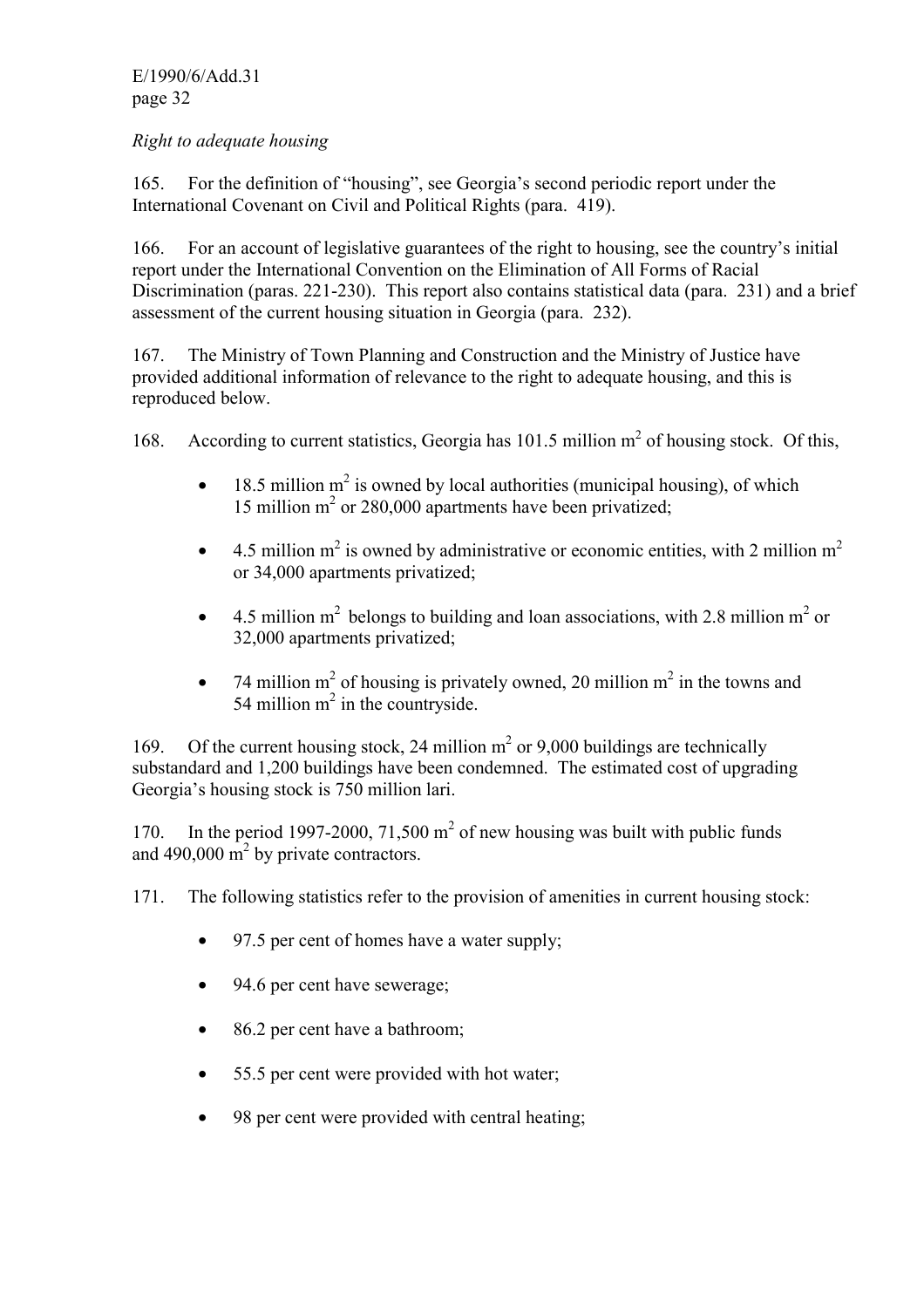E/1990/6/Add.31 page 32

### *Right to adequate housing*

165. For the definition of "housing", see Georgia's second periodic report under the International Covenant on Civil and Political Rights (para. 419).

166. For an account of legislative guarantees of the right to housing, see the country's initial report under the International Convention on the Elimination of All Forms of Racial Discrimination (paras. 221-230). This report also contains statistical data (para. 231) and a brief assessment of the current housing situation in Georgia (para. 232).

167. The Ministry of Town Planning and Construction and the Ministry of Justice have provided additional information of relevance to the right to adequate housing, and this is reproduced below.

168. According to current statistics, Georgia has 101.5 million m<sup>2</sup> of housing stock. Of this,

- $\bullet$  18.5 million m<sup>2</sup> is owned by local authorities (municipal housing), of which 15 million m<sup>2</sup> or 280,000 apartments have been privatized;
- 4.5 million  $m^2$  is owned by administrative or economic entities, with 2 million  $m^2$ or 34,000 apartments privatized;
- 4.5 million  $m^2$  belongs to building and loan associations, with 2.8 million  $m^2$  or 32,000 apartments privatized;
- 74 million m<sup>2</sup> of housing is privately owned, 20 million m<sup>2</sup> in the towns and 54 million  $m^2$  in the countryside.

169. Of the current housing stock, 24 million  $m<sup>2</sup>$  or 9,000 buildings are technically substandard and 1,200 buildings have been condemned. The estimated cost of upgrading Georgia's housing stock is 750 million lari.

170. In the period 1997-2000,  $71,500 \text{ m}^2$  of new housing was built with public funds and  $490,000 \text{ m}^2$  by private contractors.

- 171. The following statistics refer to the provision of amenities in current housing stock:
	- 97.5 per cent of homes have a water supply;
	- 94.6 per cent have sewerage;
	- 86.2 per cent have a bathroom;
	- 55.5 per cent were provided with hot water;
	- 98 per cent were provided with central heating;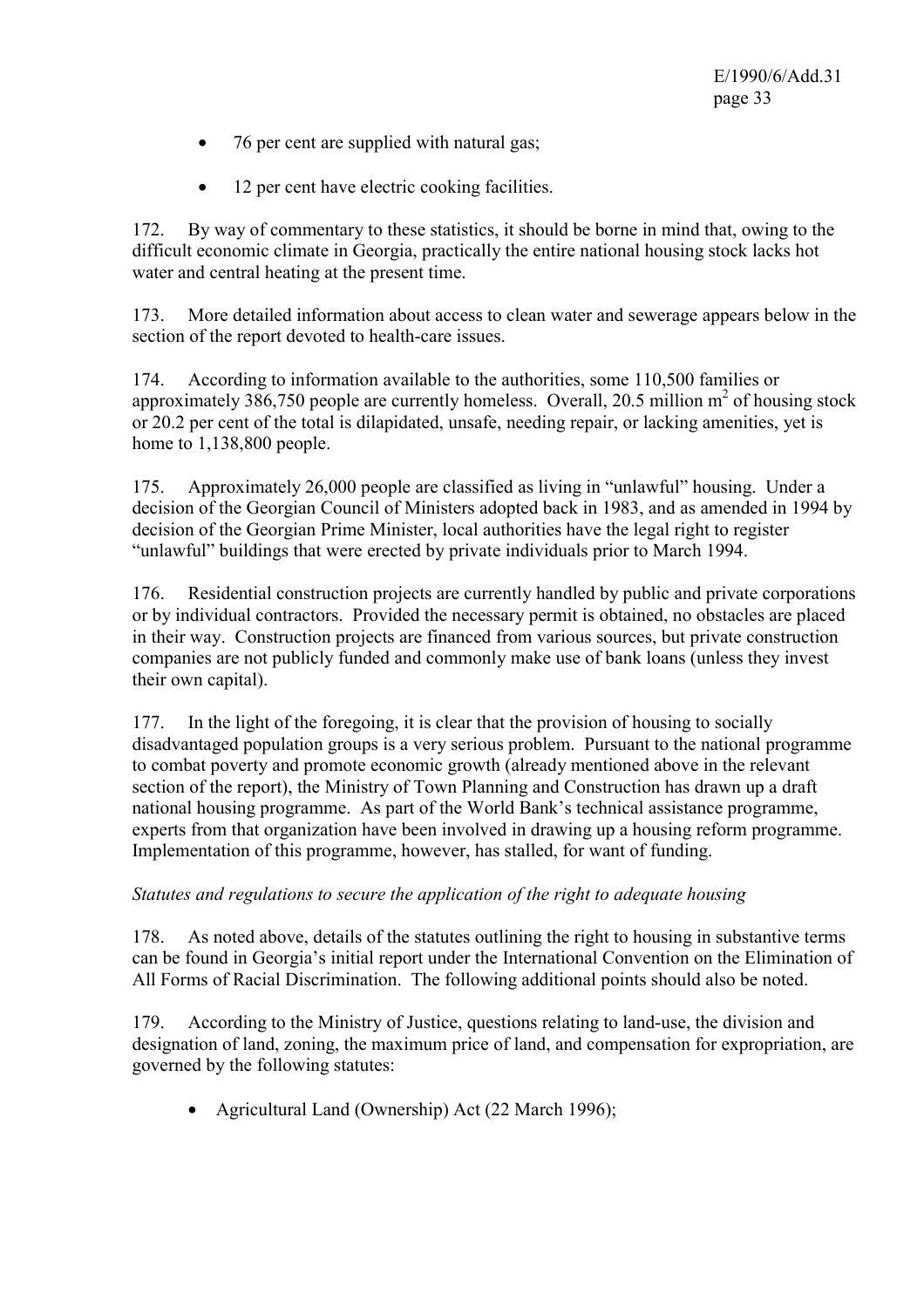- 76 per cent are supplied with natural gas;
- 12 per cent have electric cooking facilities.

172. By way of commentary to these statistics, it should be borne in mind that, owing to the difficult economic climate in Georgia, practically the entire national housing stock lacks hot water and central heating at the present time.

173. More detailed information about access to clean water and sewerage appears below in the section of the report devoted to health-care issues.

174. According to information available to the authorities, some 110,500 families or approximately  $386,750$  people are currently homeless. Overall, 20.5 million  $m<sup>2</sup>$  of housing stock or 20.2 per cent of the total is dilapidated, unsafe, needing repair, or lacking amenities, yet is home to 1,138,800 people.

175. Approximately 26,000 people are classified as living in "unlawful" housing. Under a decision of the Georgian Council of Ministers adopted back in 1983, and as amended in 1994 by decision of the Georgian Prime Minister, local authorities have the legal right to register "unlawful" buildings that were erected by private individuals prior to March 1994.

176. Residential construction projects are currently handled by public and private corporations or by individual contractors. Provided the necessary permit is obtained, no obstacles are placed in their way. Construction projects are financed from various sources, but private construction companies are not publicly funded and commonly make use of bank loans (unless they invest their own capital).

177. In the light of the foregoing, it is clear that the provision of housing to socially disadvantaged population groups is a very serious problem. Pursuant to the national programme to combat poverty and promote economic growth (already mentioned above in the relevant section of the report), the Ministry of Town Planning and Construction has drawn up a draft national housing programme. As part of the World Bank's technical assistance programme, experts from that organization have been involved in drawing up a housing reform programme. Implementation of this programme, however, has stalled, for want of funding.

### *Statutes and regulations to secure the application of the right to adequate housing*

178. As noted above, details of the statutes outlining the right to housing in substantive terms can be found in Georgia's initial report under the International Convention on the Elimination of All Forms of Racial Discrimination. The following additional points should also be noted.

179. According to the Ministry of Justice, questions relating to land-use, the division and designation of land, zoning, the maximum price of land, and compensation for expropriation, are governed by the following statutes:

• Agricultural Land (Ownership) Act (22 March 1996);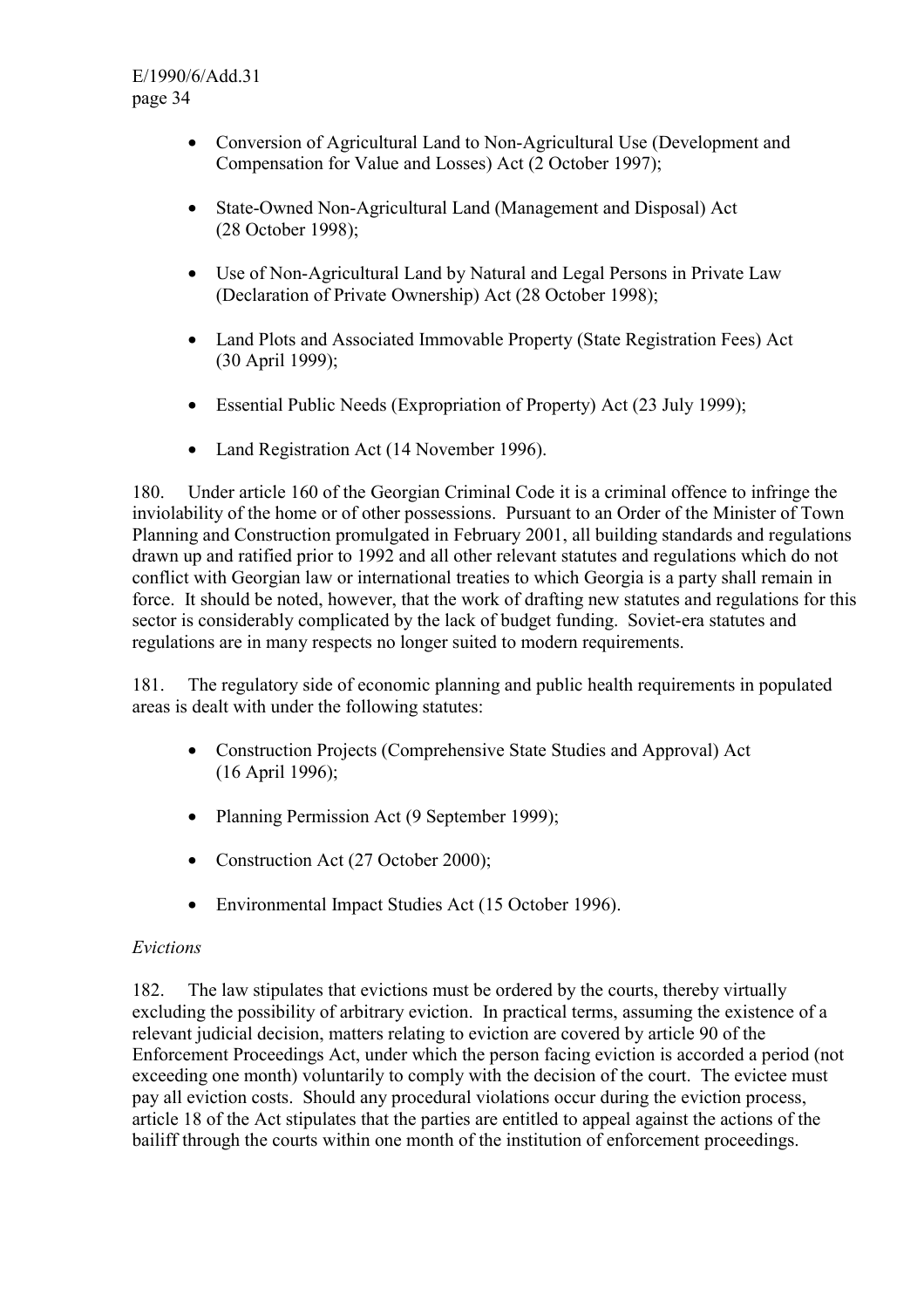- Conversion of Agricultural Land to Non-Agricultural Use (Development and Compensation for Value and Losses) Act (2 October 1997);
- State-Owned Non-Agricultural Land (Management and Disposal) Act (28 October 1998);
- Use of Non-Agricultural Land by Natural and Legal Persons in Private Law (Declaration of Private Ownership) Act (28 October 1998);
- Land Plots and Associated Immovable Property (State Registration Fees) Act (30 April 1999);
- Essential Public Needs (Expropriation of Property) Act (23 July 1999);
- Land Registration Act (14 November 1996).

180. Under article 160 of the Georgian Criminal Code it is a criminal offence to infringe the inviolability of the home or of other possessions. Pursuant to an Order of the Minister of Town Planning and Construction promulgated in February 2001, all building standards and regulations drawn up and ratified prior to 1992 and all other relevant statutes and regulations which do not conflict with Georgian law or international treaties to which Georgia is a party shall remain in force. It should be noted, however, that the work of drafting new statutes and regulations for this sector is considerably complicated by the lack of budget funding. Soviet-era statutes and regulations are in many respects no longer suited to modern requirements.

181. The regulatory side of economic planning and public health requirements in populated areas is dealt with under the following statutes:

- Construction Projects (Comprehensive State Studies and Approval) Act (16 April 1996);
- Planning Permission Act (9 September 1999);
- Construction Act (27 October 2000);
- Environmental Impact Studies Act (15 October 1996).

### *Evictions*

182. The law stipulates that evictions must be ordered by the courts, thereby virtually excluding the possibility of arbitrary eviction. In practical terms, assuming the existence of a relevant judicial decision, matters relating to eviction are covered by article 90 of the Enforcement Proceedings Act, under which the person facing eviction is accorded a period (not exceeding one month) voluntarily to comply with the decision of the court. The evictee must pay all eviction costs. Should any procedural violations occur during the eviction process, article 18 of the Act stipulates that the parties are entitled to appeal against the actions of the bailiff through the courts within one month of the institution of enforcement proceedings.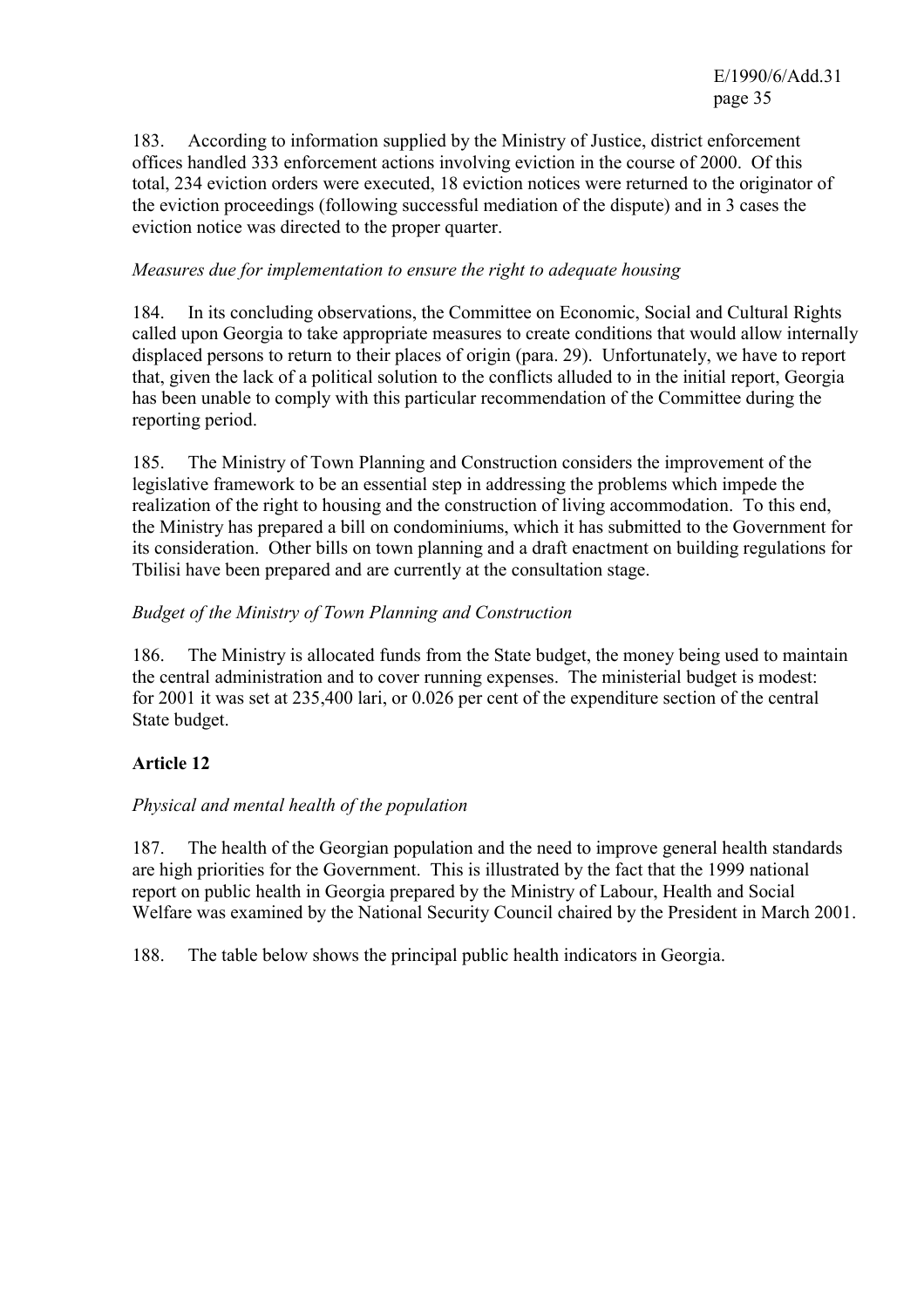183. According to information supplied by the Ministry of Justice, district enforcement offices handled 333 enforcement actions involving eviction in the course of 2000. Of this total, 234 eviction orders were executed, 18 eviction notices were returned to the originator of the eviction proceedings (following successful mediation of the dispute) and in 3 cases the eviction notice was directed to the proper quarter.

### *Measures due for implementation to ensure the right to adequate housing*

184. In its concluding observations, the Committee on Economic, Social and Cultural Rights called upon Georgia to take appropriate measures to create conditions that would allow internally displaced persons to return to their places of origin (para. 29). Unfortunately, we have to report that, given the lack of a political solution to the conflicts alluded to in the initial report, Georgia has been unable to comply with this particular recommendation of the Committee during the reporting period.

185. The Ministry of Town Planning and Construction considers the improvement of the legislative framework to be an essential step in addressing the problems which impede the realization of the right to housing and the construction of living accommodation. To this end, the Ministry has prepared a bill on condominiums, which it has submitted to the Government for its consideration. Other bills on town planning and a draft enactment on building regulations for Tbilisi have been prepared and are currently at the consultation stage.

### *Budget of the Ministry of Town Planning and Construction*

186. The Ministry is allocated funds from the State budget, the money being used to maintain the central administration and to cover running expenses. The ministerial budget is modest: for 2001 it was set at 235,400 lari, or 0.026 per cent of the expenditure section of the central State budget.

# **Article 12**

### *Physical and mental health of the population*

187. The health of the Georgian population and the need to improve general health standards are high priorities for the Government. This is illustrated by the fact that the 1999 national report on public health in Georgia prepared by the Ministry of Labour, Health and Social Welfare was examined by the National Security Council chaired by the President in March 2001.

188. The table below shows the principal public health indicators in Georgia.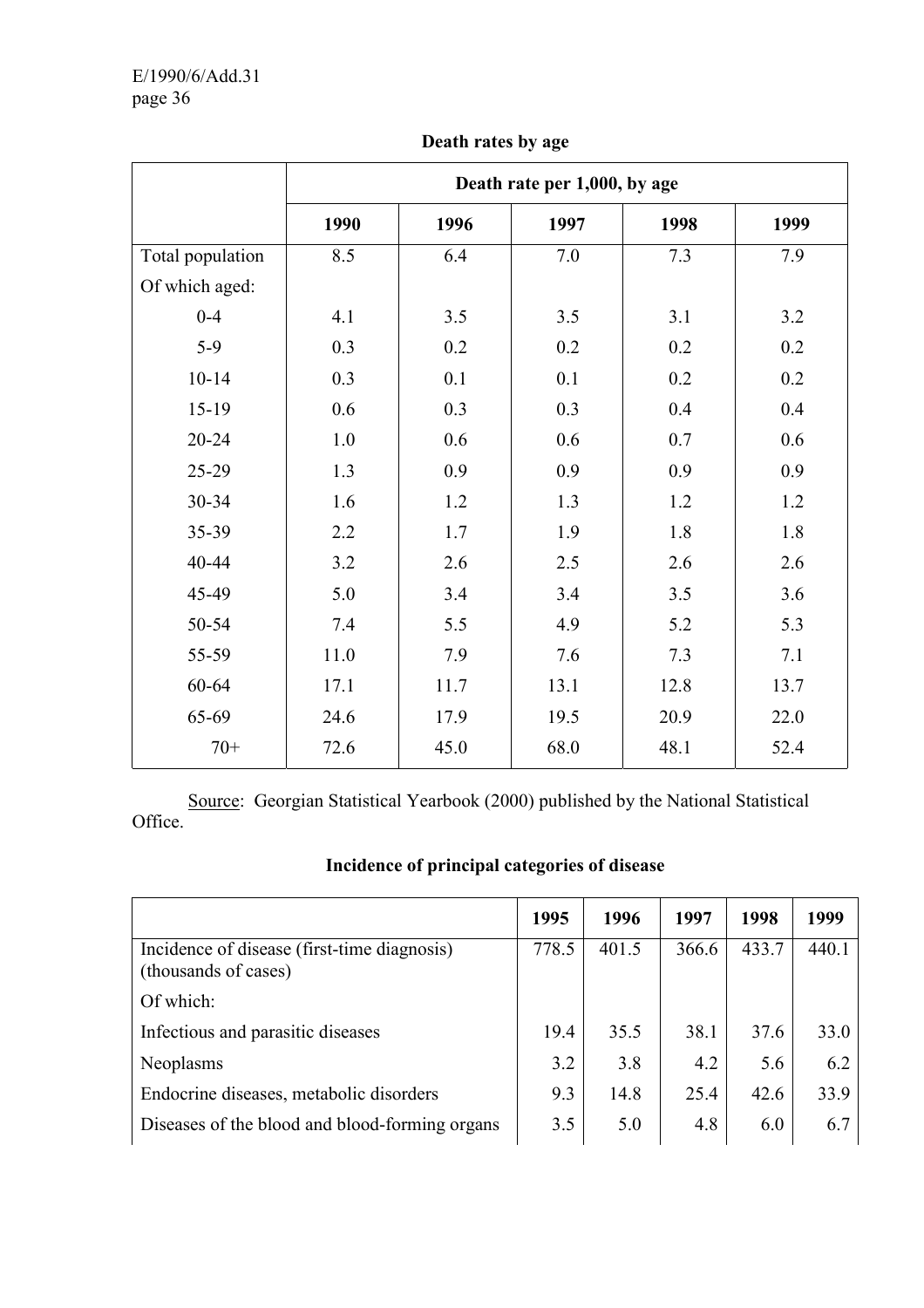|                  | Death rate per 1,000, by age |      |      |      |      |  |  |  |  |
|------------------|------------------------------|------|------|------|------|--|--|--|--|
|                  | 1990                         | 1996 | 1997 | 1998 | 1999 |  |  |  |  |
| Total population | 8.5                          | 6.4  | 7.0  | 7.3  | 7.9  |  |  |  |  |
| Of which aged:   |                              |      |      |      |      |  |  |  |  |
| $0 - 4$          | 4.1                          | 3.5  | 3.5  | 3.1  | 3.2  |  |  |  |  |
| $5-9$            | 0.3                          | 0.2  | 0.2  | 0.2  | 0.2  |  |  |  |  |
| $10 - 14$        | 0.3                          | 0.1  | 0.1  | 0.2  | 0.2  |  |  |  |  |
| 15-19            | 0.6                          | 0.3  | 0.3  | 0.4  | 0.4  |  |  |  |  |
| $20 - 24$        | 1.0                          | 0.6  | 0.6  | 0.7  | 0.6  |  |  |  |  |
| 25-29            | 1.3                          | 0.9  | 0.9  | 0.9  | 0.9  |  |  |  |  |
| 30-34            | 1.6                          | 1.2  | 1.3  | 1.2  | 1.2  |  |  |  |  |
| 35-39            | 2.2                          | 1.7  | 1.9  | 1.8  | 1.8  |  |  |  |  |
| 40-44            | 3.2                          | 2.6  | 2.5  | 2.6  | 2.6  |  |  |  |  |
| 45-49            | 5.0                          | 3.4  | 3.4  | 3.5  | 3.6  |  |  |  |  |
| 50-54            | 7.4                          | 5.5  | 4.9  | 5.2  | 5.3  |  |  |  |  |
| 55-59            | 11.0                         | 7.9  | 7.6  | 7.3  | 7.1  |  |  |  |  |
| 60-64            | 17.1                         | 11.7 | 13.1 | 12.8 | 13.7 |  |  |  |  |
| 65-69            | 24.6                         | 17.9 | 19.5 | 20.9 | 22.0 |  |  |  |  |
| $70+$            | 72.6                         | 45.0 | 68.0 | 48.1 | 52.4 |  |  |  |  |

### **Death rates by age**

 Source: Georgian Statistical Yearbook (2000) published by the National Statistical Office.

# **Incidence of principal categories of disease**

|                                                                     | 1995  | 1996  | 1997  | 1998  | 1999  |
|---------------------------------------------------------------------|-------|-------|-------|-------|-------|
| Incidence of disease (first-time diagnosis)<br>(thousands of cases) | 778.5 | 401.5 | 366.6 | 433.7 | 440.1 |
| Of which:                                                           |       |       |       |       |       |
| Infectious and parasitic diseases                                   | 19.4  | 35.5  | 38.1  | 37.6  | 33.0  |
| Neoplasms                                                           | 3.2   | 3.8   | 4.2   | 5.6   | 6.2   |
| Endocrine diseases, metabolic disorders                             | 9.3   | 14.8  | 25.4  | 42.6  | 33.9  |
| Diseases of the blood and blood-forming organs                      | 3.5   | 5.0   | 4.8   | 6.0   | 6.7   |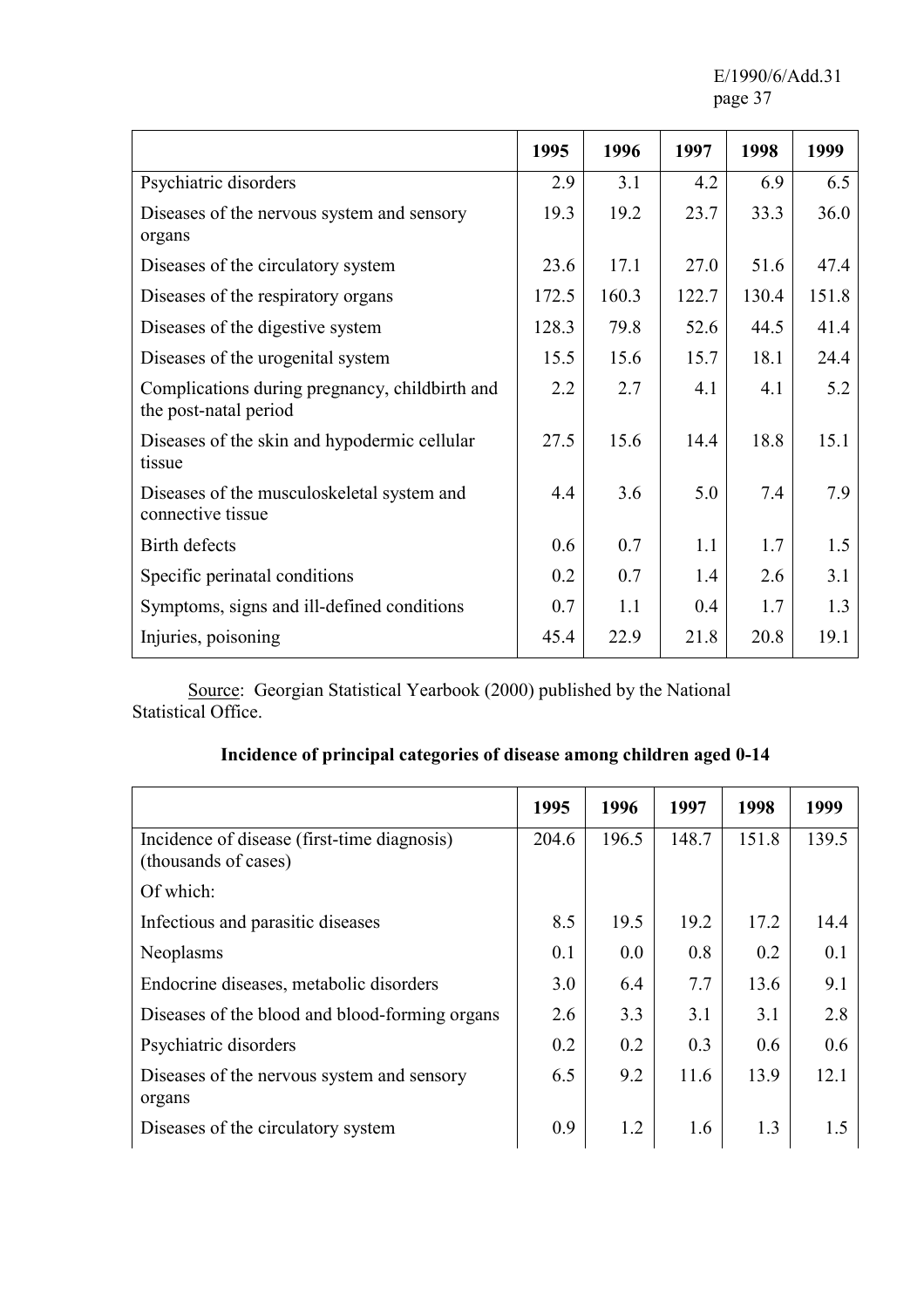E/1990/6/Add.31 page 37

|                                                                         | 1995  | 1996  | 1997  | 1998  | 1999  |
|-------------------------------------------------------------------------|-------|-------|-------|-------|-------|
| Psychiatric disorders                                                   | 2.9   | 3.1   | 4.2   | 6.9   | 6.5   |
| Diseases of the nervous system and sensory<br>organs                    | 19.3  | 19.2  | 23.7  | 33.3  | 36.0  |
| Diseases of the circulatory system                                      | 23.6  | 17.1  | 27.0  | 51.6  | 47.4  |
| Diseases of the respiratory organs                                      | 172.5 | 160.3 | 122.7 | 130.4 | 151.8 |
| Diseases of the digestive system                                        | 128.3 | 79.8  | 52.6  | 44.5  | 41.4  |
| Diseases of the urogenital system                                       | 15.5  | 15.6  | 15.7  | 18.1  | 24.4  |
| Complications during pregnancy, childbirth and<br>the post-natal period | 2.2   | 2.7   | 4.1   | 4.1   | 5.2   |
| Diseases of the skin and hypodermic cellular<br>tissue                  | 27.5  | 15.6  | 14.4  | 18.8  | 15.1  |
| Diseases of the musculoskeletal system and<br>connective tissue         | 4.4   | 3.6   | 5.0   | 7.4   | 7.9   |
| Birth defects                                                           | 0.6   | 0.7   | 1.1   | 1.7   | 1.5   |
| Specific perinatal conditions                                           | 0.2   | 0.7   | 1.4   | 2.6   | 3.1   |
| Symptoms, signs and ill-defined conditions                              | 0.7   | 1.1   | 0.4   | 1.7   | 1.3   |
| Injuries, poisoning                                                     | 45.4  | 22.9  | 21.8  | 20.8  | 19.1  |

Source: Georgian Statistical Yearbook (2000) published by the National Statistical Office.

| Incidence of principal categories of disease among children aged 0-14 |  |
|-----------------------------------------------------------------------|--|
|-----------------------------------------------------------------------|--|

|                                                                     | 1995  | 1996  | 1997  | 1998  | 1999  |
|---------------------------------------------------------------------|-------|-------|-------|-------|-------|
| Incidence of disease (first-time diagnosis)<br>(thousands of cases) | 204.6 | 196.5 | 148.7 | 151.8 | 139.5 |
| Of which:                                                           |       |       |       |       |       |
| Infectious and parasitic diseases                                   | 8.5   | 19.5  | 19.2  | 17.2  | 14.4  |
| Neoplasms                                                           | 0.1   | 0.0   | 0.8   | 0.2   | 0.1   |
| Endocrine diseases, metabolic disorders                             | 3.0   | 6.4   | 7.7   | 13.6  | 9.1   |
| Diseases of the blood and blood-forming organs                      | 2.6   | 3.3   | 3.1   | 3.1   | 2.8   |
| Psychiatric disorders                                               | 0.2   | 0.2   | 0.3   | 0.6   | 0.6   |
| Diseases of the nervous system and sensory<br>organs                | 6.5   | 9.2   | 11.6  | 13.9  | 12.1  |
| Diseases of the circulatory system                                  | 0.9   | 1.2   | 1.6   | 1.3   | 15    |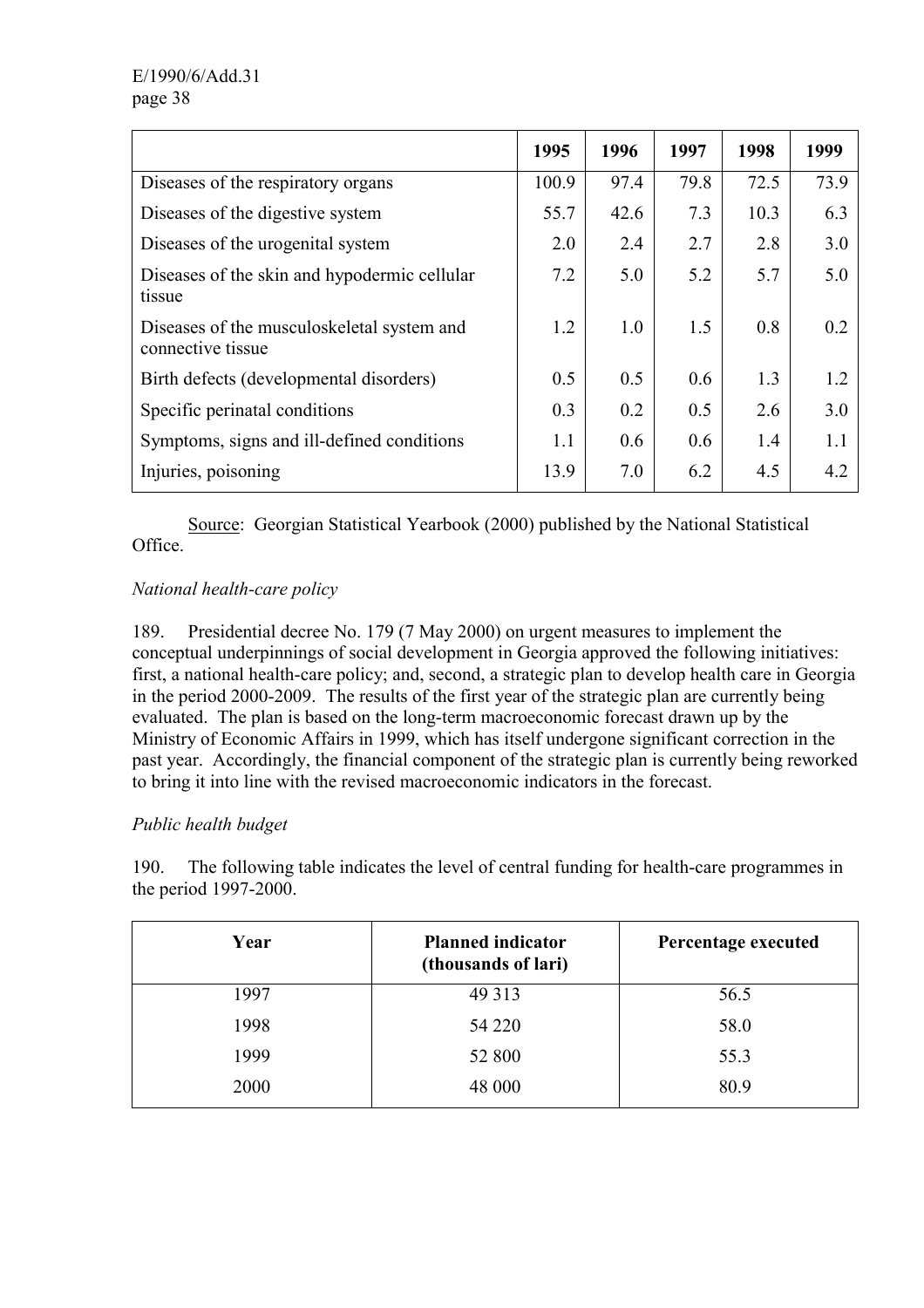|                                                                 | 1995  | 1996 | 1997 | 1998 | 1999 |
|-----------------------------------------------------------------|-------|------|------|------|------|
| Diseases of the respiratory organs                              | 100.9 | 97.4 | 79.8 | 72.5 | 73.9 |
| Diseases of the digestive system                                | 55.7  | 42.6 | 7.3  | 10.3 | 6.3  |
| Diseases of the urogenital system                               | 2.0   | 2.4  | 2.7  | 2.8  | 3.0  |
| Diseases of the skin and hypodermic cellular<br>tissue          | 7.2   | 5.0  | 5.2  | 5.7  | 5.0  |
| Diseases of the musculoskeletal system and<br>connective tissue | 1.2   | 1.0  | 1.5  | 0.8  | 0.2  |
| Birth defects (developmental disorders)                         | 0.5   | 0.5  | 0.6  | 1.3  | 1.2  |
| Specific perinatal conditions                                   | 0.3   | 0.2  | 0.5  | 2.6  | 3.0  |
| Symptoms, signs and ill-defined conditions                      | 1.1   | 0.6  | 0.6  | 1.4  | 1.1  |
| Injuries, poisoning                                             | 13.9  | 7.0  | 6.2  | 4.5  | 4.2  |

 Source: Georgian Statistical Yearbook (2000) published by the National Statistical Office.

# *National health-care policy*

189. Presidential decree No. 179 (7 May 2000) on urgent measures to implement the conceptual underpinnings of social development in Georgia approved the following initiatives: first, a national health-care policy; and, second, a strategic plan to develop health care in Georgia in the period 2000-2009. The results of the first year of the strategic plan are currently being evaluated. The plan is based on the long-term macroeconomic forecast drawn up by the Ministry of Economic Affairs in 1999, which has itself undergone significant correction in the past year. Accordingly, the financial component of the strategic plan is currently being reworked to bring it into line with the revised macroeconomic indicators in the forecast.

### *Public health budget*

190. The following table indicates the level of central funding for health-care programmes in the period 1997-2000.

| Year | <b>Planned indicator</b><br>(thousands of lari) | Percentage executed |
|------|-------------------------------------------------|---------------------|
| 1997 | 49 3 13                                         | 56.5                |
| 1998 | 54 220                                          | 58.0                |
| 1999 | 52 800                                          | 55.3                |
| 2000 | 48 000                                          | 80.9                |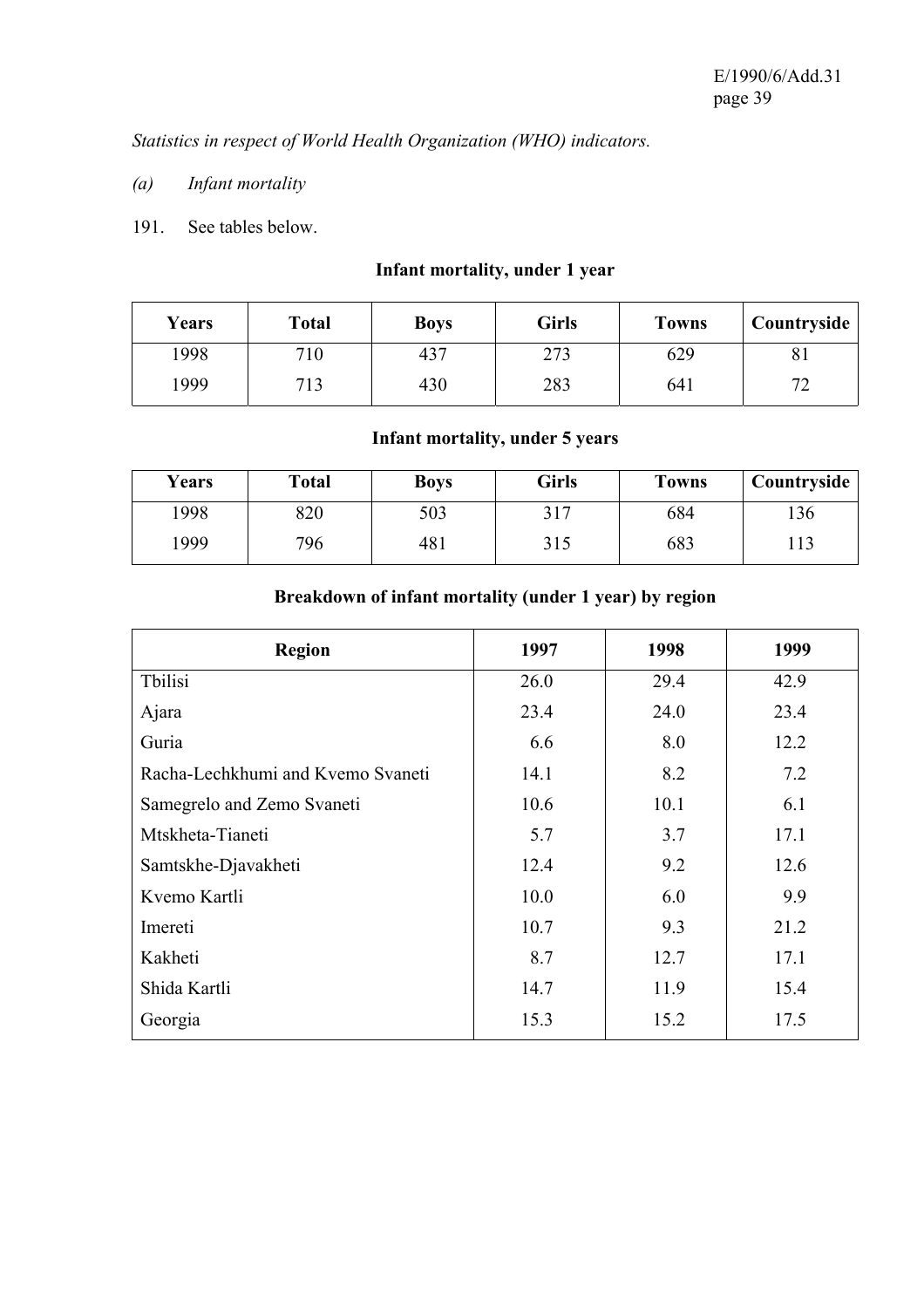*Statistics in respect of World Health Organization (WHO) indicators.* 

- *(a) Infant mortality*
- 191. See tables below.

# **Infant mortality, under 1 year**

| <b>Years</b> | <b>Total</b> | <b>Boys</b> | Girls | <b>Towns</b> | Countryside                   |
|--------------|--------------|-------------|-------|--------------|-------------------------------|
| 1998         | 710          | 43          | 273   | 629          | ΟI                            |
| 1999         | 713          | 430         | 283   | 641          | $\overline{\phantom{a}}$<br>- |

# **Infant mortality, under 5 years**

| Years | <b>Total</b> | <b>Boys</b> | <b>Girls</b>          | <b>Towns</b> | Countryside |
|-------|--------------|-------------|-----------------------|--------------|-------------|
| 1998  | 820          | 503         | າ 1 <i>⊓</i><br>J I I | 684          | 136         |
| 999   | 796          | 481         | 315                   | 683          | 113         |

# **Breakdown of infant mortality (under 1 year) by region**

| <b>Region</b>                     | 1997 | 1998 | 1999 |
|-----------------------------------|------|------|------|
| Tbilisi                           | 26.0 | 29.4 | 42.9 |
| Ajara                             | 23.4 | 24.0 | 23.4 |
| Guria                             | 6.6  | 8.0  | 12.2 |
| Racha-Lechkhumi and Kvemo Svaneti | 14.1 | 8.2  | 7.2  |
| Samegrelo and Zemo Svaneti        | 10.6 | 10.1 | 6.1  |
| Mtskheta-Tianeti                  | 5.7  | 3.7  | 17.1 |
| Samtskhe-Djavakheti               | 12.4 | 9.2  | 12.6 |
| Kvemo Kartli                      | 10.0 | 6.0  | 9.9  |
| Imereti                           | 10.7 | 9.3  | 21.2 |
| Kakheti                           | 8.7  | 12.7 | 17.1 |
| Shida Kartli                      | 14.7 | 11.9 | 15.4 |
| Georgia                           | 15.3 | 15.2 | 17.5 |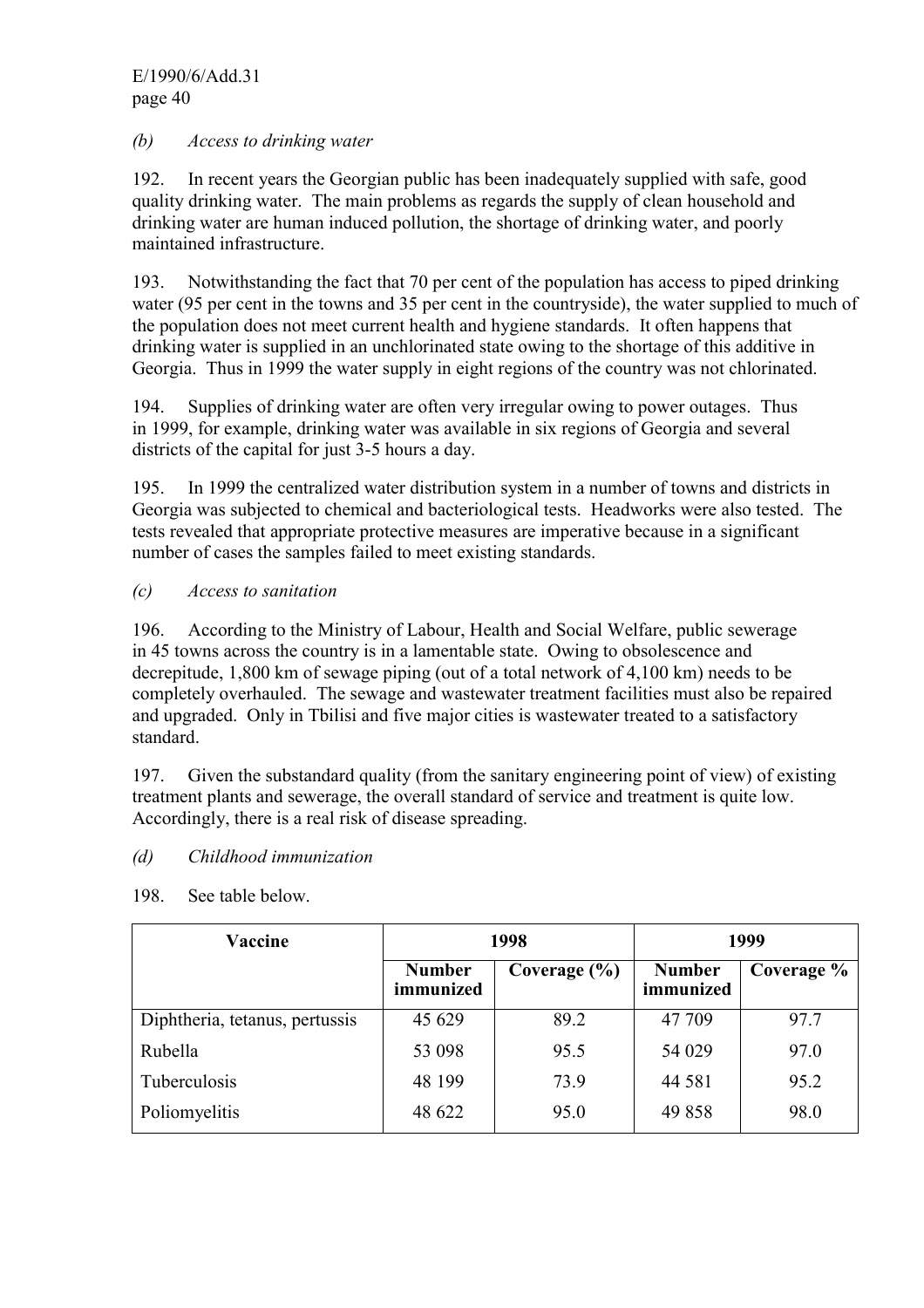### *(b) Access to drinking water*

192. In recent years the Georgian public has been inadequately supplied with safe, good quality drinking water. The main problems as regards the supply of clean household and drinking water are human induced pollution, the shortage of drinking water, and poorly maintained infrastructure.

193. Notwithstanding the fact that 70 per cent of the population has access to piped drinking water (95 per cent in the towns and 35 per cent in the countryside), the water supplied to much of the population does not meet current health and hygiene standards. It often happens that drinking water is supplied in an unchlorinated state owing to the shortage of this additive in Georgia. Thus in 1999 the water supply in eight regions of the country was not chlorinated.

194. Supplies of drinking water are often very irregular owing to power outages. Thus in 1999, for example, drinking water was available in six regions of Georgia and several districts of the capital for just 3-5 hours a day.

195. In 1999 the centralized water distribution system in a number of towns and districts in Georgia was subjected to chemical and bacteriological tests. Headworks were also tested. The tests revealed that appropriate protective measures are imperative because in a significant number of cases the samples failed to meet existing standards.

### *(c) Access to sanitation*

196. According to the Ministry of Labour, Health and Social Welfare, public sewerage in 45 towns across the country is in a lamentable state. Owing to obsolescence and decrepitude, 1,800 km of sewage piping (out of a total network of 4,100 km) needs to be completely overhauled. The sewage and wastewater treatment facilities must also be repaired and upgraded. Only in Tbilisi and five major cities is wastewater treated to a satisfactory standard.

197. Given the substandard quality (from the sanitary engineering point of view) of existing treatment plants and sewerage, the overall standard of service and treatment is quite low. Accordingly, there is a real risk of disease spreading.

### *(d) Childhood immunization*

| Vaccine                        | 1998                       |                  | 1999                       |            |
|--------------------------------|----------------------------|------------------|----------------------------|------------|
|                                | <b>Number</b><br>immunized | Coverage $(\% )$ | <b>Number</b><br>immunized | Coverage % |
| Diphtheria, tetanus, pertussis | 45 629                     | 89.2             | 47 709                     | 97.7       |
| Rubella                        | 53 098                     | 95.5             | 54 029                     | 97.0       |
| Tuberculosis                   | 48 199                     | 73.9             | 44 581                     | 95.2       |
| Poliomyelitis                  | 48 622                     | 95.0             | 49858                      | 98.0       |

198. See table below.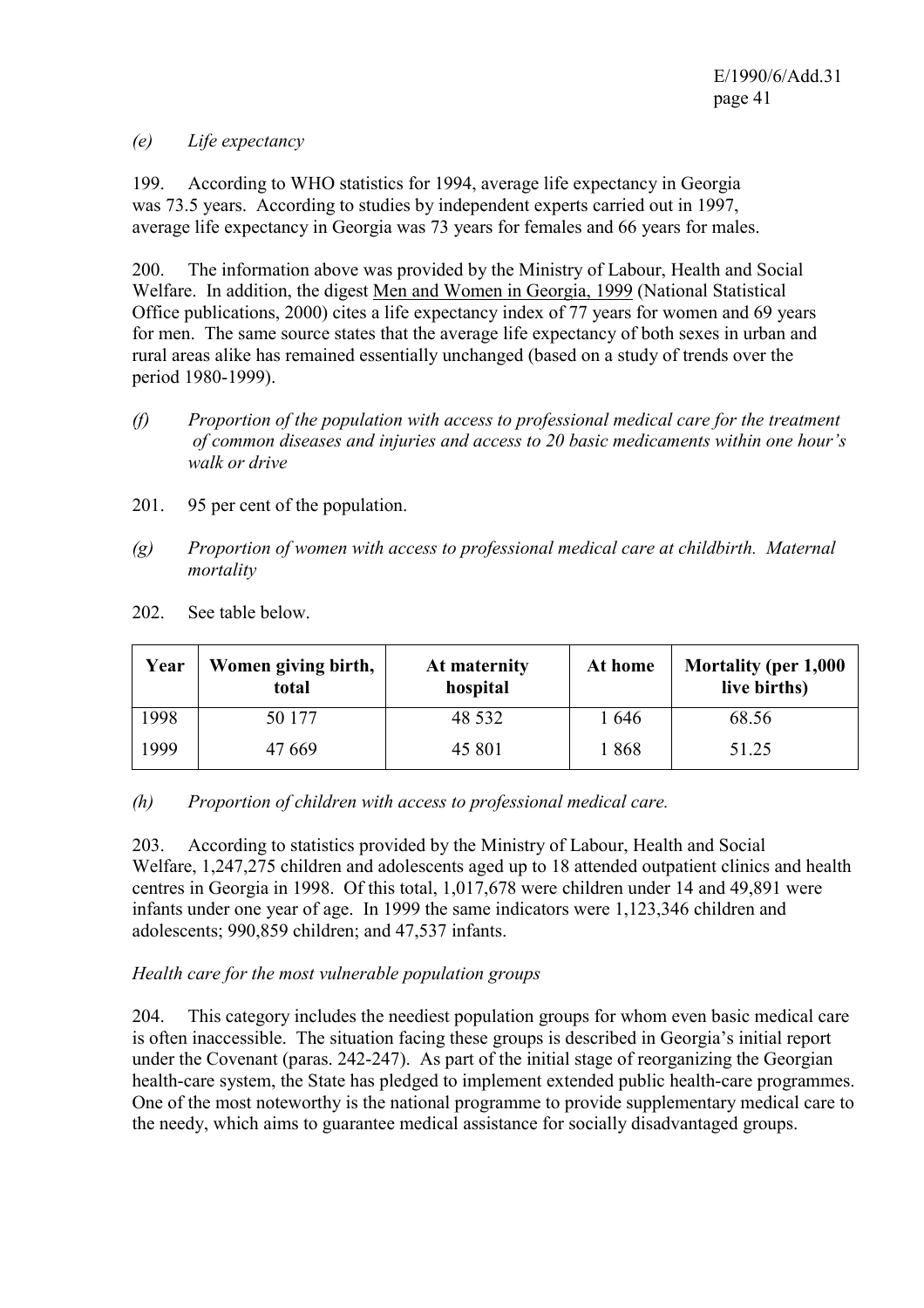*(e) Life expectancy* 

199. According to WHO statistics for 1994, average life expectancy in Georgia was 73.5 years. According to studies by independent experts carried out in 1997, average life expectancy in Georgia was 73 years for females and 66 years for males.

200. The information above was provided by the Ministry of Labour, Health and Social Welfare. In addition, the digest Men and Women in Georgia, 1999 (National Statistical Office publications, 2000) cites a life expectancy index of 77 years for women and 69 years for men. The same source states that the average life expectancy of both sexes in urban and rural areas alike has remained essentially unchanged (based on a study of trends over the period 1980-1999).

- *(f) Proportion of the population with access to professional medical care for the treatment of common diseases and injuries and access to 20 basic medicaments within one hour's walk or drive*
- 201. 95 per cent of the population.
- *(g) Proportion of women with access to professional medical care at childbirth. Maternal mortality*
- 202. See table below.

| Year | Women giving birth,<br>total | At maternity<br>hospital | At home | Mortality (per 1,000<br>live births) |
|------|------------------------------|--------------------------|---------|--------------------------------------|
| 1998 | 50 177                       | 48 5 32                  | 646     | 68.56                                |
| 1999 | 47 669                       | 45 801                   | 868     | 51.25                                |

### *(h) Proportion of children with access to professional medical care.*

203. According to statistics provided by the Ministry of Labour, Health and Social Welfare, 1,247,275 children and adolescents aged up to 18 attended outpatient clinics and health centres in Georgia in 1998. Of this total, 1,017,678 were children under 14 and 49,891 were infants under one year of age. In 1999 the same indicators were 1,123,346 children and adolescents; 990,859 children; and 47,537 infants.

### *Health care for the most vulnerable population groups*

204. This category includes the neediest population groups for whom even basic medical care is often inaccessible. The situation facing these groups is described in Georgia's initial report under the Covenant (paras. 242-247). As part of the initial stage of reorganizing the Georgian health-care system, the State has pledged to implement extended public health-care programmes. One of the most noteworthy is the national programme to provide supplementary medical care to the needy, which aims to guarantee medical assistance for socially disadvantaged groups.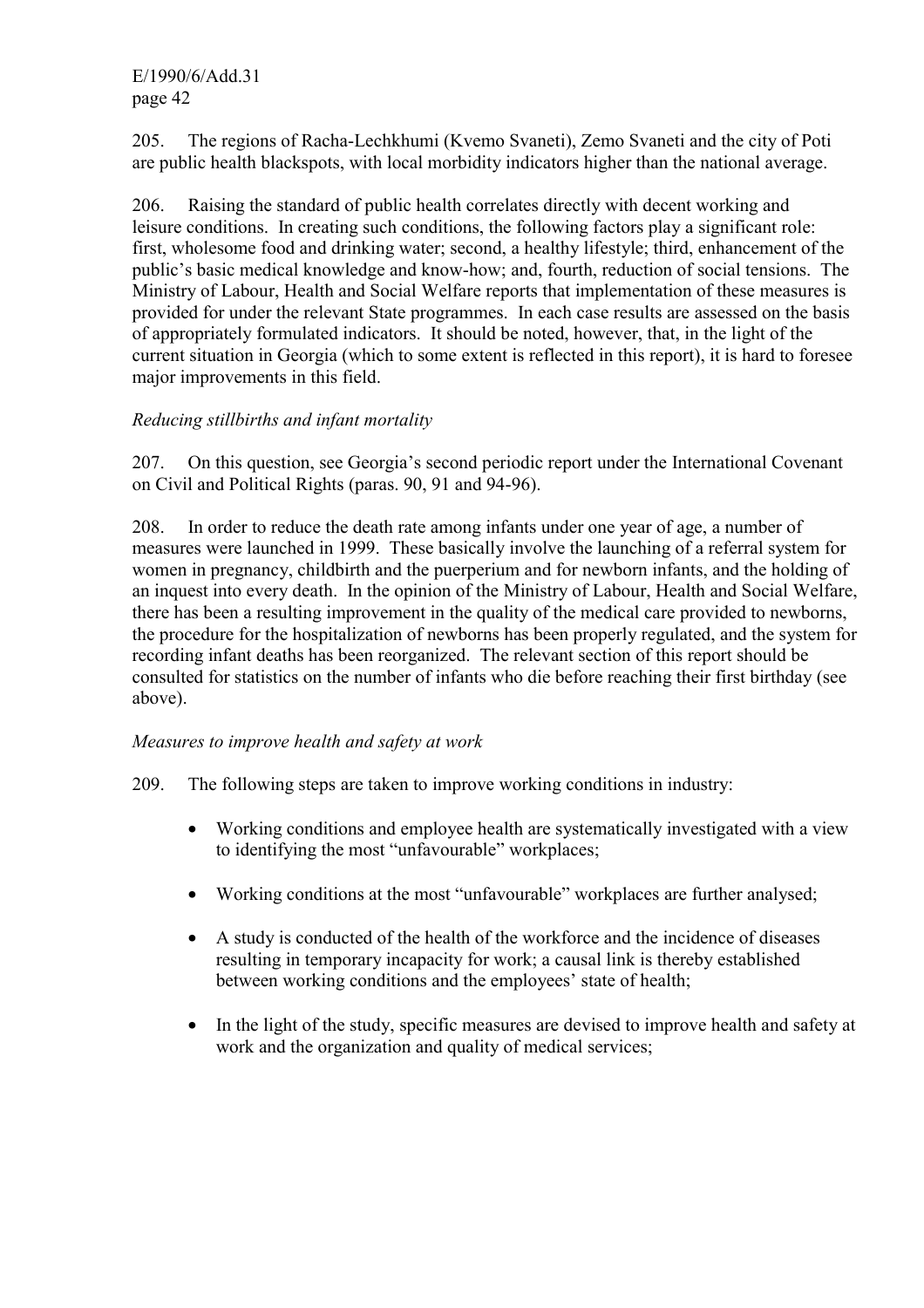E/1990/6/Add.31 page 42

205. The regions of Racha-Lechkhumi (Kvemo Svaneti), Zemo Svaneti and the city of Poti are public health blackspots, with local morbidity indicators higher than the national average.

206. Raising the standard of public health correlates directly with decent working and leisure conditions. In creating such conditions, the following factors play a significant role: first, wholesome food and drinking water; second, a healthy lifestyle; third, enhancement of the public's basic medical knowledge and know-how; and, fourth, reduction of social tensions. The Ministry of Labour, Health and Social Welfare reports that implementation of these measures is provided for under the relevant State programmes. In each case results are assessed on the basis of appropriately formulated indicators. It should be noted, however, that, in the light of the current situation in Georgia (which to some extent is reflected in this report), it is hard to foresee major improvements in this field.

### *Reducing stillbirths and infant mortality*

207. On this question, see Georgia's second periodic report under the International Covenant on Civil and Political Rights (paras. 90, 91 and 94-96).

208. In order to reduce the death rate among infants under one year of age, a number of measures were launched in 1999. These basically involve the launching of a referral system for women in pregnancy, childbirth and the puerperium and for newborn infants, and the holding of an inquest into every death. In the opinion of the Ministry of Labour, Health and Social Welfare, there has been a resulting improvement in the quality of the medical care provided to newborns, the procedure for the hospitalization of newborns has been properly regulated, and the system for recording infant deaths has been reorganized. The relevant section of this report should be consulted for statistics on the number of infants who die before reaching their first birthday (see above).

#### *Measures to improve health and safety at work*

209. The following steps are taken to improve working conditions in industry:

- Working conditions and employee health are systematically investigated with a view to identifying the most "unfavourable" workplaces;
- Working conditions at the most "unfavourable" workplaces are further analysed;
- A study is conducted of the health of the workforce and the incidence of diseases resulting in temporary incapacity for work; a causal link is thereby established between working conditions and the employees' state of health;
- In the light of the study, specific measures are devised to improve health and safety at work and the organization and quality of medical services;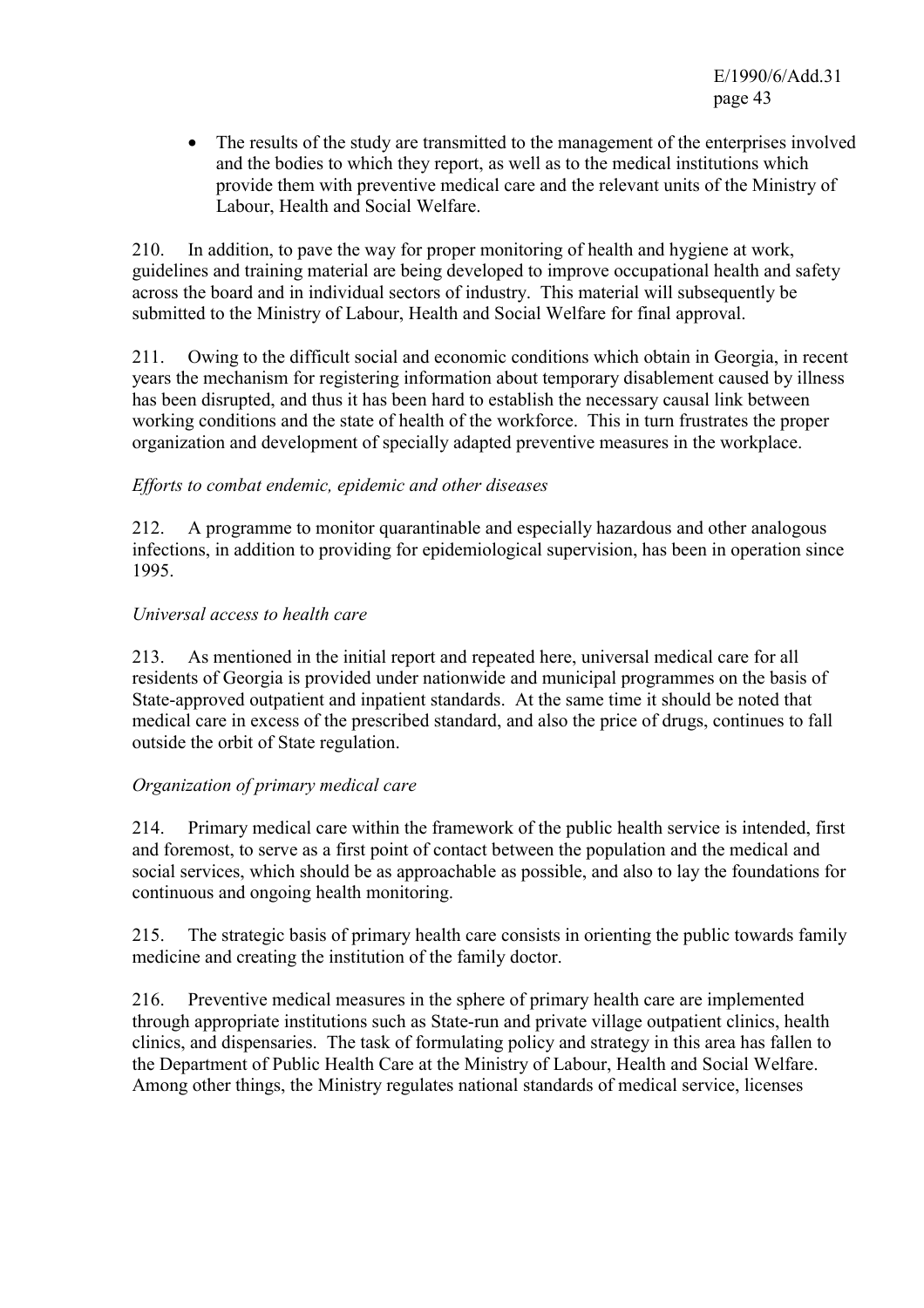• The results of the study are transmitted to the management of the enterprises involved and the bodies to which they report, as well as to the medical institutions which provide them with preventive medical care and the relevant units of the Ministry of Labour, Health and Social Welfare.

210. In addition, to pave the way for proper monitoring of health and hygiene at work, guidelines and training material are being developed to improve occupational health and safety across the board and in individual sectors of industry. This material will subsequently be submitted to the Ministry of Labour, Health and Social Welfare for final approval.

211. Owing to the difficult social and economic conditions which obtain in Georgia, in recent years the mechanism for registering information about temporary disablement caused by illness has been disrupted, and thus it has been hard to establish the necessary causal link between working conditions and the state of health of the workforce. This in turn frustrates the proper organization and development of specially adapted preventive measures in the workplace.

### *Efforts to combat endemic, epidemic and other diseases*

212. A programme to monitor quarantinable and especially hazardous and other analogous infections, in addition to providing for epidemiological supervision, has been in operation since 1995.

### *Universal access to health care*

213. As mentioned in the initial report and repeated here, universal medical care for all residents of Georgia is provided under nationwide and municipal programmes on the basis of State-approved outpatient and inpatient standards. At the same time it should be noted that medical care in excess of the prescribed standard, and also the price of drugs, continues to fall outside the orbit of State regulation.

### *Organization of primary medical care*

214. Primary medical care within the framework of the public health service is intended, first and foremost, to serve as a first point of contact between the population and the medical and social services, which should be as approachable as possible, and also to lay the foundations for continuous and ongoing health monitoring.

215. The strategic basis of primary health care consists in orienting the public towards family medicine and creating the institution of the family doctor.

216. Preventive medical measures in the sphere of primary health care are implemented through appropriate institutions such as State-run and private village outpatient clinics, health clinics, and dispensaries. The task of formulating policy and strategy in this area has fallen to the Department of Public Health Care at the Ministry of Labour, Health and Social Welfare. Among other things, the Ministry regulates national standards of medical service, licenses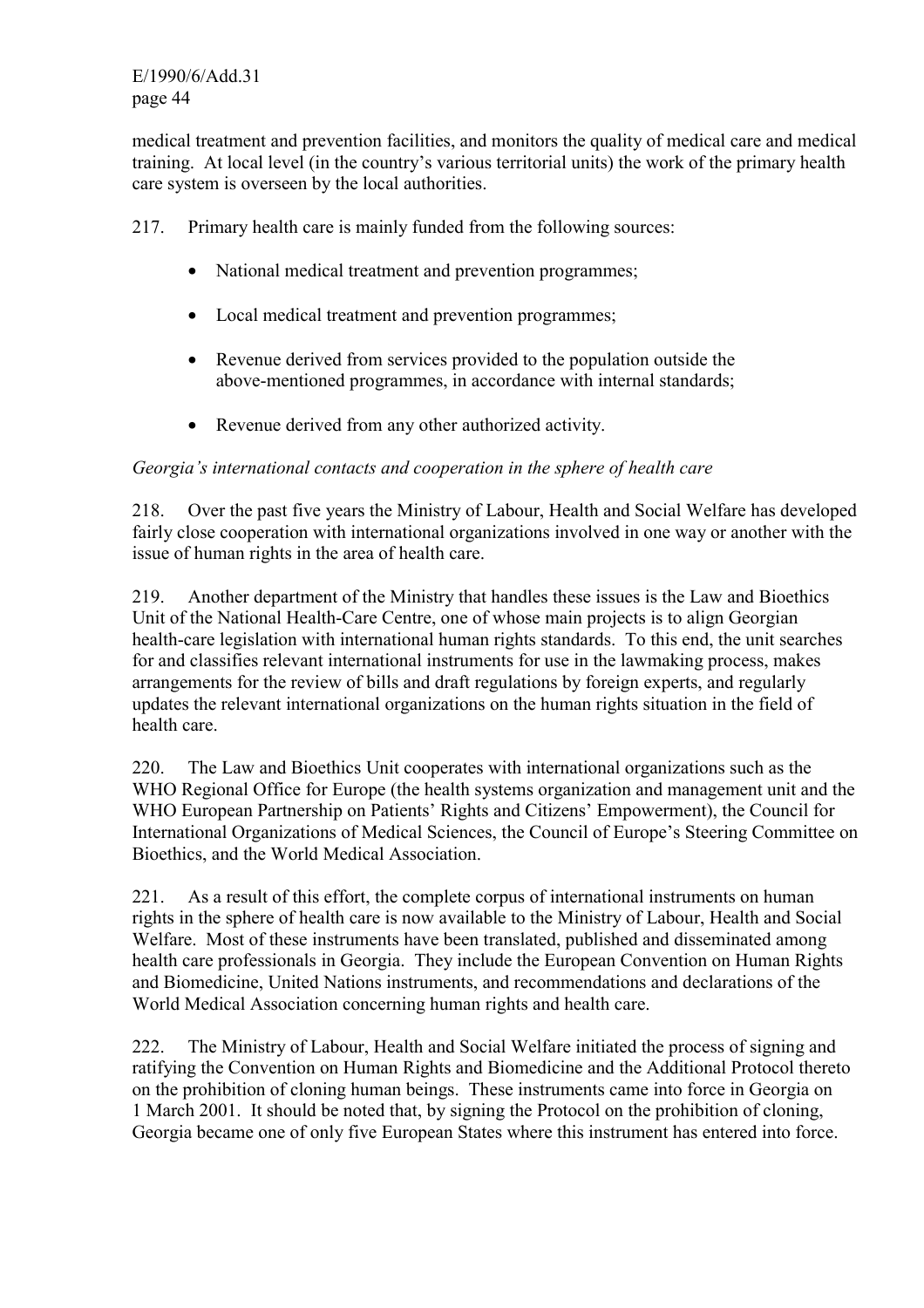E/1990/6/Add.31 page 44

medical treatment and prevention facilities, and monitors the quality of medical care and medical training. At local level (in the country's various territorial units) the work of the primary health care system is overseen by the local authorities.

217. Primary health care is mainly funded from the following sources:

- National medical treatment and prevention programmes;
- Local medical treatment and prevention programmes;
- Revenue derived from services provided to the population outside the above-mentioned programmes, in accordance with internal standards;
- Revenue derived from any other authorized activity.

### *Georgia's international contacts and cooperation in the sphere of health care*

218. Over the past five years the Ministry of Labour, Health and Social Welfare has developed fairly close cooperation with international organizations involved in one way or another with the issue of human rights in the area of health care.

219. Another department of the Ministry that handles these issues is the Law and Bioethics Unit of the National Health-Care Centre, one of whose main projects is to align Georgian health-care legislation with international human rights standards. To this end, the unit searches for and classifies relevant international instruments for use in the lawmaking process, makes arrangements for the review of bills and draft regulations by foreign experts, and regularly updates the relevant international organizations on the human rights situation in the field of health care.

220. The Law and Bioethics Unit cooperates with international organizations such as the WHO Regional Office for Europe (the health systems organization and management unit and the WHO European Partnership on Patients' Rights and Citizens' Empowerment), the Council for International Organizations of Medical Sciences, the Council of Europe's Steering Committee on Bioethics, and the World Medical Association.

221. As a result of this effort, the complete corpus of international instruments on human rights in the sphere of health care is now available to the Ministry of Labour, Health and Social Welfare. Most of these instruments have been translated, published and disseminated among health care professionals in Georgia. They include the European Convention on Human Rights and Biomedicine, United Nations instruments, and recommendations and declarations of the World Medical Association concerning human rights and health care.

222. The Ministry of Labour, Health and Social Welfare initiated the process of signing and ratifying the Convention on Human Rights and Biomedicine and the Additional Protocol thereto on the prohibition of cloning human beings. These instruments came into force in Georgia on 1 March 2001. It should be noted that, by signing the Protocol on the prohibition of cloning, Georgia became one of only five European States where this instrument has entered into force.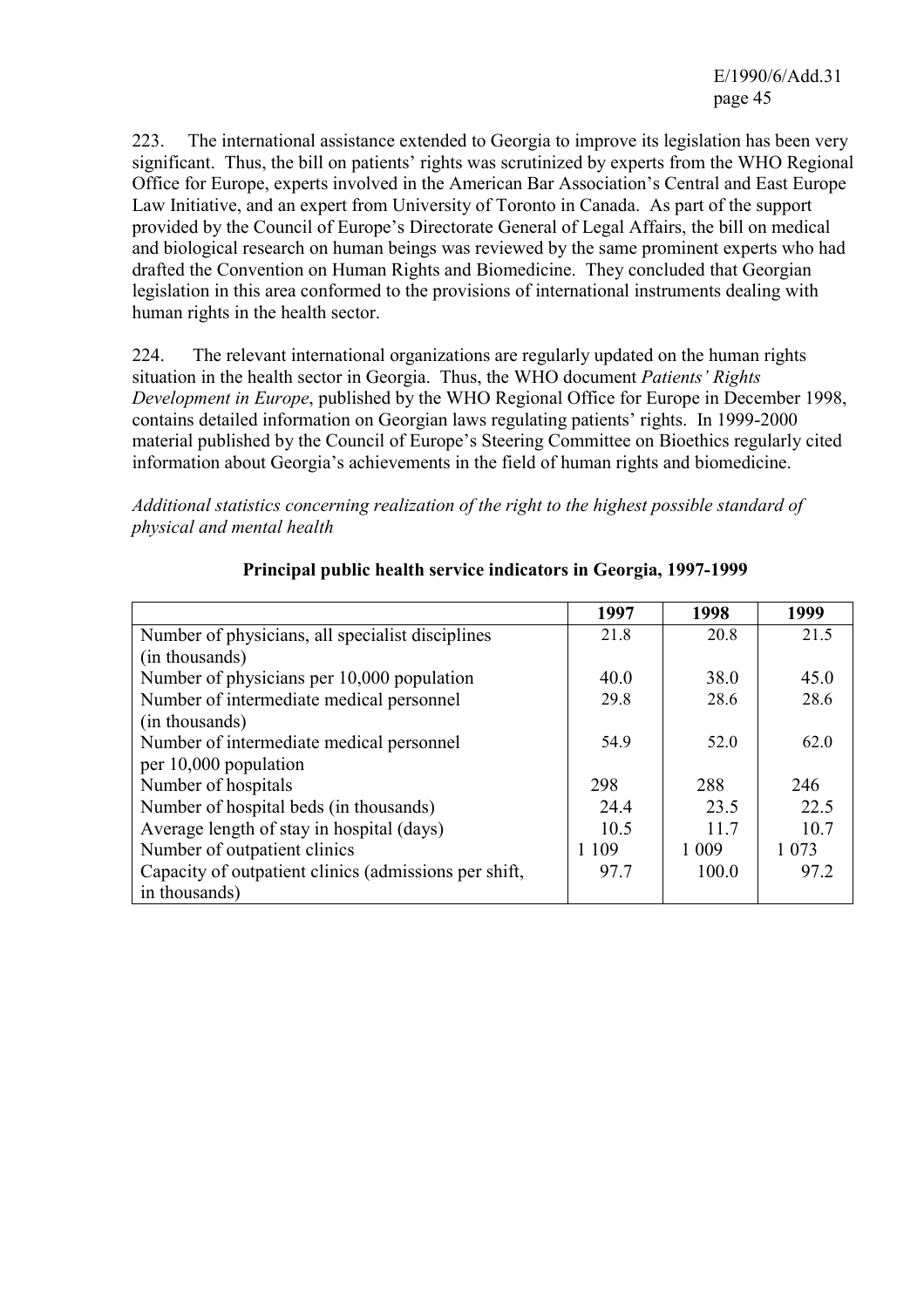223. The international assistance extended to Georgia to improve its legislation has been very significant. Thus, the bill on patients' rights was scrutinized by experts from the WHO Regional Office for Europe, experts involved in the American Bar Association's Central and East Europe Law Initiative, and an expert from University of Toronto in Canada. As part of the support provided by the Council of Europe's Directorate General of Legal Affairs, the bill on medical and biological research on human beings was reviewed by the same prominent experts who had drafted the Convention on Human Rights and Biomedicine. They concluded that Georgian legislation in this area conformed to the provisions of international instruments dealing with human rights in the health sector.

224. The relevant international organizations are regularly updated on the human rights situation in the health sector in Georgia. Thus, the WHO document *Patients' Rights Development in Europe*, published by the WHO Regional Office for Europe in December 1998, contains detailed information on Georgian laws regulating patients' rights. In 1999-2000 material published by the Council of Europe's Steering Committee on Bioethics regularly cited information about Georgia's achievements in the field of human rights and biomedicine.

*Additional statistics concerning realization of the right to the highest possible standard of physical and mental health* 

|                                                       | 1997    | 1998    | 1999    |
|-------------------------------------------------------|---------|---------|---------|
| Number of physicians, all specialist disciplines      | 21.8    | 20.8    | 21.5    |
| (in thousands)                                        |         |         |         |
| Number of physicians per 10,000 population            | 40.0    | 38.0    | 45.0    |
| Number of intermediate medical personnel              | 29.8    | 28.6    | 28.6    |
| (in thousands)                                        |         |         |         |
| Number of intermediate medical personnel              | 54.9    | 52.0    | 62.0    |
| per 10,000 population                                 |         |         |         |
| Number of hospitals                                   | 298     | 288     | 246     |
| Number of hospital beds (in thousands)                | 24.4    | 23.5    | 22.5    |
| Average length of stay in hospital (days)             | 10.5    | 117     | 10.7    |
| Number of outpatient clinics                          | 1 1 0 9 | 1 0 0 9 | 1 0 7 3 |
| Capacity of outpatient clinics (admissions per shift, | 97.7    | 100.0   | 97.2    |
| in thousands)                                         |         |         |         |

### **Principal public health service indicators in Georgia, 1997-1999**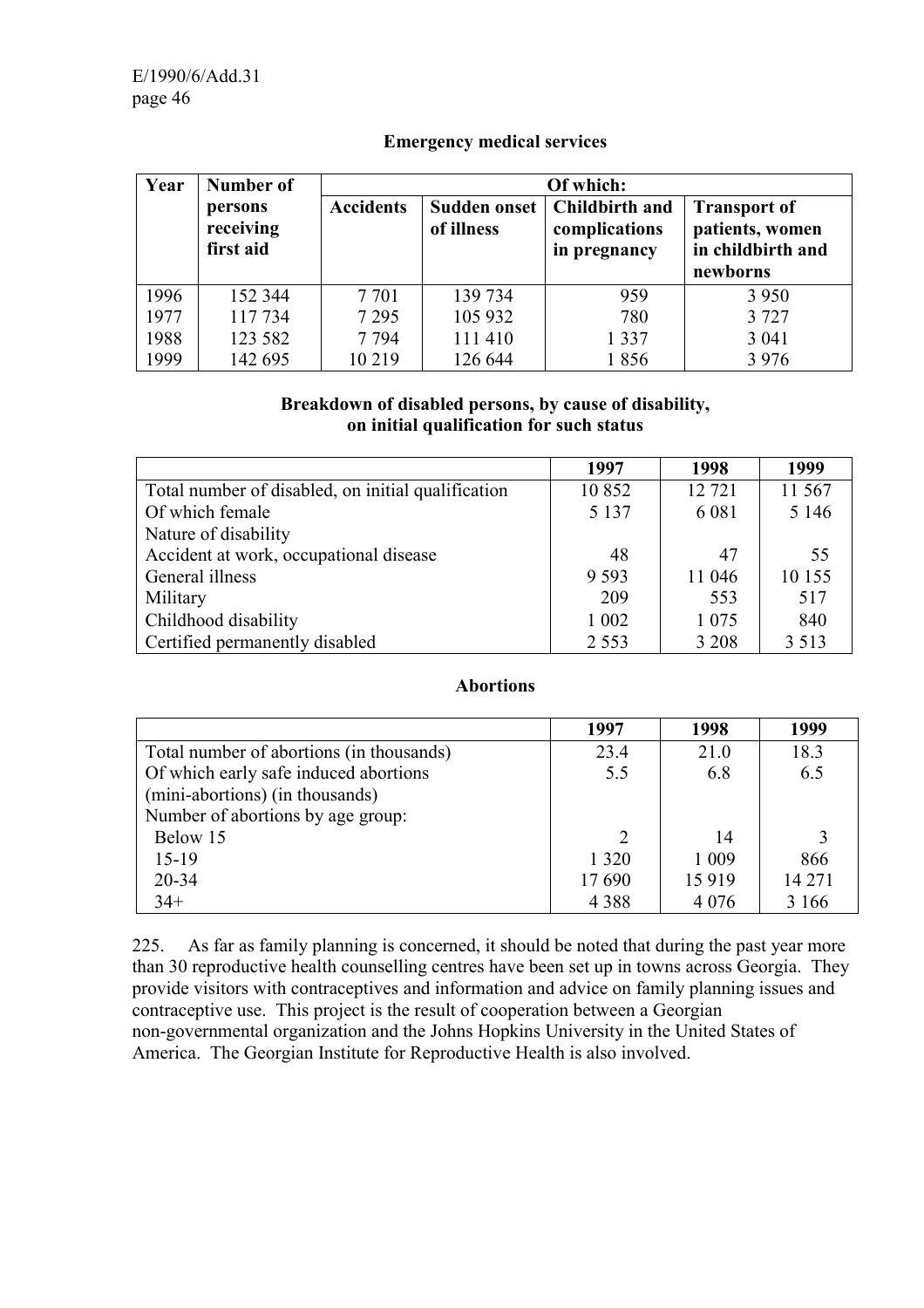| Year | Number of                         | Of which:        |                                   |                                                 |                                                                         |  |
|------|-----------------------------------|------------------|-----------------------------------|-------------------------------------------------|-------------------------------------------------------------------------|--|
|      | persons<br>receiving<br>first aid | <b>Accidents</b> | <b>Sudden onset</b><br>of illness | Childbirth and<br>complications<br>in pregnancy | <b>Transport of</b><br>patients, women<br>in childbirth and<br>newborns |  |
| 1996 | 152 344                           | 7 7 0 1          | 139 734                           | 959                                             | 3 9 5 0                                                                 |  |
| 1977 | 117734                            | 7 2 9 5          | 105 932                           | 780                                             | 3 7 2 7                                                                 |  |
| 1988 | 123 582                           | 7 7 9 4          | 111 410                           | 1 3 3 7                                         | 3 0 4 1                                                                 |  |
| 1999 | 142 695                           | 10 219           | 126 644                           | 1856                                            | 3 9 7 6                                                                 |  |

### **Emergency medical services**

### **Breakdown of disabled persons, by cause of disability, on initial qualification for such status**

|                                                    | 1997    | 1998    | 1999    |
|----------------------------------------------------|---------|---------|---------|
| Total number of disabled, on initial qualification | 10852   | 12 721  | 11 567  |
| Of which female                                    | 5 1 3 7 | 6 0 8 1 | 5 1 4 6 |
| Nature of disability                               |         |         |         |
| Accident at work, occupational disease             | 48      | 47      | 55      |
| General illness                                    | 9 5 9 3 | 11 046  | 10 155  |
| Military                                           | 209     | 553     | 517     |
| Childhood disability                               | 1 0 0 2 | 1 0 7 5 | 840     |
| Certified permanently disabled                     | 2 5 5 3 | 3 2 0 8 | 3 5 1 3 |

### **Abortions**

|                                          | 1997    | 1998    | 1999   |
|------------------------------------------|---------|---------|--------|
| Total number of abortions (in thousands) | 23.4    | 21.0    | 18.3   |
| Of which early safe induced abortions    | 5.5     | 6.8     | 6.5    |
| (mini-abortions) (in thousands)          |         |         |        |
| Number of abortions by age group:        |         |         |        |
| Below 15                                 |         | 14      |        |
| $15-19$                                  | 1 3 2 0 | 1 0 0 9 | 866    |
| 20-34                                    | 17690   | 15919   | 14 271 |
| $34+$                                    | 4 3 8 8 | 4 0 7 6 | 3 16 6 |

225. As far as family planning is concerned, it should be noted that during the past year more than 30 reproductive health counselling centres have been set up in towns across Georgia. They provide visitors with contraceptives and information and advice on family planning issues and contraceptive use. This project is the result of cooperation between a Georgian non-governmental organization and the Johns Hopkins University in the United States of America. The Georgian Institute for Reproductive Health is also involved.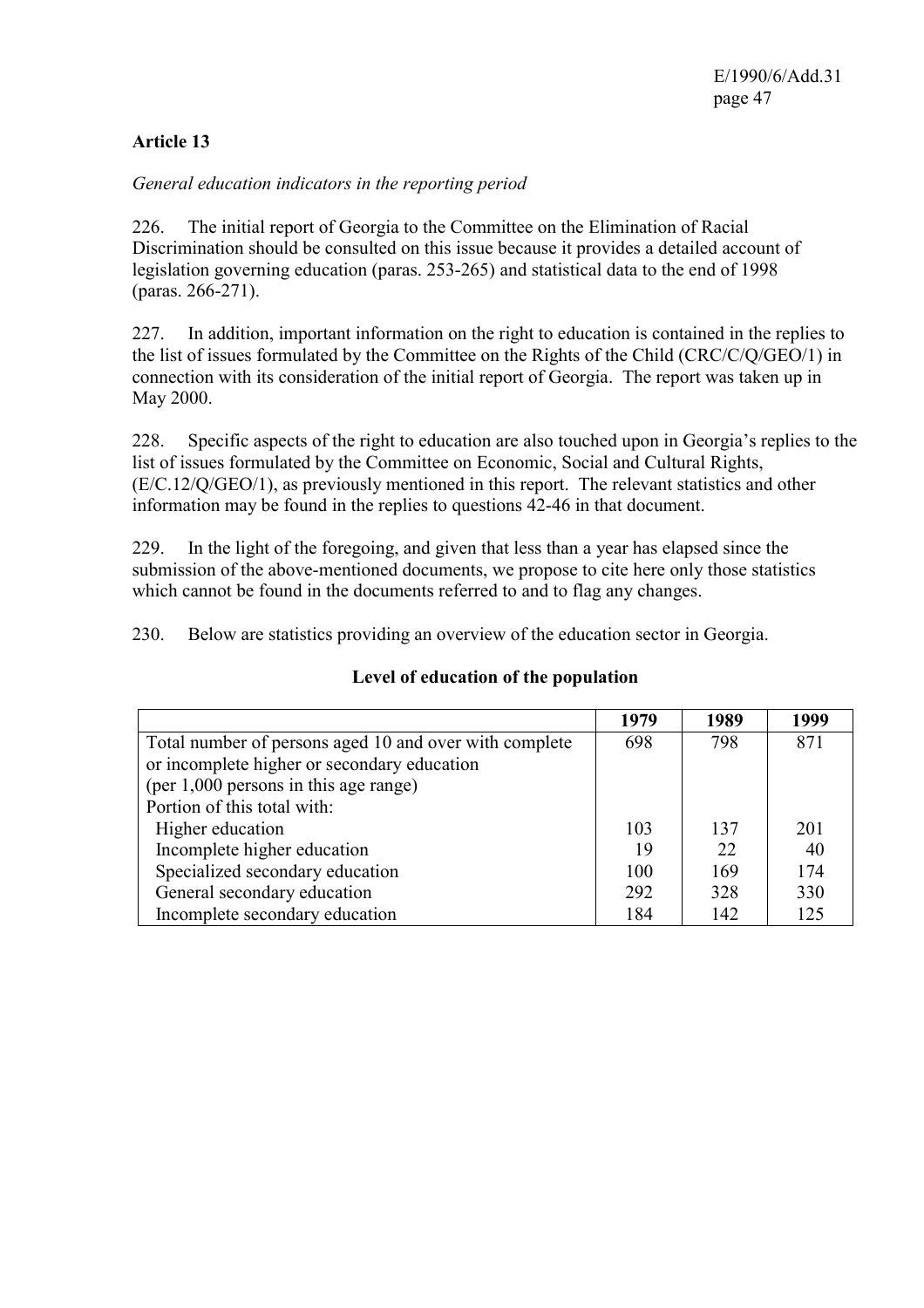# **Article 13**

### *General education indicators in the reporting period*

226. The initial report of Georgia to the Committee on the Elimination of Racial Discrimination should be consulted on this issue because it provides a detailed account of legislation governing education (paras. 253-265) and statistical data to the end of 1998 (paras. 266-271).

227. In addition, important information on the right to education is contained in the replies to the list of issues formulated by the Committee on the Rights of the Child (CRC/C/Q/GEO/1) in connection with its consideration of the initial report of Georgia. The report was taken up in May 2000.

228. Specific aspects of the right to education are also touched upon in Georgia's replies to the list of issues formulated by the Committee on Economic, Social and Cultural Rights, (E/C.12/Q/GEO/1), as previously mentioned in this report. The relevant statistics and other information may be found in the replies to questions 42-46 in that document.

229. In the light of the foregoing, and given that less than a year has elapsed since the submission of the above-mentioned documents, we propose to cite here only those statistics which cannot be found in the documents referred to and to flag any changes.

230. Below are statistics providing an overview of the education sector in Georgia.

|                                                        | 1979 | 1989 | 1999 |
|--------------------------------------------------------|------|------|------|
| Total number of persons aged 10 and over with complete | 698  | 798  | 871  |
| or incomplete higher or secondary education            |      |      |      |
| (per 1,000 persons in this age range)                  |      |      |      |
| Portion of this total with:                            |      |      |      |
| Higher education                                       | 103  | 137  | 201  |
| Incomplete higher education                            | 19   | 22   | 40   |
| Specialized secondary education                        | 100  | 169  | 174  |
| General secondary education                            | 292  | 328  | 330  |
| Incomplete secondary education                         | 184  | 142  | 125  |

#### **Level of education of the population**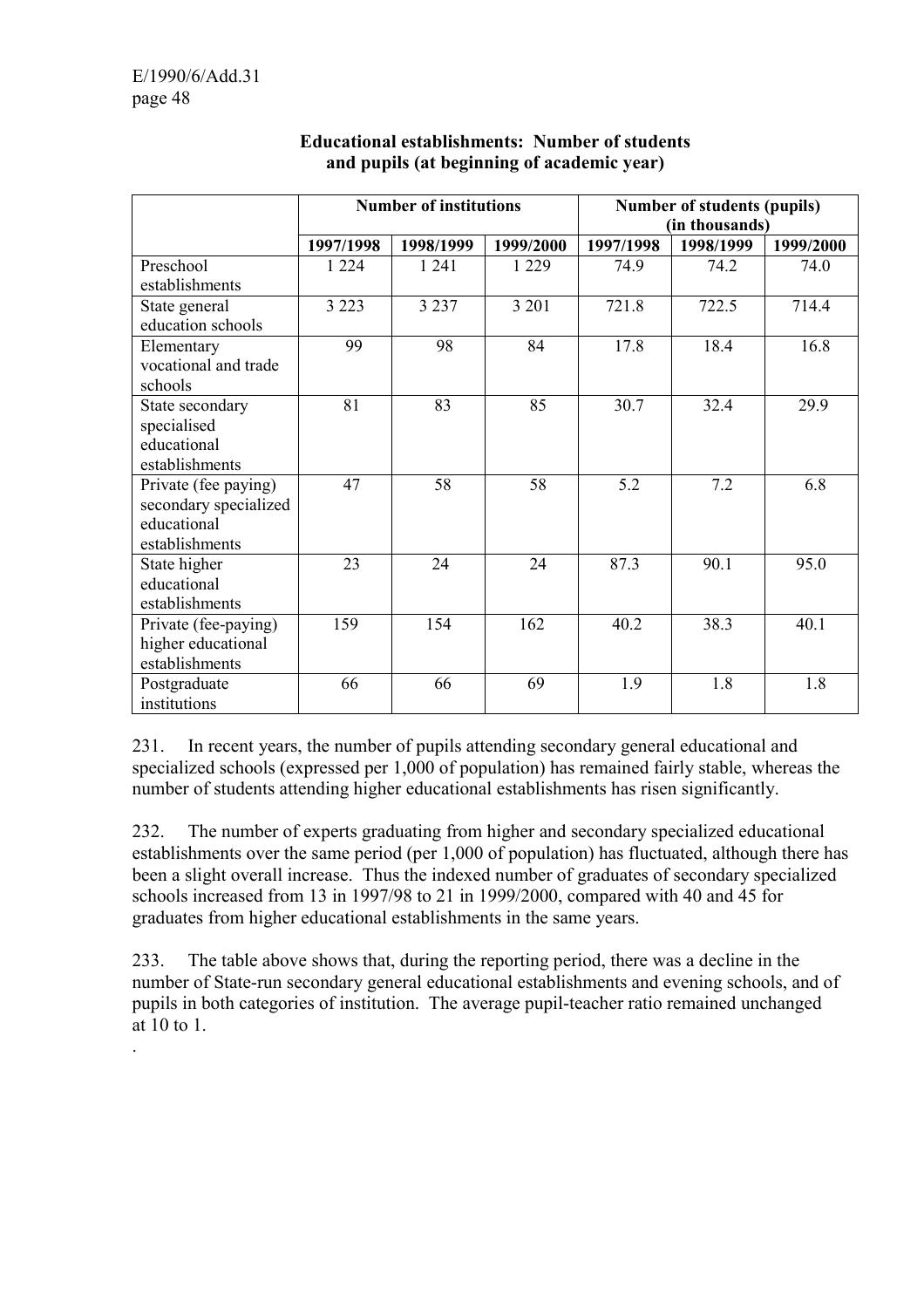.

|                                                                                | <b>Number of institutions</b> |           | Number of students (pupils) |           |                             |           |
|--------------------------------------------------------------------------------|-------------------------------|-----------|-----------------------------|-----------|-----------------------------|-----------|
|                                                                                | 1997/1998                     | 1998/1999 | 1999/2000                   | 1997/1998 | (in thousands)<br>1998/1999 | 1999/2000 |
| Preschool<br>establishments                                                    | 1 2 2 4                       | 1 24 1    | 1 2 2 9                     | 74.9      | 74.2                        | 74.0      |
| State general<br>education schools                                             | 3 2 2 3                       | 3 2 3 7   | 3 2 0 1                     | 721.8     | 722.5                       | 714.4     |
| Elementary<br>vocational and trade<br>schools                                  | 99                            | 98        | 84                          | 17.8      | 18.4                        | 16.8      |
| State secondary<br>specialised<br>educational<br>establishments                | 81                            | 83        | 85                          | 30.7      | 32.4                        | 29.9      |
| Private (fee paying)<br>secondary specialized<br>educational<br>establishments | 47                            | 58        | 58                          | 5.2       | 7.2                         | 6.8       |
| State higher<br>educational<br>establishments                                  | 23                            | 24        | 24                          | 87.3      | 90.1                        | 95.0      |
| Private (fee-paying)<br>higher educational<br>establishments                   | 159                           | 154       | 162                         | 40.2      | 38.3                        | 40.1      |
| Postgraduate<br>institutions                                                   | 66                            | 66        | 69                          | 1.9       | 1.8                         | 1.8       |

### **Educational establishments: Number of students and pupils (at beginning of academic year)**

231. In recent years, the number of pupils attending secondary general educational and specialized schools (expressed per 1,000 of population) has remained fairly stable, whereas the number of students attending higher educational establishments has risen significantly.

232. The number of experts graduating from higher and secondary specialized educational establishments over the same period (per 1,000 of population) has fluctuated, although there has been a slight overall increase. Thus the indexed number of graduates of secondary specialized schools increased from 13 in 1997/98 to 21 in 1999/2000, compared with 40 and 45 for graduates from higher educational establishments in the same years.

233. The table above shows that, during the reporting period, there was a decline in the number of State-run secondary general educational establishments and evening schools, and of pupils in both categories of institution. The average pupil-teacher ratio remained unchanged at 10 to 1.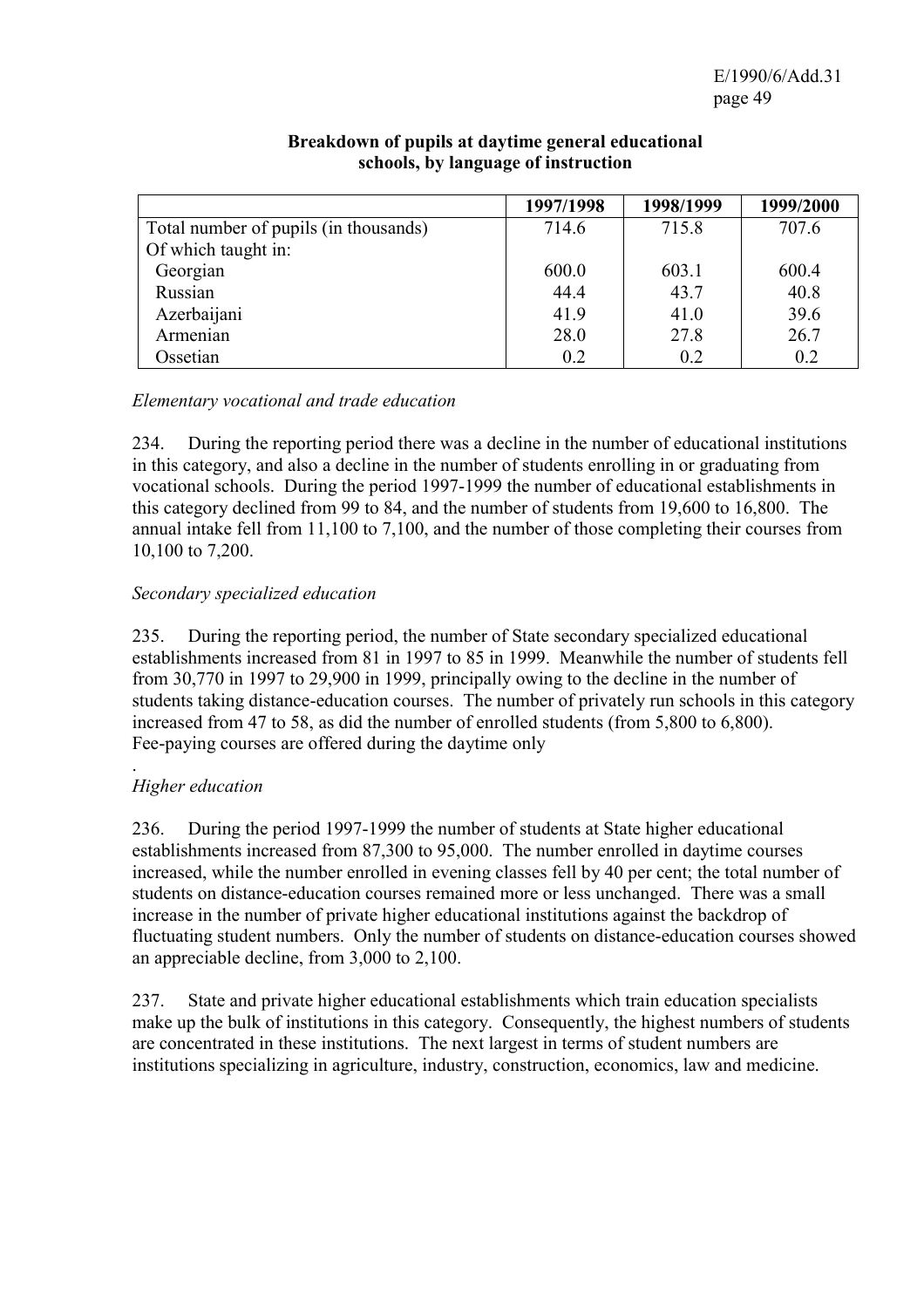|                                       | 1997/1998 | 1998/1999 | 1999/2000 |
|---------------------------------------|-----------|-----------|-----------|
| Total number of pupils (in thousands) | 714.6     | 715.8     | 707.6     |
| Of which taught in:                   |           |           |           |
| Georgian                              | 600.0     | 603.1     | 600.4     |
| Russian                               | 44.4      | 43.7      | 40.8      |
| Azerbaijani                           | 41.9      | 41.0      | 39.6      |
| Armenian                              | 28.0      | 27.8      | 26.7      |
| Ossetian                              | 0.2       | 0.2       | 0.2       |

### **Breakdown of pupils at daytime general educational schools, by language of instruction**

*Elementary vocational and trade education* 

234. During the reporting period there was a decline in the number of educational institutions in this category, and also a decline in the number of students enrolling in or graduating from vocational schools. During the period 1997-1999 the number of educational establishments in this category declined from 99 to 84, and the number of students from 19,600 to 16,800. The annual intake fell from 11,100 to 7,100, and the number of those completing their courses from 10,100 to 7,200.

### *Secondary specialized education*

235. During the reporting period, the number of State secondary specialized educational establishments increased from 81 in 1997 to 85 in 1999. Meanwhile the number of students fell from 30,770 in 1997 to 29,900 in 1999, principally owing to the decline in the number of students taking distance-education courses. The number of privately run schools in this category increased from 47 to 58, as did the number of enrolled students (from 5,800 to 6,800). Fee-paying courses are offered during the daytime only

#### . *Higher education*

236. During the period 1997-1999 the number of students at State higher educational establishments increased from 87,300 to 95,000. The number enrolled in daytime courses increased, while the number enrolled in evening classes fell by 40 per cent; the total number of students on distance-education courses remained more or less unchanged. There was a small increase in the number of private higher educational institutions against the backdrop of fluctuating student numbers. Only the number of students on distance-education courses showed an appreciable decline, from 3,000 to 2,100.

237. State and private higher educational establishments which train education specialists make up the bulk of institutions in this category. Consequently, the highest numbers of students are concentrated in these institutions. The next largest in terms of student numbers are institutions specializing in agriculture, industry, construction, economics, law and medicine.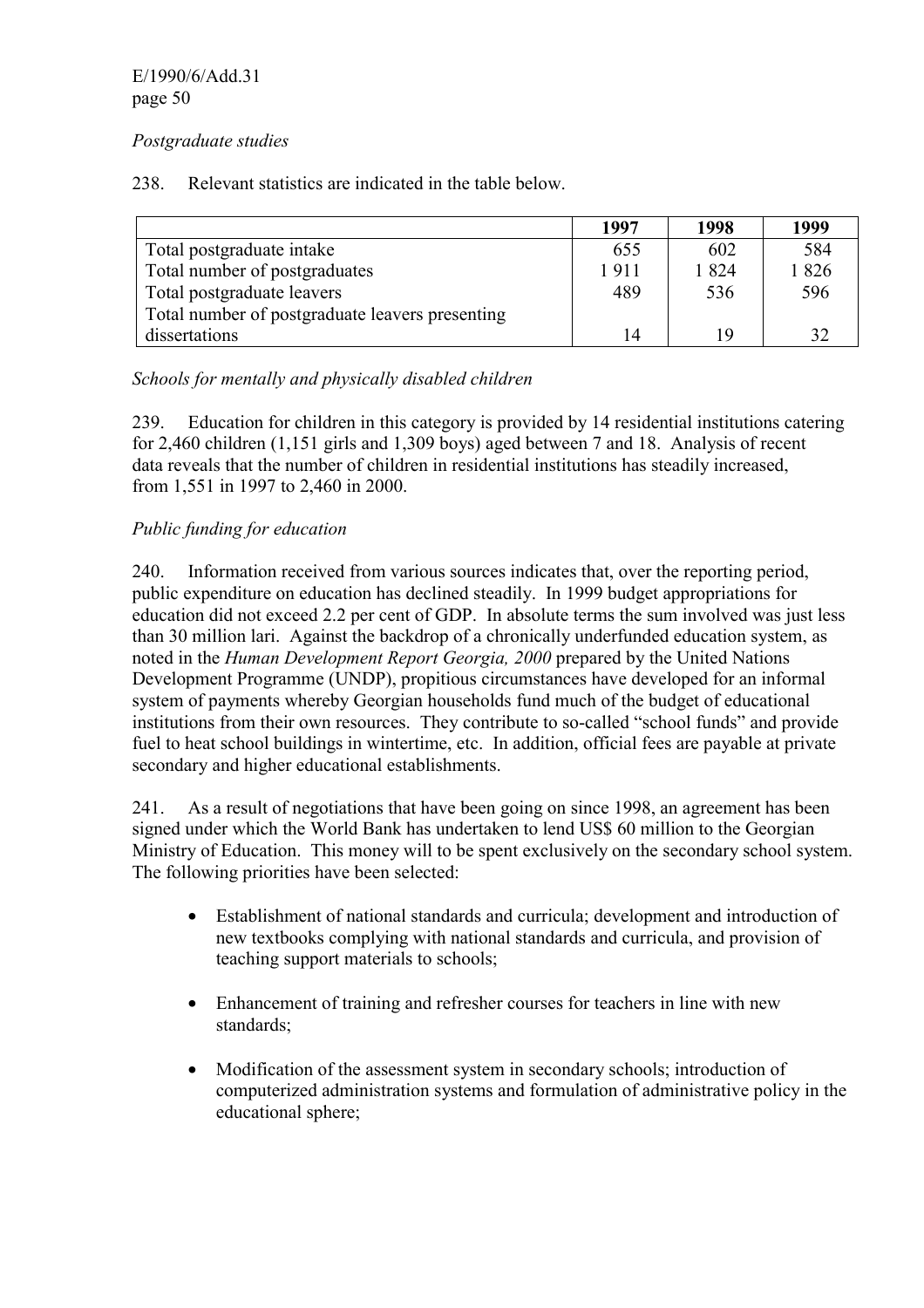### *Postgraduate studies*

238. Relevant statistics are indicated in the table below.

|                                                 | 1997 | 1998 | 1999 |
|-------------------------------------------------|------|------|------|
| Total postgraduate intake                       | 655  | 602  | 584  |
| Total number of postgraduates                   | 1911 | 1824 | 1826 |
| Total postgraduate leavers                      | 489  | 536  | 596  |
| Total number of postgraduate leavers presenting |      |      |      |
| dissertations                                   | 14   | 1 Q  | 32   |

### *Schools for mentally and physically disabled children*

239. Education for children in this category is provided by 14 residential institutions catering for 2,460 children (1,151 girls and 1,309 boys) aged between 7 and 18. Analysis of recent data reveals that the number of children in residential institutions has steadily increased, from 1,551 in 1997 to 2,460 in 2000.

### *Public funding for education*

240. Information received from various sources indicates that, over the reporting period, public expenditure on education has declined steadily. In 1999 budget appropriations for education did not exceed 2.2 per cent of GDP. In absolute terms the sum involved was just less than 30 million lari. Against the backdrop of a chronically underfunded education system, as noted in the *Human Development Report Georgia, 2000* prepared by the United Nations Development Programme (UNDP), propitious circumstances have developed for an informal system of payments whereby Georgian households fund much of the budget of educational institutions from their own resources. They contribute to so-called "school funds" and provide fuel to heat school buildings in wintertime, etc. In addition, official fees are payable at private secondary and higher educational establishments.

241. As a result of negotiations that have been going on since 1998, an agreement has been signed under which the World Bank has undertaken to lend US\$ 60 million to the Georgian Ministry of Education. This money will to be spent exclusively on the secondary school system. The following priorities have been selected:

- Establishment of national standards and curricula; development and introduction of new textbooks complying with national standards and curricula, and provision of teaching support materials to schools;
- Enhancement of training and refresher courses for teachers in line with new standards;
- Modification of the assessment system in secondary schools; introduction of computerized administration systems and formulation of administrative policy in the educational sphere;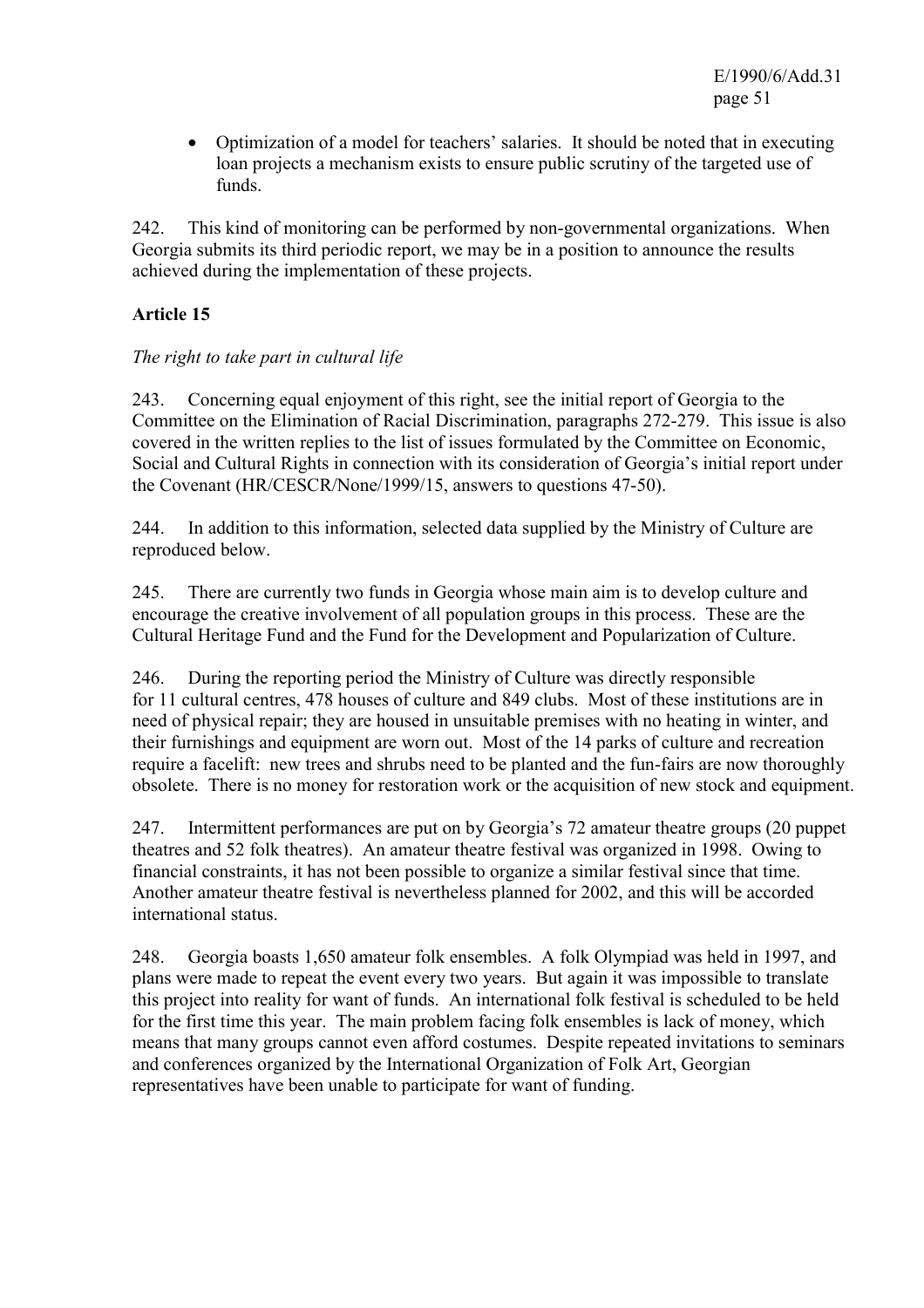• Optimization of a model for teachers' salaries. It should be noted that in executing loan projects a mechanism exists to ensure public scrutiny of the targeted use of funds.

242. This kind of monitoring can be performed by non-governmental organizations. When Georgia submits its third periodic report, we may be in a position to announce the results achieved during the implementation of these projects.

# **Article 15**

### *The right to take part in cultural life*

243. Concerning equal enjoyment of this right, see the initial report of Georgia to the Committee on the Elimination of Racial Discrimination, paragraphs 272-279. This issue is also covered in the written replies to the list of issues formulated by the Committee on Economic, Social and Cultural Rights in connection with its consideration of Georgia's initial report under the Covenant (HR/CESCR/None/1999/15, answers to questions 47-50).

244. In addition to this information, selected data supplied by the Ministry of Culture are reproduced below.

245. There are currently two funds in Georgia whose main aim is to develop culture and encourage the creative involvement of all population groups in this process. These are the Cultural Heritage Fund and the Fund for the Development and Popularization of Culture.

246. During the reporting period the Ministry of Culture was directly responsible for 11 cultural centres, 478 houses of culture and 849 clubs. Most of these institutions are in need of physical repair; they are housed in unsuitable premises with no heating in winter, and their furnishings and equipment are worn out. Most of the 14 parks of culture and recreation require a facelift: new trees and shrubs need to be planted and the fun-fairs are now thoroughly obsolete. There is no money for restoration work or the acquisition of new stock and equipment.

247. Intermittent performances are put on by Georgia's 72 amateur theatre groups (20 puppet theatres and 52 folk theatres). An amateur theatre festival was organized in 1998. Owing to financial constraints, it has not been possible to organize a similar festival since that time. Another amateur theatre festival is nevertheless planned for 2002, and this will be accorded international status.

248. Georgia boasts 1,650 amateur folk ensembles. A folk Olympiad was held in 1997, and plans were made to repeat the event every two years. But again it was impossible to translate this project into reality for want of funds. An international folk festival is scheduled to be held for the first time this year. The main problem facing folk ensembles is lack of money, which means that many groups cannot even afford costumes. Despite repeated invitations to seminars and conferences organized by the International Organization of Folk Art, Georgian representatives have been unable to participate for want of funding.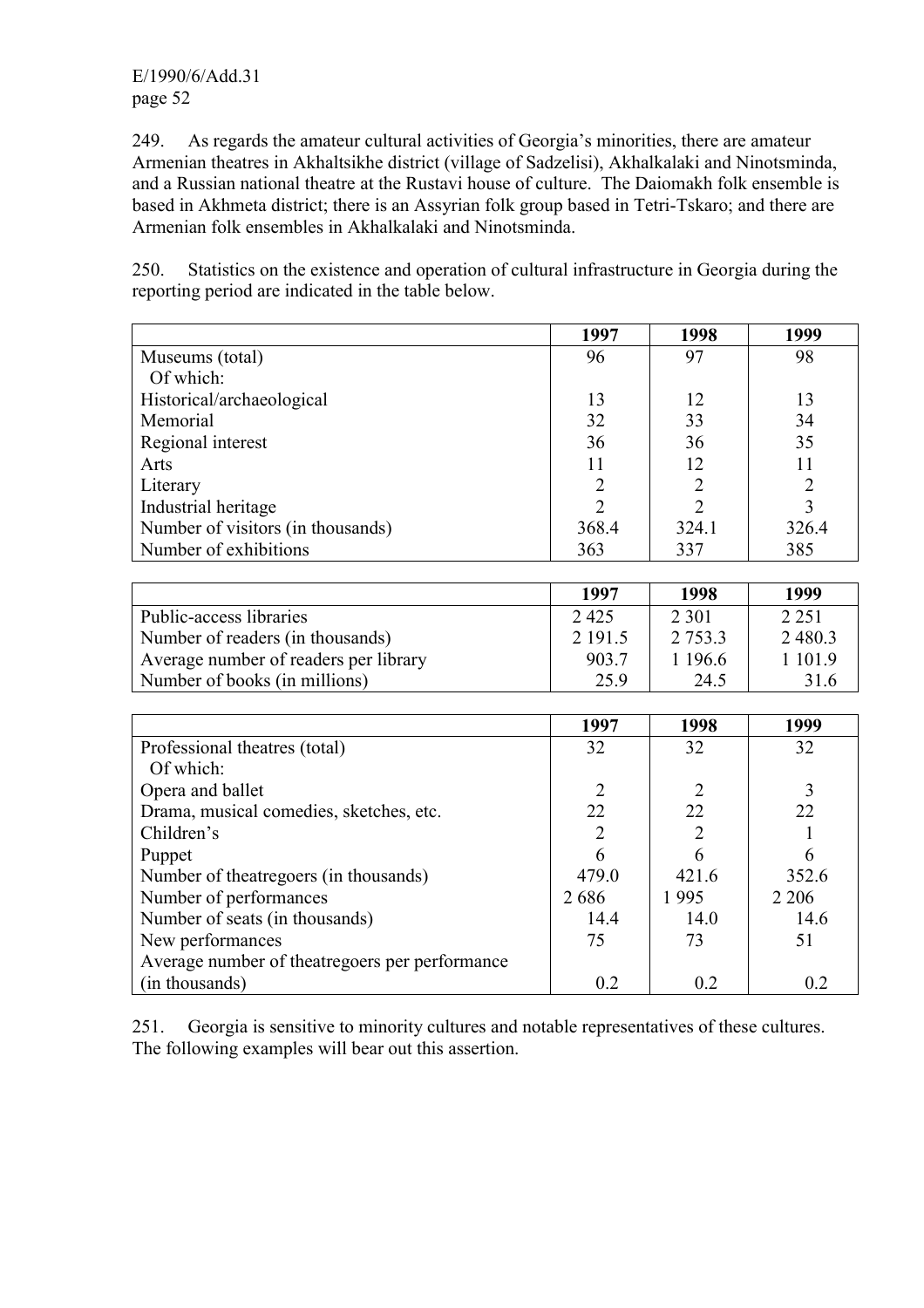E/1990/6/Add.31 page 52

249. As regards the amateur cultural activities of Georgia's minorities, there are amateur Armenian theatres in Akhaltsikhe district (village of Sadzelisi), Akhalkalaki and Ninotsminda, and a Russian national theatre at the Rustavi house of culture. The Daiomakh folk ensemble is based in Akhmeta district; there is an Assyrian folk group based in Tetri-Tskaro; and there are Armenian folk ensembles in Akhalkalaki and Ninotsminda.

250. Statistics on the existence and operation of cultural infrastructure in Georgia during the reporting period are indicated in the table below.

|                                   | 1997                        | 1998           | 1999  |
|-----------------------------------|-----------------------------|----------------|-------|
| Museums (total)                   | 96                          | 97             | 98    |
| Of which:                         |                             |                |       |
| Historical/archaeological         | 13                          | 12             | 13    |
| Memorial                          | 32                          | 33             | 34    |
| Regional interest                 | 36                          | 36             | 35    |
| Arts                              | 11                          | 12             |       |
| Literary                          | $\overline{2}$              | 2              |       |
| Industrial heritage               | $\mathcal{D}_{\mathcal{L}}$ | $\overline{2}$ |       |
| Number of visitors (in thousands) | 368.4                       | 324.1          | 326.4 |
| Number of exhibitions             | 363                         | 337            | 385   |

|                                       | 1997    | 1998        | 1999        |
|---------------------------------------|---------|-------------|-------------|
| Public-access libraries               | 2425    | 2 3 0 1     | 2 2 5 1     |
| Number of readers (in thousands)      | 2 191.5 | 2 7 5 3 . 3 | 2 4 8 0 . 3 |
| Average number of readers per library | 903.7   | 1 196.6     | 1 101.9     |
| Number of books (in millions)         | 25.9    | 24.5        | 31.6        |

|                                                | 1997  | 1998  | 1999    |
|------------------------------------------------|-------|-------|---------|
| Professional theatres (total)                  | 32    | 32    | 32      |
| Of which:                                      |       |       |         |
| Opera and ballet                               |       |       |         |
| Drama, musical comedies, sketches, etc.        | 22    | 22    | 22      |
| Children's                                     |       | 2     |         |
| Puppet                                         | 6     | 6     |         |
| Number of theatregoers (in thousands)          | 479.0 | 421.6 | 352.6   |
| Number of performances                         | 2686  | 1995  | 2 2 0 6 |
| Number of seats (in thousands)                 | 14.4  | 14.0  | 14.6    |
| New performances                               | 75    | 73    | 51      |
| Average number of theatregoers per performance |       |       |         |
| (in thousands)                                 | 0.2   | 02    | 0.2     |

251. Georgia is sensitive to minority cultures and notable representatives of these cultures. The following examples will bear out this assertion.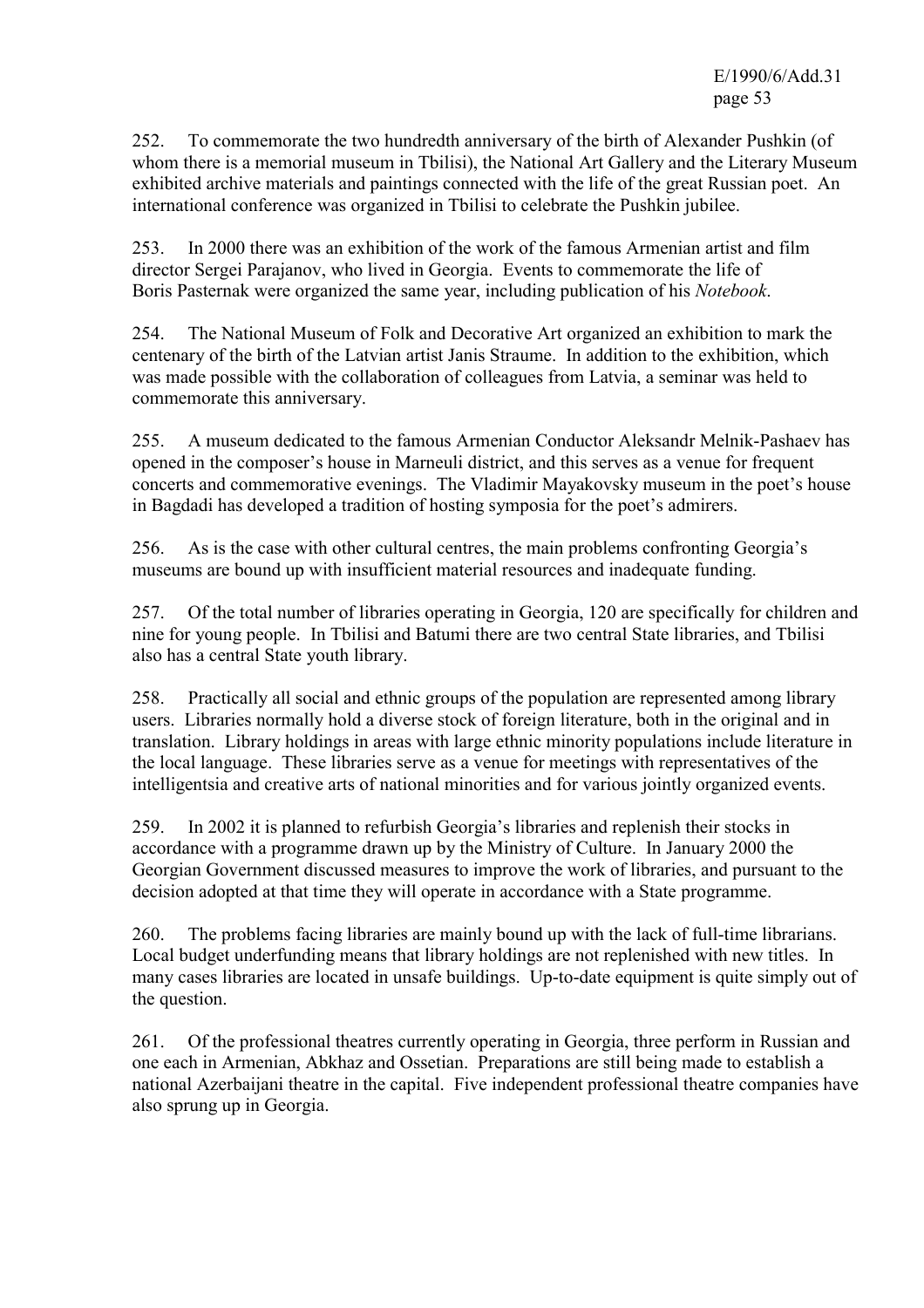252. To commemorate the two hundredth anniversary of the birth of Alexander Pushkin (of whom there is a memorial museum in Tbilisi), the National Art Gallery and the Literary Museum exhibited archive materials and paintings connected with the life of the great Russian poet. An international conference was organized in Tbilisi to celebrate the Pushkin jubilee.

253. In 2000 there was an exhibition of the work of the famous Armenian artist and film director Sergei Parajanov, who lived in Georgia. Events to commemorate the life of Boris Pasternak were organized the same year, including publication of his *Notebook*.

254. The National Museum of Folk and Decorative Art organized an exhibition to mark the centenary of the birth of the Latvian artist Janis Straume. In addition to the exhibition, which was made possible with the collaboration of colleagues from Latvia, a seminar was held to commemorate this anniversary.

255. A museum dedicated to the famous Armenian Conductor Aleksandr Melnik-Pashaev has opened in the composer's house in Marneuli district, and this serves as a venue for frequent concerts and commemorative evenings. The Vladimir Mayakovsky museum in the poet's house in Bagdadi has developed a tradition of hosting symposia for the poet's admirers.

256. As is the case with other cultural centres, the main problems confronting Georgia's museums are bound up with insufficient material resources and inadequate funding.

257. Of the total number of libraries operating in Georgia, 120 are specifically for children and nine for young people. In Tbilisi and Batumi there are two central State libraries, and Tbilisi also has a central State youth library.

258. Practically all social and ethnic groups of the population are represented among library users. Libraries normally hold a diverse stock of foreign literature, both in the original and in translation. Library holdings in areas with large ethnic minority populations include literature in the local language. These libraries serve as a venue for meetings with representatives of the intelligentsia and creative arts of national minorities and for various jointly organized events.

259. In 2002 it is planned to refurbish Georgia's libraries and replenish their stocks in accordance with a programme drawn up by the Ministry of Culture. In January 2000 the Georgian Government discussed measures to improve the work of libraries, and pursuant to the decision adopted at that time they will operate in accordance with a State programme.

260. The problems facing libraries are mainly bound up with the lack of full-time librarians. Local budget underfunding means that library holdings are not replenished with new titles. In many cases libraries are located in unsafe buildings. Up-to-date equipment is quite simply out of the question.

261. Of the professional theatres currently operating in Georgia, three perform in Russian and one each in Armenian, Abkhaz and Ossetian. Preparations are still being made to establish a national Azerbaijani theatre in the capital. Five independent professional theatre companies have also sprung up in Georgia.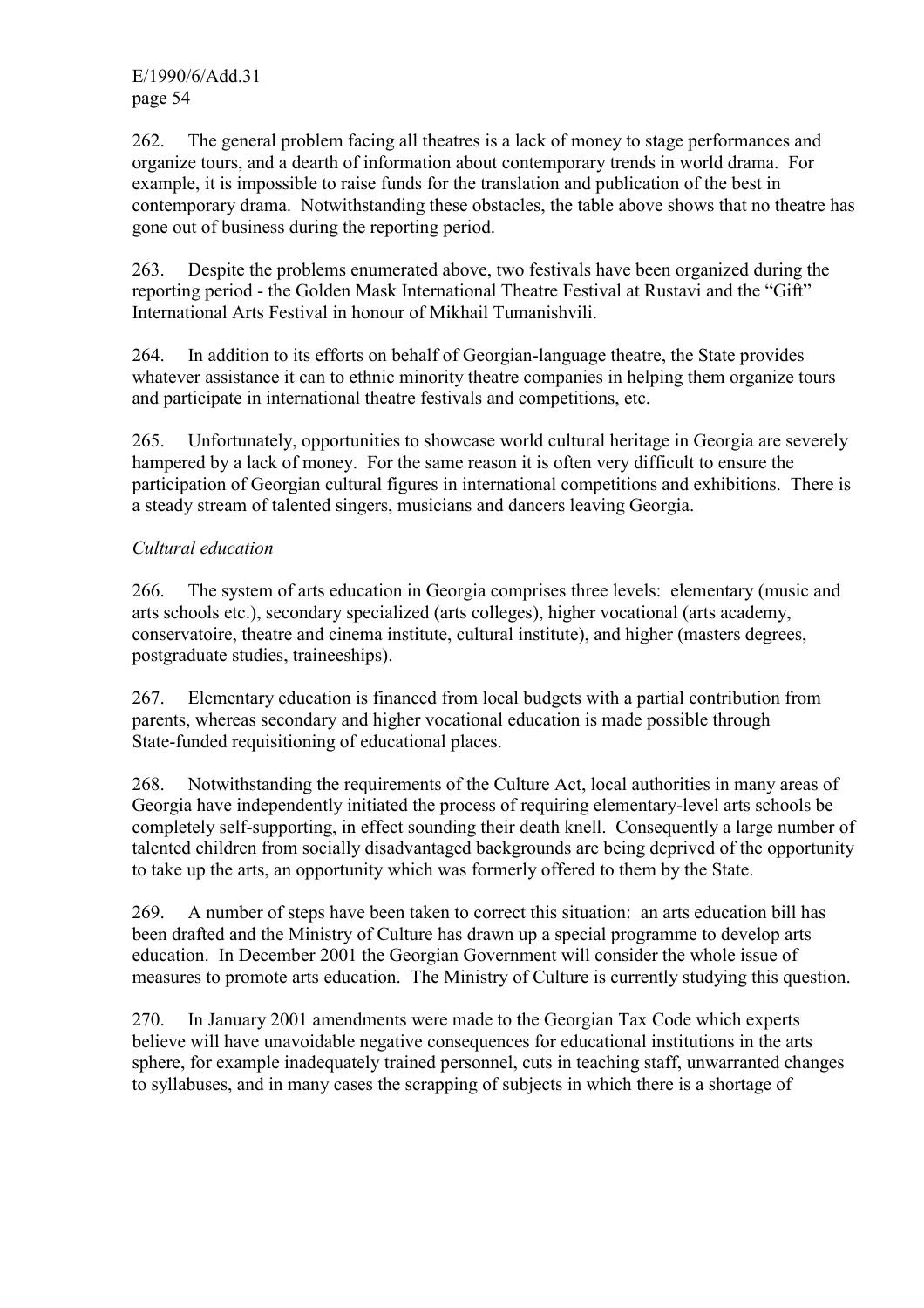E/1990/6/Add.31 page 54

262. The general problem facing all theatres is a lack of money to stage performances and organize tours, and a dearth of information about contemporary trends in world drama. For example, it is impossible to raise funds for the translation and publication of the best in contemporary drama. Notwithstanding these obstacles, the table above shows that no theatre has gone out of business during the reporting period.

263. Despite the problems enumerated above, two festivals have been organized during the reporting period - the Golden Mask International Theatre Festival at Rustavi and the "Gift" International Arts Festival in honour of Mikhail Tumanishvili.

264. In addition to its efforts on behalf of Georgian-language theatre, the State provides whatever assistance it can to ethnic minority theatre companies in helping them organize tours and participate in international theatre festivals and competitions, etc.

265. Unfortunately, opportunities to showcase world cultural heritage in Georgia are severely hampered by a lack of money. For the same reason it is often very difficult to ensure the participation of Georgian cultural figures in international competitions and exhibitions. There is a steady stream of talented singers, musicians and dancers leaving Georgia.

### *Cultural education*

266. The system of arts education in Georgia comprises three levels: elementary (music and arts schools etc.), secondary specialized (arts colleges), higher vocational (arts academy, conservatoire, theatre and cinema institute, cultural institute), and higher (masters degrees, postgraduate studies, traineeships).

267. Elementary education is financed from local budgets with a partial contribution from parents, whereas secondary and higher vocational education is made possible through State-funded requisitioning of educational places.

268. Notwithstanding the requirements of the Culture Act, local authorities in many areas of Georgia have independently initiated the process of requiring elementary-level arts schools be completely self-supporting, in effect sounding their death knell. Consequently a large number of talented children from socially disadvantaged backgrounds are being deprived of the opportunity to take up the arts, an opportunity which was formerly offered to them by the State.

269. A number of steps have been taken to correct this situation: an arts education bill has been drafted and the Ministry of Culture has drawn up a special programme to develop arts education. In December 2001 the Georgian Government will consider the whole issue of measures to promote arts education. The Ministry of Culture is currently studying this question.

270. In January 2001 amendments were made to the Georgian Tax Code which experts believe will have unavoidable negative consequences for educational institutions in the arts sphere, for example inadequately trained personnel, cuts in teaching staff, unwarranted changes to syllabuses, and in many cases the scrapping of subjects in which there is a shortage of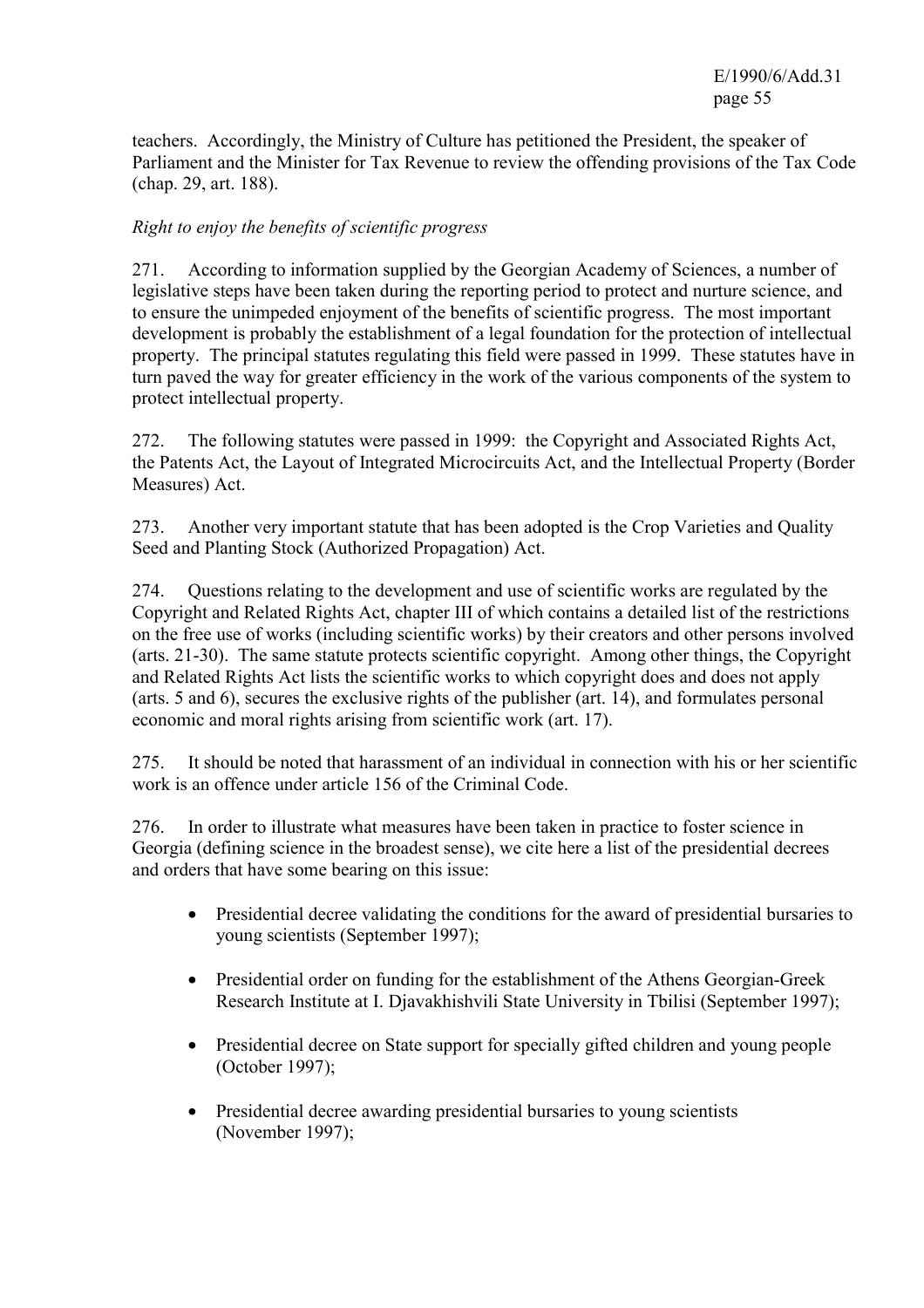teachers. Accordingly, the Ministry of Culture has petitioned the President, the speaker of Parliament and the Minister for Tax Revenue to review the offending provisions of the Tax Code (chap. 29, art. 188).

### *Right to enjoy the benefits of scientific progress*

271. According to information supplied by the Georgian Academy of Sciences, a number of legislative steps have been taken during the reporting period to protect and nurture science, and to ensure the unimpeded enjoyment of the benefits of scientific progress. The most important development is probably the establishment of a legal foundation for the protection of intellectual property. The principal statutes regulating this field were passed in 1999. These statutes have in turn paved the way for greater efficiency in the work of the various components of the system to protect intellectual property.

272. The following statutes were passed in 1999: the Copyright and Associated Rights Act, the Patents Act, the Layout of Integrated Microcircuits Act, and the Intellectual Property (Border Measures) Act.

273. Another very important statute that has been adopted is the Crop Varieties and Quality Seed and Planting Stock (Authorized Propagation) Act.

274. Questions relating to the development and use of scientific works are regulated by the Copyright and Related Rights Act, chapter III of which contains a detailed list of the restrictions on the free use of works (including scientific works) by their creators and other persons involved (arts. 21-30). The same statute protects scientific copyright. Among other things, the Copyright and Related Rights Act lists the scientific works to which copyright does and does not apply (arts. 5 and 6), secures the exclusive rights of the publisher (art. 14), and formulates personal economic and moral rights arising from scientific work (art. 17).

275. It should be noted that harassment of an individual in connection with his or her scientific work is an offence under article 156 of the Criminal Code.

276. In order to illustrate what measures have been taken in practice to foster science in Georgia (defining science in the broadest sense), we cite here a list of the presidential decrees and orders that have some bearing on this issue:

- Presidential decree validating the conditions for the award of presidential bursaries to young scientists (September 1997);
- Presidential order on funding for the establishment of the Athens Georgian-Greek Research Institute at I. Djavakhishvili State University in Tbilisi (September 1997);
- Presidential decree on State support for specially gifted children and young people (October 1997);
- Presidential decree awarding presidential bursaries to young scientists (November 1997);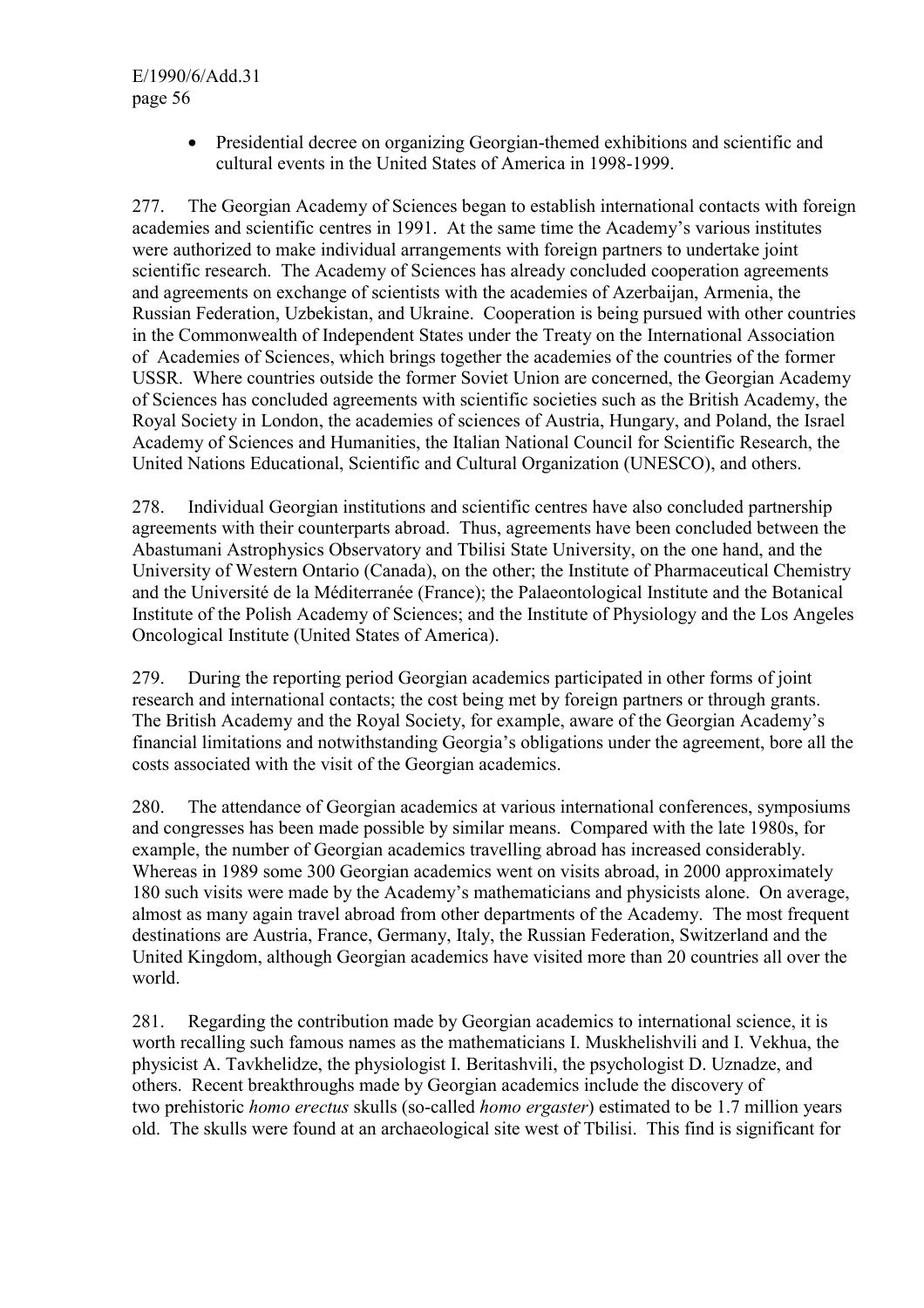E/1990/6/Add.31 page 56

> • Presidential decree on organizing Georgian-themed exhibitions and scientific and cultural events in the United States of America in 1998-1999.

277. The Georgian Academy of Sciences began to establish international contacts with foreign academies and scientific centres in 1991. At the same time the Academy's various institutes were authorized to make individual arrangements with foreign partners to undertake joint scientific research. The Academy of Sciences has already concluded cooperation agreements and agreements on exchange of scientists with the academies of Azerbaijan, Armenia, the Russian Federation, Uzbekistan, and Ukraine. Cooperation is being pursued with other countries in the Commonwealth of Independent States under the Treaty on the International Association of Academies of Sciences, which brings together the academies of the countries of the former USSR. Where countries outside the former Soviet Union are concerned, the Georgian Academy of Sciences has concluded agreements with scientific societies such as the British Academy, the Royal Society in London, the academies of sciences of Austria, Hungary, and Poland, the Israel Academy of Sciences and Humanities, the Italian National Council for Scientific Research, the United Nations Educational, Scientific and Cultural Organization (UNESCO), and others.

278. Individual Georgian institutions and scientific centres have also concluded partnership agreements with their counterparts abroad. Thus, agreements have been concluded between the Abastumani Astrophysics Observatory and Tbilisi State University, on the one hand, and the University of Western Ontario (Canada), on the other; the Institute of Pharmaceutical Chemistry and the Université de la Méditerranée (France); the Palaeontological Institute and the Botanical Institute of the Polish Academy of Sciences; and the Institute of Physiology and the Los Angeles Oncological Institute (United States of America).

279. During the reporting period Georgian academics participated in other forms of joint research and international contacts; the cost being met by foreign partners or through grants. The British Academy and the Royal Society, for example, aware of the Georgian Academy's financial limitations and notwithstanding Georgia's obligations under the agreement, bore all the costs associated with the visit of the Georgian academics.

280. The attendance of Georgian academics at various international conferences, symposiums and congresses has been made possible by similar means. Compared with the late 1980s, for example, the number of Georgian academics travelling abroad has increased considerably. Whereas in 1989 some 300 Georgian academics went on visits abroad, in 2000 approximately 180 such visits were made by the Academy's mathematicians and physicists alone. On average, almost as many again travel abroad from other departments of the Academy. The most frequent destinations are Austria, France, Germany, Italy, the Russian Federation, Switzerland and the United Kingdom, although Georgian academics have visited more than 20 countries all over the world.

281. Regarding the contribution made by Georgian academics to international science, it is worth recalling such famous names as the mathematicians I. Muskhelishvili and I. Vekhua, the physicist A. Tavkhelidze, the physiologist I. Beritashvili, the psychologist D. Uznadze, and others. Recent breakthroughs made by Georgian academics include the discovery of two prehistoric *homo erectus* skulls (so-called *homo ergaster*) estimated to be 1.7 million years old. The skulls were found at an archaeological site west of Tbilisi. This find is significant for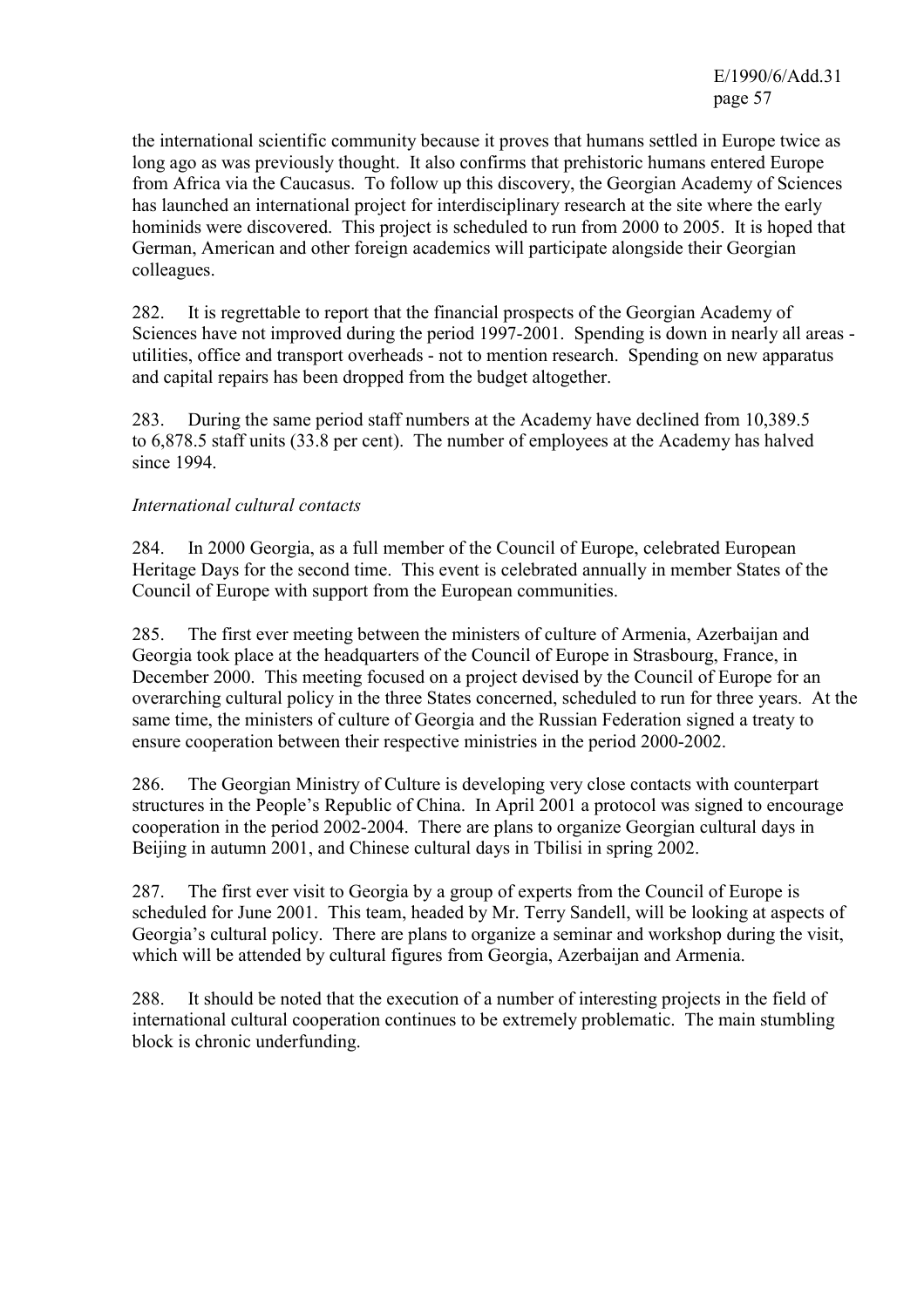the international scientific community because it proves that humans settled in Europe twice as long ago as was previously thought. It also confirms that prehistoric humans entered Europe from Africa via the Caucasus. To follow up this discovery, the Georgian Academy of Sciences has launched an international project for interdisciplinary research at the site where the early hominids were discovered. This project is scheduled to run from 2000 to 2005. It is hoped that German, American and other foreign academics will participate alongside their Georgian colleagues.

282. It is regrettable to report that the financial prospects of the Georgian Academy of Sciences have not improved during the period 1997-2001. Spending is down in nearly all areas utilities, office and transport overheads - not to mention research. Spending on new apparatus and capital repairs has been dropped from the budget altogether.

283. During the same period staff numbers at the Academy have declined from 10,389.5 to 6,878.5 staff units (33.8 per cent). The number of employees at the Academy has halved since 1994.

### *International cultural contacts*

284. In 2000 Georgia, as a full member of the Council of Europe, celebrated European Heritage Days for the second time. This event is celebrated annually in member States of the Council of Europe with support from the European communities.

285. The first ever meeting between the ministers of culture of Armenia, Azerbaijan and Georgia took place at the headquarters of the Council of Europe in Strasbourg, France, in December 2000. This meeting focused on a project devised by the Council of Europe for an overarching cultural policy in the three States concerned, scheduled to run for three years. At the same time, the ministers of culture of Georgia and the Russian Federation signed a treaty to ensure cooperation between their respective ministries in the period 2000-2002.

286. The Georgian Ministry of Culture is developing very close contacts with counterpart structures in the People's Republic of China. In April 2001 a protocol was signed to encourage cooperation in the period 2002-2004. There are plans to organize Georgian cultural days in Beijing in autumn 2001, and Chinese cultural days in Tbilisi in spring 2002.

287. The first ever visit to Georgia by a group of experts from the Council of Europe is scheduled for June 2001. This team, headed by Mr. Terry Sandell, will be looking at aspects of Georgia's cultural policy. There are plans to organize a seminar and workshop during the visit, which will be attended by cultural figures from Georgia, Azerbaijan and Armenia.

288. It should be noted that the execution of a number of interesting projects in the field of international cultural cooperation continues to be extremely problematic. The main stumbling block is chronic underfunding.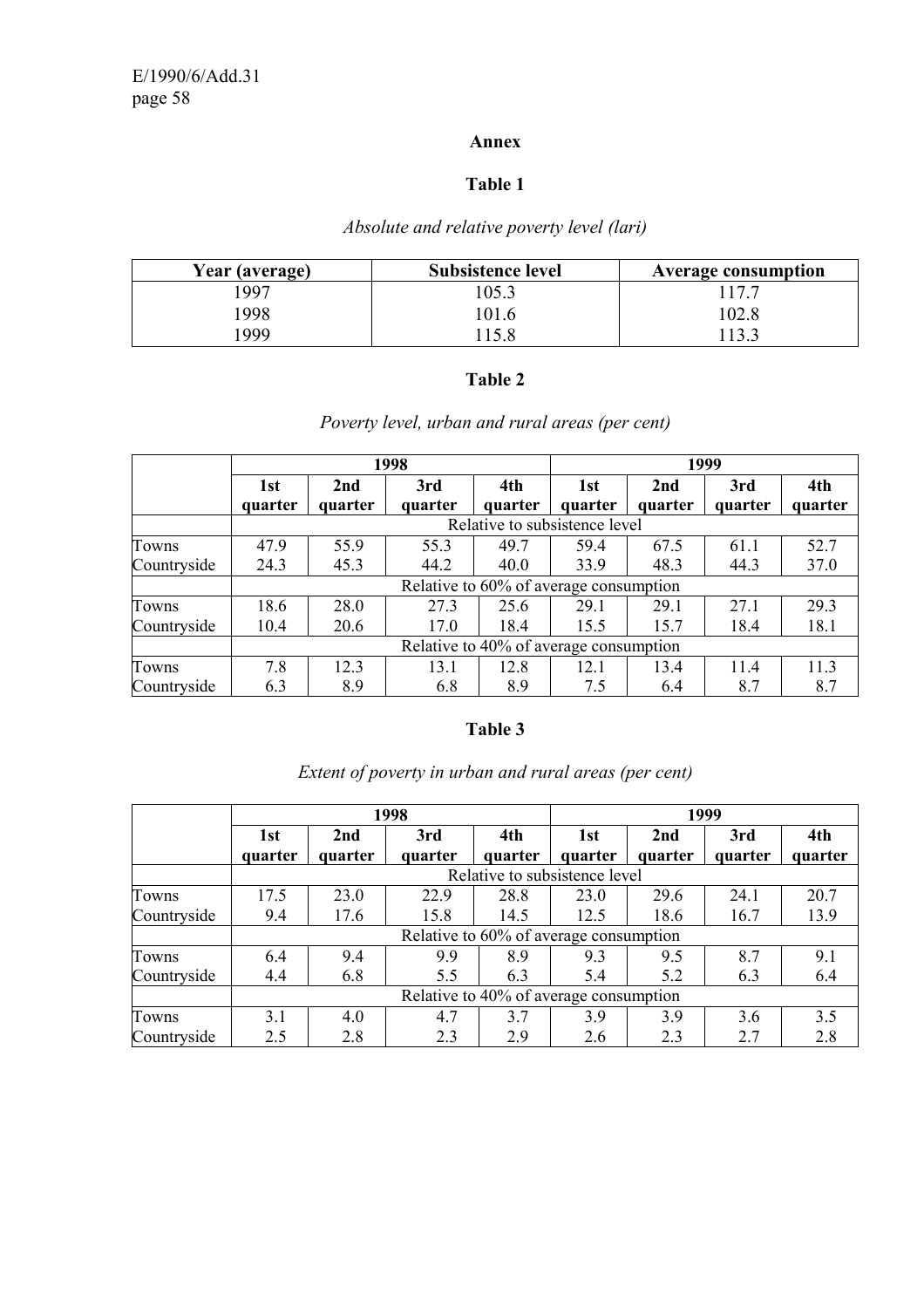### **Annex**

# **Table 1**

# *Absolute and relative poverty level (lari)*

| Year (average) | <b>Subsistence level</b> | <b>Average consumption</b> |
|----------------|--------------------------|----------------------------|
| 1997           | 105.3                    |                            |
| .998           | 101.6                    | 02.8 ،                     |
| 999            |                          | 133                        |

### **Table 2**

# *Poverty level, urban and rural areas (per cent)*

|             | 1998                                   |         |         | 1999    |                               |         |         |         |
|-------------|----------------------------------------|---------|---------|---------|-------------------------------|---------|---------|---------|
|             | 1st                                    | 2nd     | 3rd     | 4th     | 1st                           | 2nd     | 3rd     | 4th     |
|             | quarter                                | quarter | quarter | quarter | quarter                       | quarter | quarter | quarter |
|             |                                        |         |         |         | Relative to subsistence level |         |         |         |
| Towns       | 47.9                                   | 55.9    | 55.3    | 49.7    | 59.4                          | 67.5    | 61.1    | 52.7    |
| Countryside | 24.3                                   | 45.3    | 44.2    | 40.0    | 33.9                          | 48.3    | 44.3    | 37.0    |
|             | Relative to 60% of average consumption |         |         |         |                               |         |         |         |
| Towns       | 18.6                                   | 28.0    | 27.3    | 25.6    | 29.1                          | 29.1    | 27.1    | 29.3    |
| Countryside | 10.4                                   | 20.6    | 17.0    | 18.4    | 15.5                          | 15.7    | 18.4    | 18.1    |
|             | Relative to 40% of average consumption |         |         |         |                               |         |         |         |
| Towns       | 7.8                                    | 12.3    | 13.1    | 12.8    | 12.1                          | 13.4    | 11.4    | 11.3    |
| Countryside | 6.3                                    | 8.9     | 6.8     | 8.9     | 7.5                           | 6.4     | 8.7     | 8.7     |

# **Table 3**

|             | 1998                                   |         |         |         | 1999                          |         |         |         |
|-------------|----------------------------------------|---------|---------|---------|-------------------------------|---------|---------|---------|
|             | 1st                                    | 2nd     | 3rd     | 4th     | 1st                           | 2nd     | 3rd     | 4th     |
|             | quarter                                | quarter | quarter | quarter | quarter                       | quarter | quarter | quarter |
|             |                                        |         |         |         | Relative to subsistence level |         |         |         |
| Towns       | 17.5                                   | 23.0    | 22.9    | 28.8    | 23.0                          | 29.6    | 24.1    | 20.7    |
| Countryside | 9.4                                    | 17.6    | 15.8    | 14.5    | 12.5                          | 18.6    | 16.7    | 13.9    |
|             | Relative to 60% of average consumption |         |         |         |                               |         |         |         |
| Towns       | 6.4                                    | 9.4     | 9.9     | 8.9     | 9.3                           | 9.5     | 8.7     | 9.1     |
| Countryside | 4.4                                    | 6.8     | 5.5     | 6.3     | 5.4                           | 5.2     | 6.3     | 6.4     |
|             | Relative to 40% of average consumption |         |         |         |                               |         |         |         |
| Towns       | 3.1                                    | 4.0     | 4.7     | 3.7     | 3.9                           | 3.9     | 3.6     | 3.5     |
| Countryside | 2.5                                    | 2.8     | 2.3     | 2.9     | 2.6                           | 2.3     | 2.7     | 2.8     |

# *Extent of poverty in urban and rural areas (per cent)*